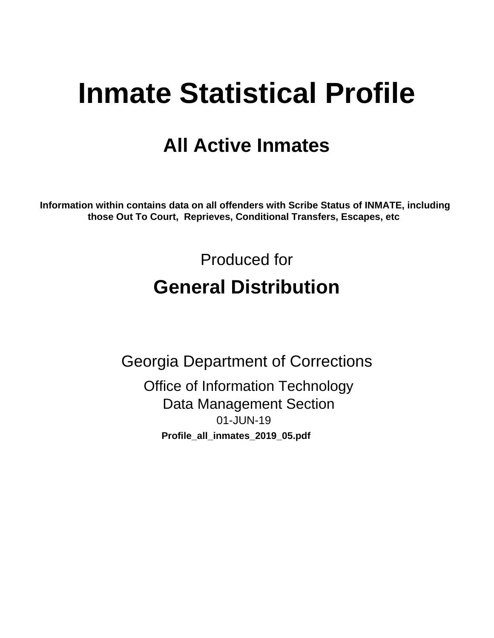# **Inmate Statistical Profile**

## **All Active Inmates**

Information within contains data on all offenders with Scribe Status of INMATE, including those Out To Court, Reprieves, Conditional Transfers, Escapes, etc

> Produced for **General Distribution**

**Georgia Department of Corrections Office of Information Technology Data Management Section** 01-JUN-19 Profile\_all\_inmates\_2019\_05.pdf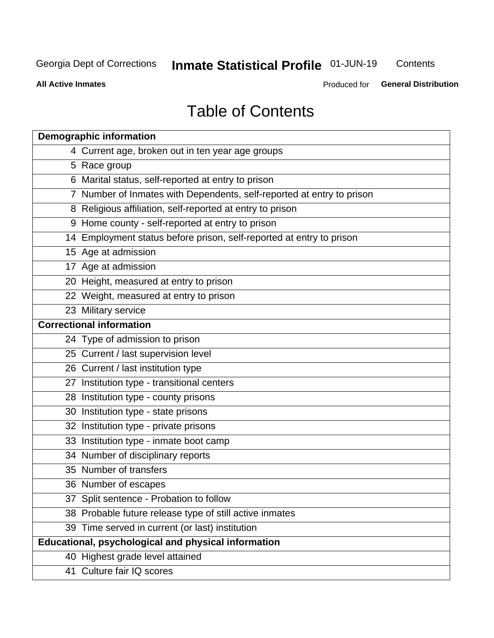## Inmate Statistical Profile 01-JUN-19

Contents

**All Active Inmates** 

Produced for General Distribution

## **Table of Contents**

| <b>Demographic information</b>                                        |
|-----------------------------------------------------------------------|
| 4 Current age, broken out in ten year age groups                      |
| 5 Race group                                                          |
| 6 Marital status, self-reported at entry to prison                    |
| 7 Number of Inmates with Dependents, self-reported at entry to prison |
| 8 Religious affiliation, self-reported at entry to prison             |
| 9 Home county - self-reported at entry to prison                      |
| 14 Employment status before prison, self-reported at entry to prison  |
| 15 Age at admission                                                   |
| 17 Age at admission                                                   |
| 20 Height, measured at entry to prison                                |
| 22 Weight, measured at entry to prison                                |
| 23 Military service                                                   |
| <b>Correctional information</b>                                       |
| 24 Type of admission to prison                                        |
| 25 Current / last supervision level                                   |
| 26 Current / last institution type                                    |
| 27 Institution type - transitional centers                            |
| 28 Institution type - county prisons                                  |
| 30 Institution type - state prisons                                   |
| 32 Institution type - private prisons                                 |
| 33 Institution type - inmate boot camp                                |
| 34 Number of disciplinary reports                                     |
| 35 Number of transfers                                                |
| 36 Number of escapes                                                  |
| 37 Split sentence - Probation to follow                               |
| 38 Probable future release type of still active inmates               |
| 39 Time served in current (or last) institution                       |
| Educational, psychological and physical information                   |
| 40 Highest grade level attained                                       |
| 41 Culture fair IQ scores                                             |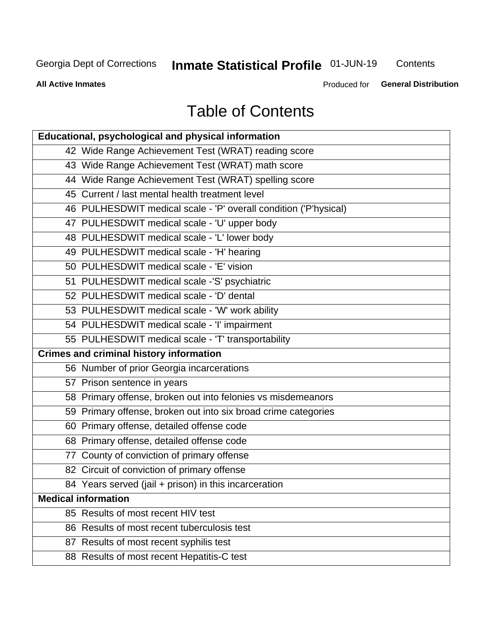## **Inmate Statistical Profile 01-JUN-19**

Contents

**All Active Inmates** 

Produced for General Distribution

## **Table of Contents**

| <b>Educational, psychological and physical information</b>       |
|------------------------------------------------------------------|
| 42 Wide Range Achievement Test (WRAT) reading score              |
| 43 Wide Range Achievement Test (WRAT) math score                 |
| 44 Wide Range Achievement Test (WRAT) spelling score             |
| 45 Current / last mental health treatment level                  |
| 46 PULHESDWIT medical scale - 'P' overall condition ('P'hysical) |
| 47 PULHESDWIT medical scale - 'U' upper body                     |
| 48 PULHESDWIT medical scale - 'L' lower body                     |
| 49 PULHESDWIT medical scale - 'H' hearing                        |
| 50 PULHESDWIT medical scale - 'E' vision                         |
| 51 PULHESDWIT medical scale -'S' psychiatric                     |
| 52 PULHESDWIT medical scale - 'D' dental                         |
| 53 PULHESDWIT medical scale - 'W' work ability                   |
| 54 PULHESDWIT medical scale - 'I' impairment                     |
| 55 PULHESDWIT medical scale - 'T' transportability               |
|                                                                  |
| <b>Crimes and criminal history information</b>                   |
| 56 Number of prior Georgia incarcerations                        |
| 57 Prison sentence in years                                      |
| 58 Primary offense, broken out into felonies vs misdemeanors     |
| 59 Primary offense, broken out into six broad crime categories   |
| 60 Primary offense, detailed offense code                        |
| 68 Primary offense, detailed offense code                        |
| 77 County of conviction of primary offense                       |
| 82 Circuit of conviction of primary offense                      |
| 84 Years served (jail + prison) in this incarceration            |
| <b>Medical information</b>                                       |
| 85 Results of most recent HIV test                               |
| 86 Results of most recent tuberculosis test                      |
| 87 Results of most recent syphilis test                          |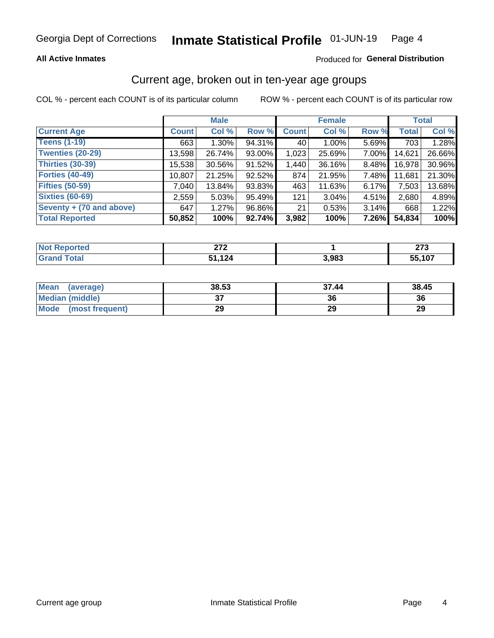#### Inmate Statistical Profile 01-JUN-19 Page 4

### **All Active Inmates**

### Produced for General Distribution

## Current age, broken out in ten-year age groups

COL % - percent each COUNT is of its particular column

|                          | <b>Male</b>  |          |        | <b>Female</b> |          |          | <b>Total</b> |        |
|--------------------------|--------------|----------|--------|---------------|----------|----------|--------------|--------|
| <b>Current Age</b>       | <b>Count</b> | Col %    | Row %  | <b>Count</b>  | Col %    | Row %    | <b>Total</b> | Col %  |
| <b>Teens (1-19)</b>      | 663          | $1.30\%$ | 94.31% | 40            | $1.00\%$ | 5.69%    | 703          | 1.28%  |
| <b>Twenties (20-29)</b>  | 13,598       | 26.74%   | 93.00% | 1,023         | 25.69%   | 7.00%    | 14,621       | 26.66% |
| <b>Thirties (30-39)</b>  | 15,538       | 30.56%   | 91.52% | 1,440         | 36.16%   | $8.48\%$ | 16,978       | 30.96% |
| <b>Forties (40-49)</b>   | 10,807       | 21.25%   | 92.52% | 874           | 21.95%   | 7.48%    | 11,681       | 21.30% |
| <b>Fifties (50-59)</b>   | 7,040        | 13.84%   | 93.83% | 463           | 11.63%   | 6.17%    | 7,503        | 13.68% |
| <b>Sixties (60-69)</b>   | 2,559        | 5.03%    | 95.49% | 121           | $3.04\%$ | 4.51%    | 2,680        | 4.89%  |
| Seventy + (70 and above) | 647          | 1.27%    | 96.86% | 21            | 0.53%    | 3.14%    | 668          | 1.22%  |
| <b>Total Reported</b>    | 50,852       | 100%     | 92.74% | 3,982         | 100%     | 7.26%    | 54,834       | 100%   |

| <b>Not Reported</b> | $\sim$<br><u>_</u> |       | $\sim$<br>21 J |
|---------------------|--------------------|-------|----------------|
| <b>Total</b>        | ,124               | 3,983 | 55,107         |

| <b>Mean</b><br>(average) | 38.53    | 37.44 | 38.45 |
|--------------------------|----------|-------|-------|
| Median (middle)          | ^<br>ا پ | 36    | 36    |
| Mode<br>(most frequent)  | 29       | 29    | 29    |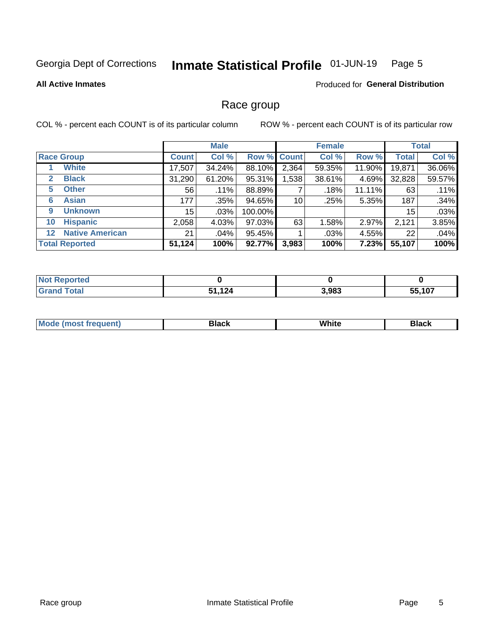### Inmate Statistical Profile 01-JUN-19 Page 5

### **All Active Inmates**

### Produced for General Distribution

## Race group

COL % - percent each COUNT is of its particular column

|                                   |              | <b>Male</b> |         |             | <b>Female</b> |          |              | <b>Total</b> |  |
|-----------------------------------|--------------|-------------|---------|-------------|---------------|----------|--------------|--------------|--|
| <b>Race Group</b>                 | <b>Count</b> | Col %       |         | Row % Count | Col %         | Row %    | <b>Total</b> | Col %        |  |
| <b>White</b>                      | 17,507       | 34.24%      | 88.10%  | 2,364       | 59.35%        | 11.90%   | 19,871       | 36.06%       |  |
| <b>Black</b><br>2                 | 31,290       | 61.20%      | 95.31%  | .538        | 38.61%        | 4.69%    | 32,828       | 59.57%       |  |
| <b>Other</b><br>5                 | 56           | .11%        | 88.89%  |             | .18%          | 11.11%   | 63           | .11%         |  |
| <b>Asian</b><br>6                 | 177          | .35%        | 94.65%  | 10          | .25%          | 5.35%    | 187          | .34%         |  |
| <b>Unknown</b><br>9               | 15           | $.03\%$     | 100.00% |             |               |          | 15           | .03%         |  |
| <b>Hispanic</b><br>10             | 2,058        | 4.03%       | 97.03%  | 63          | 1.58%         | $2.97\%$ | 2,121        | 3.85%        |  |
| <b>Native American</b><br>$12 \,$ | 21           | .04%        | 95.45%  |             | .03%          | 4.55%    | 22           | .04%         |  |
| <b>Total Reported</b>             | 51,124       | 100%        | 92.77%  | 3,983       | 100%          | 7.23%    | 55,107       | 100%         |  |

| eported<br>' NOT       |              |       |        |
|------------------------|--------------|-------|--------|
| <b>Total</b><br>'Grand | 1,124<br>C 4 | 3,983 | 55,107 |

| m | <br>w |  |
|---|-------|--|
|   |       |  |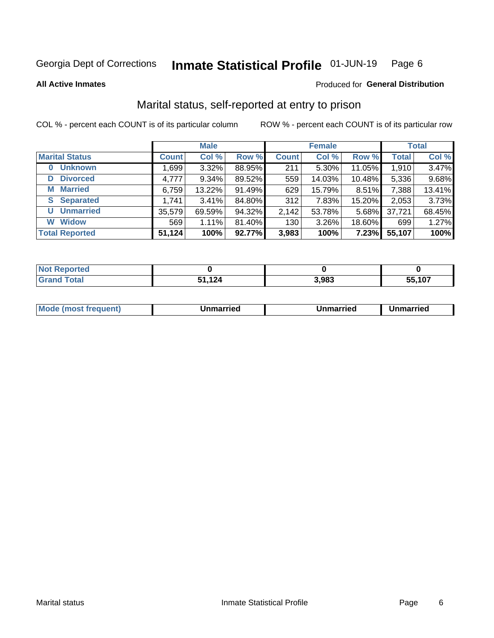#### Inmate Statistical Profile 01-JUN-19 Page 6

**All Active Inmates** 

### Produced for General Distribution

## Marital status, self-reported at entry to prison

COL % - percent each COUNT is of its particular column

|                            | <b>Male</b>  |          |        | <b>Female</b> |        |          | <b>Total</b> |        |
|----------------------------|--------------|----------|--------|---------------|--------|----------|--------------|--------|
| <b>Marital Status</b>      | <b>Count</b> | Col %    | Row %  | <b>Count</b>  | Col %  | Row %    | <b>Total</b> | Col %  |
| <b>Unknown</b><br>$\bf{0}$ | 1,699        | $3.32\%$ | 88.95% | 211           | 5.30%  | 11.05%   | 1,910        | 3.47%  |
| <b>Divorced</b><br>D       | 4,777        | 9.34%    | 89.52% | 559           | 14.03% | 10.48%   | 5,336        | 9.68%  |
| <b>Married</b><br>м        | 6,759        | 13.22%   | 91.49% | 629           | 15.79% | 8.51%    | 7,388        | 13.41% |
| <b>S</b> Separated         | 1,741        | 3.41%    | 84.80% | 312           | 7.83%  | 15.20%   | 2,053        | 3.73%  |
| <b>Unmarried</b><br>U      | 35,579       | 69.59%   | 94.32% | 2,142         | 53.78% | $5.68\%$ | 37,721       | 68.45% |
| <b>Widow</b><br>W          | 569          | 1.11%    | 81.40% | 130           | 3.26%  | 18.60%   | 699          | 1.27%  |
| <b>Total Reported</b>      | 51,124       | 100%     | 92.77% | 3,983         | 100%   | 7.23%    | 55,107       | 100%   |

| N <sub>of</sub><br><b>Antico</b> |            |       |        |
|----------------------------------|------------|-------|--------|
| Total                            | 1 2 A<br>. | 3,983 | 55.107 |

| <b>Mode (most frequent)</b><br>Unmarried<br>Unmarried<br>Jnmarried |
|--------------------------------------------------------------------|
|--------------------------------------------------------------------|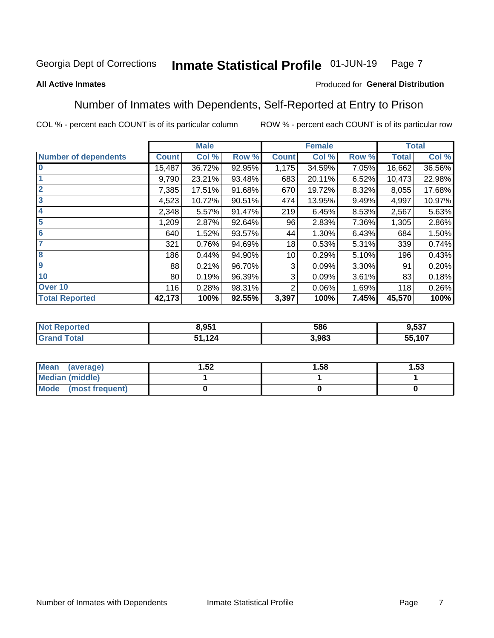### Inmate Statistical Profile 01-JUN-19 Page 7

### **All Active Inmates**

### Produced for General Distribution

## Number of Inmates with Dependents, Self-Reported at Entry to Prison

COL % - percent each COUNT is of its particular column

|                             |                 | <b>Male</b> |        |              | <b>Female</b> |          |              | <b>Total</b> |
|-----------------------------|-----------------|-------------|--------|--------------|---------------|----------|--------------|--------------|
| <b>Number of dependents</b> | <b>Count</b>    | Col %       | Row %  | <b>Count</b> | Col %         | Row %    | <b>Total</b> | Col %        |
| l 0                         | 15,487          | 36.72%      | 92.95% | 1,175        | 34.59%        | 7.05%    | 16,662       | 36.56%       |
|                             | 9,790           | 23.21%      | 93.48% | 683          | 20.11%        | 6.52%    | 10,473       | 22.98%       |
| $\overline{2}$              | 7,385           | 17.51%      | 91.68% | 670          | 19.72%        | 8.32%    | 8,055        | 17.68%       |
| $\mathbf{3}$                | 4,523           | 10.72%      | 90.51% | 474          | 13.95%        | 9.49%    | 4,997        | 10.97%       |
| $\overline{\mathbf{4}}$     | 2,348           | 5.57%       | 91.47% | 219          | 6.45%         | 8.53%    | 2,567        | 5.63%        |
| 5                           | 1,209           | 2.87%       | 92.64% | 96           | 2.83%         | 7.36%    | 1,305        | 2.86%        |
| 6                           | 640             | 1.52%       | 93.57% | 44           | 1.30%         | 6.43%    | 684          | 1.50%        |
| 7                           | 321             | 0.76%       | 94.69% | 18           | 0.53%         | 5.31%    | 339          | 0.74%        |
| 8                           | 186             | 0.44%       | 94.90% | 10           | 0.29%         | 5.10%    | 196          | 0.43%        |
| 9                           | 88              | 0.21%       | 96.70% | 3            | 0.09%         | $3.30\%$ | 91           | 0.20%        |
| 10                          | 80 <sub>1</sub> | 0.19%       | 96.39% | 3            | 0.09%         | 3.61%    | 83           | 0.18%        |
| Over 10                     | 116             | 0.28%       | 98.31% | 2            | 0.06%         | 1.69%    | 118          | 0.26%        |
| <b>Total Reported</b>       | 42,173          | 100%        | 92.55% | 3,397        | 100%          | 7.45%    | 45,570       | 100%         |

| 8.951      | 586  | 1.537     |
|------------|------|-----------|
| 121<br>- 7 | .983 | 107<br>J. |

| Mean (average)          | .52 | 1.58 | l.53 |
|-------------------------|-----|------|------|
| <b>Median (middle)</b>  |     |      |      |
| Mode<br>(most frequent) |     |      |      |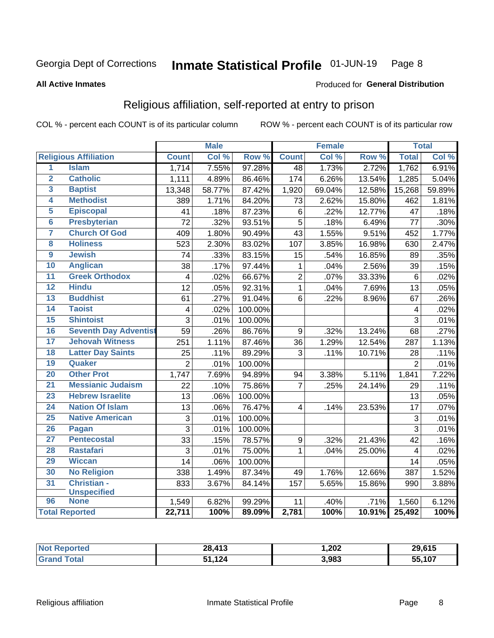#### Inmate Statistical Profile 01-JUN-19 Page 8

### **All Active Inmates**

### Produced for General Distribution

## Religious affiliation, self-reported at entry to prison

COL % - percent each COUNT is of its particular column

|                     |                              |                 | <b>Male</b> |         |                  | <b>Female</b> |        |                 | <b>Total</b> |
|---------------------|------------------------------|-----------------|-------------|---------|------------------|---------------|--------|-----------------|--------------|
|                     | <b>Religious Affiliation</b> | <b>Count</b>    | Col %       | Row %   | <b>Count</b>     | Col %         | Row %  | <b>Total</b>    | Col %        |
| $\overline{1}$      | <b>Islam</b>                 | 1,714           | 7.55%       | 97.28%  | $\overline{48}$  | 1.73%         | 2.72%  | 1,762           | 6.91%        |
| $\overline{2}$      | <b>Catholic</b>              | 1,111           | 4.89%       | 86.46%  | 174              | 6.26%         | 13.54% | 1,285           | 5.04%        |
| $\overline{3}$      | <b>Baptist</b>               | 13,348          | 58.77%      | 87.42%  | 1,920            | 69.04%        | 12.58% | 15,268          | 59.89%       |
| 4                   | <b>Methodist</b>             | 389             | 1.71%       | 84.20%  | 73               | 2.62%         | 15.80% | 462             | 1.81%        |
| 5                   | <b>Episcopal</b>             | 41              | .18%        | 87.23%  | 6                | .22%          | 12.77% | 47              | .18%         |
| $\overline{\bf{6}}$ | <b>Presbyterian</b>          | 72              | .32%        | 93.51%  | $\overline{5}$   | .18%          | 6.49%  | 77              | .30%         |
| 7                   | <b>Church Of God</b>         | 409             | 1.80%       | 90.49%  | 43               | 1.55%         | 9.51%  | 452             | 1.77%        |
| 8                   | <b>Holiness</b>              | 523             | 2.30%       | 83.02%  | 107              | 3.85%         | 16.98% | 630             | 2.47%        |
| $\overline{9}$      | <b>Jewish</b>                | 74              | .33%        | 83.15%  | 15               | .54%          | 16.85% | 89              | .35%         |
| 10                  | <b>Anglican</b>              | 38              | .17%        | 97.44%  | $\mathbf{1}$     | .04%          | 2.56%  | 39              | .15%         |
| $\overline{11}$     | <b>Greek Orthodox</b>        | 4               | .02%        | 66.67%  | $\overline{2}$   | .07%          | 33.33% | $6\phantom{1}$  | .02%         |
| 12                  | <b>Hindu</b>                 | $\overline{12}$ | .05%        | 92.31%  | $\overline{1}$   | .04%          | 7.69%  | 13              | .05%         |
| 13                  | <b>Buddhist</b>              | 61              | .27%        | 91.04%  | 6                | .22%          | 8.96%  | 67              | .26%         |
| 14                  | <b>Taoist</b>                | $\overline{4}$  | .02%        | 100.00% |                  |               |        | 4               | .02%         |
| 15                  | <b>Shintoist</b>             | 3               | .01%        | 100.00% |                  |               |        | $\overline{3}$  | .01%         |
| 16                  | <b>Seventh Day Adventist</b> | 59              | .26%        | 86.76%  | 9                | .32%          | 13.24% | 68              | .27%         |
| 17                  | <b>Jehovah Witness</b>       | 251             | 1.11%       | 87.46%  | 36               | 1.29%         | 12.54% | 287             | 1.13%        |
| 18                  | <b>Latter Day Saints</b>     | 25              | .11%        | 89.29%  | 3                | .11%          | 10.71% | 28              | .11%         |
| 19                  | Quaker                       | $\overline{2}$  | .01%        | 100.00% |                  |               |        | $\overline{2}$  | .01%         |
| 20                  | <b>Other Prot</b>            | 1,747           | 7.69%       | 94.89%  | 94               | 3.38%         | 5.11%  | 1,841           | 7.22%        |
| 21                  | <b>Messianic Judaism</b>     | 22              | .10%        | 75.86%  | $\overline{7}$   | .25%          | 24.14% | 29              | .11%         |
| 23                  | <b>Hebrew Israelite</b>      | 13              | .06%        | 100.00% |                  |               |        | 13              | .05%         |
| 24                  | <b>Nation Of Islam</b>       | 13              | .06%        | 76.47%  | $\overline{4}$   | .14%          | 23.53% | $\overline{17}$ | .07%         |
| 25                  | <b>Native American</b>       | $\overline{3}$  | .01%        | 100.00% |                  |               |        | 3               | .01%         |
| 26                  | Pagan                        | $\overline{3}$  | .01%        | 100.00% |                  |               |        | $\overline{3}$  | .01%         |
| $\overline{27}$     | <b>Pentecostal</b>           | 33              | .15%        | 78.57%  | $\boldsymbol{9}$ | .32%          | 21.43% | $\overline{42}$ | .16%         |
| 28                  | <b>Rastafari</b>             | 3               | .01%        | 75.00%  | $\mathbf{1}$     | .04%          | 25.00% | 4               | .02%         |
| 29                  | <b>Wiccan</b>                | 14              | .06%        | 100.00% |                  |               |        | 14              | .05%         |
| 30                  | <b>No Religion</b>           | 338             | 1.49%       | 87.34%  | 49               | 1.76%         | 12.66% | 387             | 1.52%        |
| 31                  | Christian -                  | 833             | 3.67%       | 84.14%  | 157              | 5.65%         | 15.86% | 990             | 3.88%        |
|                     | <b>Unspecified</b>           |                 |             |         |                  |               |        |                 |              |
| 96                  | <b>None</b>                  | 1,549           | 6.82%       | 99.29%  | 11               | .40%          | .71%   | 1,560           | 6.12%        |
|                     | <b>Total Reported</b>        | 22,711          | 100%        | 89.09%  | 2,781            | 100%          | 10.91% | 25,492          | 100%         |

| τeι | 28,413            | 1,202 | 29,615 |
|-----|-------------------|-------|--------|
|     | 124<br>. .<br>c a | 3,983 | 55,107 |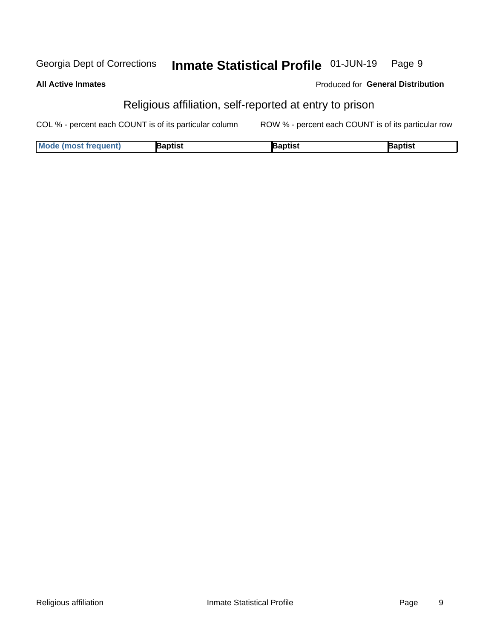#### Inmate Statistical Profile 01-JUN-19 Georgia Dept of Corrections Page 9

### **All Active Inmates**

### Produced for General Distribution

## Religious affiliation, self-reported at entry to prison

COL % - percent each COUNT is of its particular column ROW % - percent each COUNT is of its particular row

| <b>Mode (most frequent)</b> | Baptist | 3aptist | Baptist |
|-----------------------------|---------|---------|---------|
|-----------------------------|---------|---------|---------|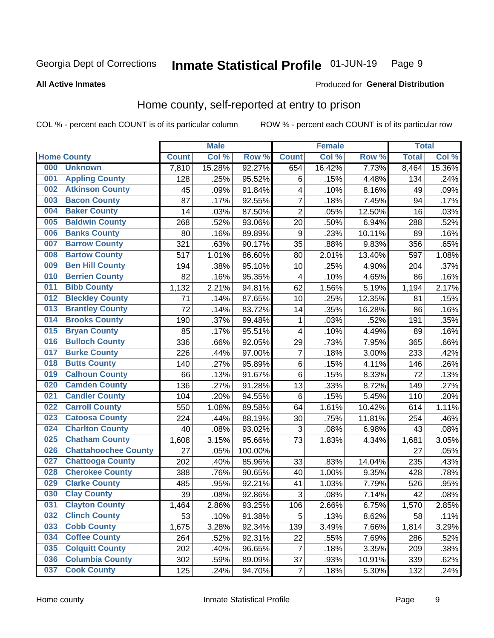### Inmate Statistical Profile 01-JUN-19 Page 9

### **All Active Inmates**

### Produced for General Distribution

## Home county, self-reported at entry to prison

COL % - percent each COUNT is of its particular column

|     |                             |              | <b>Male</b> |                  |                  | <b>Female</b> |        | <b>Total</b> |        |
|-----|-----------------------------|--------------|-------------|------------------|------------------|---------------|--------|--------------|--------|
|     | <b>Home County</b>          | <b>Count</b> | Col %       | Row <sup>%</sup> | <b>Count</b>     | Col %         | Row %  | <b>Total</b> | Col %  |
| 000 | <b>Unknown</b>              | 7,810        | 15.28%      | 92.27%           | 654              | 16.42%        | 7.73%  | 8,464        | 15.36% |
| 001 | <b>Appling County</b>       | 128          | .25%        | 95.52%           | 6                | .15%          | 4.48%  | 134          | .24%   |
| 002 | <b>Atkinson County</b>      | 45           | .09%        | 91.84%           | 4                | .10%          | 8.16%  | 49           | .09%   |
| 003 | <b>Bacon County</b>         | 87           | .17%        | 92.55%           | $\overline{7}$   | .18%          | 7.45%  | 94           | .17%   |
| 004 | <b>Baker County</b>         | 14           | .03%        | 87.50%           | $\overline{2}$   | .05%          | 12.50% | 16           | .03%   |
| 005 | <b>Baldwin County</b>       | 268          | .52%        | 93.06%           | 20               | .50%          | 6.94%  | 288          | .52%   |
| 006 | <b>Banks County</b>         | 80           | .16%        | 89.89%           | $\boldsymbol{9}$ | .23%          | 10.11% | 89           | .16%   |
| 007 | <b>Barrow County</b>        | 321          | .63%        | 90.17%           | 35               | .88%          | 9.83%  | 356          | .65%   |
| 008 | <b>Bartow County</b>        | 517          | 1.01%       | 86.60%           | 80               | 2.01%         | 13.40% | 597          | 1.08%  |
| 009 | <b>Ben Hill County</b>      | 194          | .38%        | 95.10%           | 10               | .25%          | 4.90%  | 204          | .37%   |
| 010 | <b>Berrien County</b>       | 82           | .16%        | 95.35%           | 4                | .10%          | 4.65%  | 86           | .16%   |
| 011 | <b>Bibb County</b>          | 1,132        | 2.21%       | 94.81%           | 62               | 1.56%         | 5.19%  | 1,194        | 2.17%  |
| 012 | <b>Bleckley County</b>      | 71           | .14%        | 87.65%           | 10               | .25%          | 12.35% | 81           | .15%   |
| 013 | <b>Brantley County</b>      | 72           | .14%        | 83.72%           | 14               | .35%          | 16.28% | 86           | .16%   |
| 014 | <b>Brooks County</b>        | 190          | .37%        | 99.48%           | 1                | .03%          | .52%   | 191          | .35%   |
| 015 | <b>Bryan County</b>         | 85           | .17%        | 95.51%           | 4                | .10%          | 4.49%  | 89           | .16%   |
| 016 | <b>Bulloch County</b>       | 336          | .66%        | 92.05%           | 29               | .73%          | 7.95%  | 365          | .66%   |
| 017 | <b>Burke County</b>         | 226          | .44%        | 97.00%           | 7                | .18%          | 3.00%  | 233          | .42%   |
| 018 | <b>Butts County</b>         | 140          | .27%        | 95.89%           | $\,6$            | .15%          | 4.11%  | 146          | .26%   |
| 019 | <b>Calhoun County</b>       | 66           | .13%        | 91.67%           | 6                | .15%          | 8.33%  | 72           | .13%   |
| 020 | <b>Camden County</b>        | 136          | .27%        | 91.28%           | 13               | .33%          | 8.72%  | 149          | .27%   |
| 021 | <b>Candler County</b>       | 104          | .20%        | 94.55%           | $\,6$            | .15%          | 5.45%  | 110          | .20%   |
| 022 | <b>Carroll County</b>       | 550          | 1.08%       | 89.58%           | 64               | 1.61%         | 10.42% | 614          | 1.11%  |
| 023 | <b>Catoosa County</b>       | 224          | .44%        | 88.19%           | 30               | .75%          | 11.81% | 254          | .46%   |
| 024 | <b>Charlton County</b>      | 40           | .08%        | 93.02%           | 3                | .08%          | 6.98%  | 43           | .08%   |
| 025 | <b>Chatham County</b>       | 1,608        | 3.15%       | 95.66%           | 73               | 1.83%         | 4.34%  | 1,681        | 3.05%  |
| 026 | <b>Chattahoochee County</b> | 27           | .05%        | 100.00%          |                  |               |        | 27           | .05%   |
| 027 | <b>Chattooga County</b>     | 202          | .40%        | 85.96%           | 33               | .83%          | 14.04% | 235          | .43%   |
| 028 | <b>Cherokee County</b>      | 388          | .76%        | 90.65%           | 40               | 1.00%         | 9.35%  | 428          | .78%   |
| 029 | <b>Clarke County</b>        | 485          | .95%        | 92.21%           | 41               | 1.03%         | 7.79%  | 526          | .95%   |
| 030 | <b>Clay County</b>          | 39           | .08%        | 92.86%           | $\mathbf{3}$     | .08%          | 7.14%  | 42           | .08%   |
| 031 | <b>Clayton County</b>       | 1,464        | 2.86%       | 93.25%           | 106              | 2.66%         | 6.75%  | 1,570        | 2.85%  |
| 032 | <b>Clinch County</b>        | 53           | .10%        | 91.38%           | 5                | .13%          | 8.62%  | 58           | .11%   |
| 033 | <b>Cobb County</b>          | 1,675        | 3.28%       | 92.34%           | 139              | 3.49%         | 7.66%  | 1,814        | 3.29%  |
| 034 | <b>Coffee County</b>        | 264          | .52%        | 92.31%           | 22               | .55%          | 7.69%  | 286          | .52%   |
| 035 | <b>Colquitt County</b>      | 202          | .40%        | 96.65%           | $\overline{7}$   | .18%          | 3.35%  | 209          | .38%   |
| 036 | <b>Columbia County</b>      | 302          | .59%        | 89.09%           | 37               | .93%          | 10.91% | 339          | .62%   |
| 037 | <b>Cook County</b>          | 125          | .24%        | 94.70%           | $\overline{7}$   | .18%          | 5.30%  | 132          | .24%   |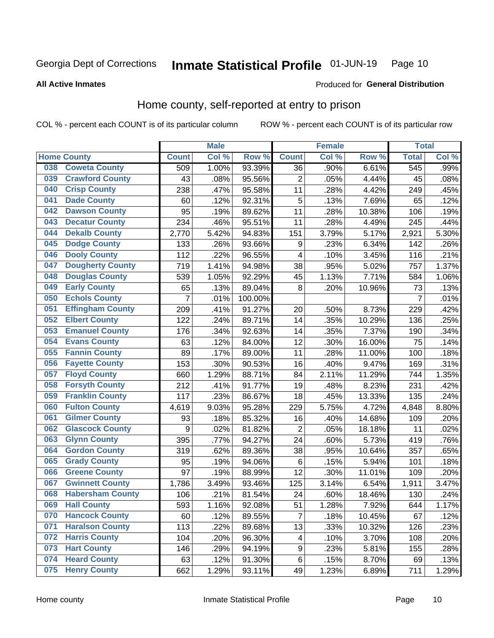### Inmate Statistical Profile 01-JUN-19 Page 10

**All Active Inmates** 

### Produced for General Distribution

## Home county, self-reported at entry to prison

COL % - percent each COUNT is of its particular column

|     |                         |                | <b>Male</b> |                  |                         | <b>Female</b> |        | <b>Total</b>     |       |
|-----|-------------------------|----------------|-------------|------------------|-------------------------|---------------|--------|------------------|-------|
|     | <b>Home County</b>      | <b>Count</b>   | Col %       | Row <sup>%</sup> | <b>Count</b>            | Col %         | Row %  | <b>Total</b>     | Col % |
| 038 | <b>Coweta County</b>    | 509            | 1.00%       | 93.39%           | 36                      | .90%          | 6.61%  | $\overline{545}$ | .99%  |
| 039 | <b>Crawford County</b>  | 43             | .08%        | 95.56%           | $\overline{2}$          | .05%          | 4.44%  | 45               | .08%  |
| 040 | <b>Crisp County</b>     | 238            | .47%        | 95.58%           | 11                      | .28%          | 4.42%  | 249              | .45%  |
| 041 | <b>Dade County</b>      | 60             | .12%        | 92.31%           | 5                       | .13%          | 7.69%  | 65               | .12%  |
| 042 | <b>Dawson County</b>    | 95             | .19%        | 89.62%           | 11                      | .28%          | 10.38% | 106              | .19%  |
| 043 | <b>Decatur County</b>   | 234            | .46%        | 95.51%           | 11                      | .28%          | 4.49%  | 245              | .44%  |
| 044 | <b>Dekalb County</b>    | 2,770          | 5.42%       | 94.83%           | 151                     | 3.79%         | 5.17%  | 2,921            | 5.30% |
| 045 | <b>Dodge County</b>     | 133            | .26%        | 93.66%           | 9                       | .23%          | 6.34%  | 142              | .26%  |
| 046 | <b>Dooly County</b>     | 112            | .22%        | 96.55%           | 4                       | .10%          | 3.45%  | 116              | .21%  |
| 047 | <b>Dougherty County</b> | 719            | 1.41%       | 94.98%           | 38                      | .95%          | 5.02%  | 757              | 1.37% |
| 048 | <b>Douglas County</b>   | 539            | 1.05%       | 92.29%           | 45                      | 1.13%         | 7.71%  | 584              | 1.06% |
| 049 | <b>Early County</b>     | 65             | .13%        | 89.04%           | 8                       | .20%          | 10.96% | 73               | .13%  |
| 050 | <b>Echols County</b>    | $\overline{7}$ | .01%        | 100.00%          |                         |               |        | $\overline{7}$   | .01%  |
| 051 | <b>Effingham County</b> | 209            | .41%        | 91.27%           | 20                      | .50%          | 8.73%  | 229              | .42%  |
| 052 | <b>Elbert County</b>    | 122            | .24%        | 89.71%           | 14                      | .35%          | 10.29% | 136              | .25%  |
| 053 | <b>Emanuel County</b>   | 176            | .34%        | 92.63%           | 14                      | .35%          | 7.37%  | 190              | .34%  |
| 054 | <b>Evans County</b>     | 63             | .12%        | 84.00%           | 12                      | .30%          | 16.00% | 75               | .14%  |
| 055 | <b>Fannin County</b>    | 89             | .17%        | 89.00%           | 11                      | .28%          | 11.00% | 100              | .18%  |
| 056 | <b>Fayette County</b>   | 153            | .30%        | 90.53%           | 16                      | .40%          | 9.47%  | 169              | .31%  |
| 057 | <b>Floyd County</b>     | 660            | 1.29%       | 88.71%           | 84                      | 2.11%         | 11.29% | 744              | 1.35% |
| 058 | <b>Forsyth County</b>   | 212            | .41%        | 91.77%           | 19                      | .48%          | 8.23%  | 231              | .42%  |
| 059 | <b>Franklin County</b>  | 117            | .23%        | 86.67%           | 18                      | .45%          | 13.33% | 135              | .24%  |
| 060 | <b>Fulton County</b>    | 4,619          | 9.03%       | 95.28%           | 229                     | 5.75%         | 4.72%  | 4,848            | 8.80% |
| 061 | <b>Gilmer County</b>    | 93             | .18%        | 85.32%           | 16                      | .40%          | 14.68% | 109              | .20%  |
| 062 | <b>Glascock County</b>  | 9              | .02%        | 81.82%           | $\overline{2}$          | .05%          | 18.18% | 11               | .02%  |
| 063 | <b>Glynn County</b>     | 395            | .77%        | 94.27%           | 24                      | .60%          | 5.73%  | 419              | .76%  |
| 064 | <b>Gordon County</b>    | 319            | .62%        | 89.36%           | 38                      | .95%          | 10.64% | 357              | .65%  |
| 065 | <b>Grady County</b>     | 95             | .19%        | 94.06%           | 6                       | .15%          | 5.94%  | 101              | .18%  |
| 066 | <b>Greene County</b>    | 97             | .19%        | 88.99%           | 12                      | .30%          | 11.01% | 109              | .20%  |
| 067 | <b>Gwinnett County</b>  | 1,786          | 3.49%       | 93.46%           | 125                     | 3.14%         | 6.54%  | 1,911            | 3.47% |
| 068 | <b>Habersham County</b> | 106            | .21%        | 81.54%           | 24                      | .60%          | 18.46% | 130              | .24%  |
| 069 | <b>Hall County</b>      | 593            | 1.16%       | 92.08%           | 51                      | 1.28%         | 7.92%  | 644              | 1.17% |
| 070 | <b>Hancock County</b>   | 60             | .12%        | 89.55%           | $\overline{7}$          | .18%          | 10.45% | 67               | .12%  |
| 071 | <b>Haralson County</b>  | 113            | .22%        | 89.68%           | 13                      | .33%          | 10.32% | 126              | .23%  |
| 072 | <b>Harris County</b>    | 104            | .20%        | 96.30%           | $\overline{\mathbf{4}}$ | .10%          | 3.70%  | 108              | .20%  |
| 073 | <b>Hart County</b>      | 146            | .29%        | 94.19%           | 9                       | .23%          | 5.81%  | 155              | .28%  |
| 074 | <b>Heard County</b>     | 63             | .12%        | 91.30%           | $\,6$                   | .15%          | 8.70%  | 69               | .13%  |
| 075 | <b>Henry County</b>     | 662            | 1.29%       | 93.11%           | 49                      | 1.23%         | 6.89%  | 711              | 1.29% |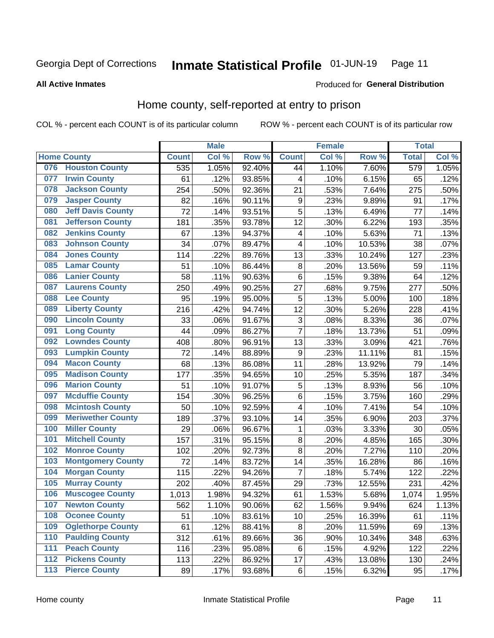### Inmate Statistical Profile 01-JUN-19 Page 11

### **All Active Inmates**

## Produced for General Distribution

## Home county, self-reported at entry to prison

COL % - percent each COUNT is of its particular column

|                  |                          |              | <b>Male</b> |        |                | <b>Female</b> |                  | <b>Total</b> |       |
|------------------|--------------------------|--------------|-------------|--------|----------------|---------------|------------------|--------------|-------|
|                  | <b>Home County</b>       | <b>Count</b> | Col %       | Row %  | <b>Count</b>   | Col %         | Row <sup>%</sup> | <b>Total</b> | Col % |
| 076              | <b>Houston County</b>    | 535          | 1.05%       | 92.40% | 44             | 1.10%         | 7.60%            | 579          | 1.05% |
| 077              | <b>Irwin County</b>      | 61           | .12%        | 93.85% | 4              | .10%          | 6.15%            | 65           | .12%  |
| 078              | <b>Jackson County</b>    | 254          | .50%        | 92.36% | 21             | .53%          | 7.64%            | 275          | .50%  |
| 079              | <b>Jasper County</b>     | 82           | .16%        | 90.11% | 9              | .23%          | 9.89%            | 91           | .17%  |
| 080              | <b>Jeff Davis County</b> | 72           | .14%        | 93.51% | 5              | .13%          | 6.49%            | 77           | .14%  |
| 081              | <b>Jefferson County</b>  | 181          | .35%        | 93.78% | 12             | .30%          | 6.22%            | 193          | .35%  |
| 082              | <b>Jenkins County</b>    | 67           | .13%        | 94.37% | 4              | .10%          | 5.63%            | 71           | .13%  |
| 083              | <b>Johnson County</b>    | 34           | .07%        | 89.47% | 4              | .10%          | 10.53%           | 38           | .07%  |
| 084              | <b>Jones County</b>      | 114          | .22%        | 89.76% | 13             | .33%          | 10.24%           | 127          | .23%  |
| 085              | <b>Lamar County</b>      | 51           | .10%        | 86.44% | 8              | .20%          | 13.56%           | 59           | .11%  |
| 086              | <b>Lanier County</b>     | 58           | .11%        | 90.63% | $\,6$          | .15%          | 9.38%            | 64           | .12%  |
| 087              | <b>Laurens County</b>    | 250          | .49%        | 90.25% | 27             | .68%          | 9.75%            | 277          | .50%  |
| 088              | <b>Lee County</b>        | 95           | .19%        | 95.00% | 5              | .13%          | 5.00%            | 100          | .18%  |
| 089              | <b>Liberty County</b>    | 216          | .42%        | 94.74% | 12             | .30%          | 5.26%            | 228          | .41%  |
| 090              | <b>Lincoln County</b>    | 33           | .06%        | 91.67% | 3              | .08%          | 8.33%            | 36           | .07%  |
| 091              | <b>Long County</b>       | 44           | .09%        | 86.27% | $\overline{7}$ | .18%          | 13.73%           | 51           | .09%  |
| 092              | <b>Lowndes County</b>    | 408          | .80%        | 96.91% | 13             | .33%          | 3.09%            | 421          | .76%  |
| 093              | <b>Lumpkin County</b>    | 72           | .14%        | 88.89% | 9              | .23%          | 11.11%           | 81           | .15%  |
| 094              | <b>Macon County</b>      | 68           | .13%        | 86.08% | 11             | .28%          | 13.92%           | 79           | .14%  |
| 095              | <b>Madison County</b>    | 177          | .35%        | 94.65% | 10             | .25%          | 5.35%            | 187          | .34%  |
| 096              | <b>Marion County</b>     | 51           | .10%        | 91.07% | 5              | .13%          | 8.93%            | 56           | .10%  |
| 097              | <b>Mcduffie County</b>   | 154          | .30%        | 96.25% | $\,6$          | .15%          | 3.75%            | 160          | .29%  |
| 098              | <b>Mcintosh County</b>   | 50           | .10%        | 92.59% | 4              | .10%          | 7.41%            | 54           | .10%  |
| 099              | <b>Meriwether County</b> | 189          | .37%        | 93.10% | 14             | .35%          | 6.90%            | 203          | .37%  |
| 100              | <b>Miller County</b>     | 29           | .06%        | 96.67% | $\mathbf{1}$   | .03%          | 3.33%            | 30           | .05%  |
| 101              | <b>Mitchell County</b>   | 157          | .31%        | 95.15% | 8              | .20%          | 4.85%            | 165          | .30%  |
| 102              | <b>Monroe County</b>     | 102          | .20%        | 92.73% | 8              | .20%          | 7.27%            | 110          | .20%  |
| 103              | <b>Montgomery County</b> | 72           | .14%        | 83.72% | 14             | .35%          | 16.28%           | 86           | .16%  |
| 104              | <b>Morgan County</b>     | 115          | .22%        | 94.26% | $\overline{7}$ | .18%          | 5.74%            | 122          | .22%  |
| 105              | <b>Murray County</b>     | 202          | .40%        | 87.45% | 29             | .73%          | 12.55%           | 231          | .42%  |
| 106              | <b>Muscogee County</b>   | 1,013        | 1.98%       | 94.32% | 61             | 1.53%         | 5.68%            | 1,074        | 1.95% |
| 107              | <b>Newton County</b>     | 562          | 1.10%       | 90.06% | 62             | 1.56%         | 9.94%            | 624          | 1.13% |
| 108              | <b>Oconee County</b>     | 51           | .10%        | 83.61% | 10             | .25%          | 16.39%           | 61           | .11%  |
| 109              | <b>Oglethorpe County</b> | 61           | .12%        | 88.41% | 8              | .20%          | 11.59%           | 69           | .13%  |
| 110              | <b>Paulding County</b>   | 312          | .61%        | 89.66% | 36             | .90%          | 10.34%           | 348          | .63%  |
| 111              | <b>Peach County</b>      | 116          | .23%        | 95.08% | 6              | .15%          | 4.92%            | 122          | .22%  |
| $\overline{112}$ | <b>Pickens County</b>    | 113          | .22%        | 86.92% | 17             | .43%          | 13.08%           | 130          | .24%  |
| 113              | <b>Pierce County</b>     | 89           | .17%        | 93.68% | $\,6$          | .15%          | 6.32%            | 95           | .17%  |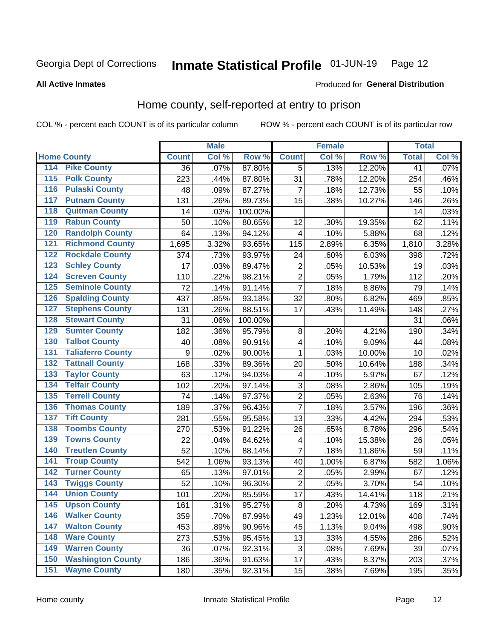### Inmate Statistical Profile 01-JUN-19 Page 12

**All Active Inmates** 

### Produced for General Distribution

## Home county, self-reported at entry to prison

COL % - percent each COUNT is of its particular column

|                  |                          |              | <b>Male</b> |         |                         | <b>Female</b> |        | <b>Total</b> |       |
|------------------|--------------------------|--------------|-------------|---------|-------------------------|---------------|--------|--------------|-------|
|                  | <b>Home County</b>       | <b>Count</b> | Col %       | Row %   | <b>Count</b>            | Col %         | Row %  | <b>Total</b> | Col % |
| 114              | <b>Pike County</b>       | 36           | .07%        | 87.80%  | 5                       | .13%          | 12.20% | 41           | .07%  |
| $\overline{115}$ | <b>Polk County</b>       | 223          | .44%        | 87.80%  | 31                      | .78%          | 12.20% | 254          | .46%  |
| 116              | <b>Pulaski County</b>    | 48           | .09%        | 87.27%  | $\overline{7}$          | .18%          | 12.73% | 55           | .10%  |
| 117              | <b>Putnam County</b>     | 131          | .26%        | 89.73%  | 15                      | .38%          | 10.27% | 146          | .26%  |
| 118              | <b>Quitman County</b>    | 14           | .03%        | 100.00% |                         |               |        | 14           | .03%  |
| 119              | <b>Rabun County</b>      | 50           | .10%        | 80.65%  | 12                      | .30%          | 19.35% | 62           | .11%  |
| 120              | <b>Randolph County</b>   | 64           | .13%        | 94.12%  | 4                       | .10%          | 5.88%  | 68           | .12%  |
| 121              | <b>Richmond County</b>   | 1,695        | 3.32%       | 93.65%  | 115                     | 2.89%         | 6.35%  | 1,810        | 3.28% |
| 122              | <b>Rockdale County</b>   | 374          | .73%        | 93.97%  | 24                      | .60%          | 6.03%  | 398          | .72%  |
| 123              | <b>Schley County</b>     | 17           | .03%        | 89.47%  | $\overline{\mathbf{c}}$ | .05%          | 10.53% | 19           | .03%  |
| 124              | <b>Screven County</b>    | 110          | .22%        | 98.21%  | $\overline{2}$          | .05%          | 1.79%  | 112          | .20%  |
| 125              | <b>Seminole County</b>   | 72           | .14%        | 91.14%  | $\overline{7}$          | .18%          | 8.86%  | 79           | .14%  |
| 126              | <b>Spalding County</b>   | 437          | .85%        | 93.18%  | 32                      | .80%          | 6.82%  | 469          | .85%  |
| 127              | <b>Stephens County</b>   | 131          | .26%        | 88.51%  | 17                      | .43%          | 11.49% | 148          | .27%  |
| 128              | <b>Stewart County</b>    | 31           | .06%        | 100.00% |                         |               |        | 31           | .06%  |
| 129              | <b>Sumter County</b>     | 182          | .36%        | 95.79%  | 8                       | .20%          | 4.21%  | 190          | .34%  |
| 130              | <b>Talbot County</b>     | 40           | .08%        | 90.91%  | $\overline{\mathbf{4}}$ | .10%          | 9.09%  | 44           | .08%  |
| 131              | <b>Taliaferro County</b> | 9            | .02%        | 90.00%  | 1                       | .03%          | 10.00% | 10           | .02%  |
| 132              | <b>Tattnall County</b>   | 168          | .33%        | 89.36%  | 20                      | .50%          | 10.64% | 188          | .34%  |
| 133              | <b>Taylor County</b>     | 63           | .12%        | 94.03%  | $\overline{\mathbf{4}}$ | .10%          | 5.97%  | 67           | .12%  |
| 134              | <b>Telfair County</b>    | 102          | .20%        | 97.14%  | 3                       | .08%          | 2.86%  | 105          | .19%  |
| 135              | <b>Terrell County</b>    | 74           | .14%        | 97.37%  | $\mathbf 2$             | .05%          | 2.63%  | 76           | .14%  |
| 136              | <b>Thomas County</b>     | 189          | .37%        | 96.43%  | $\overline{7}$          | .18%          | 3.57%  | 196          | .36%  |
| 137              | <b>Tift County</b>       | 281          | .55%        | 95.58%  | 13                      | .33%          | 4.42%  | 294          | .53%  |
| 138              | <b>Toombs County</b>     | 270          | .53%        | 91.22%  | 26                      | .65%          | 8.78%  | 296          | .54%  |
| 139              | <b>Towns County</b>      | 22           | .04%        | 84.62%  | 4                       | .10%          | 15.38% | 26           | .05%  |
| 140              | <b>Treutlen County</b>   | 52           | .10%        | 88.14%  | $\overline{7}$          | .18%          | 11.86% | 59           | .11%  |
| 141              | <b>Troup County</b>      | 542          | 1.06%       | 93.13%  | 40                      | 1.00%         | 6.87%  | 582          | 1.06% |
| 142              | <b>Turner County</b>     | 65           | .13%        | 97.01%  | $\overline{\mathbf{c}}$ | .05%          | 2.99%  | 67           | .12%  |
| 143              | <b>Twiggs County</b>     | 52           | .10%        | 96.30%  | $\mathbf 2$             | .05%          | 3.70%  | 54           | .10%  |
| 144              | <b>Union County</b>      | 101          | .20%        | 85.59%  | 17                      | .43%          | 14.41% | 118          | .21%  |
| 145              | <b>Upson County</b>      | 161          | .31%        | 95.27%  | 8                       | .20%          | 4.73%  | 169          | .31%  |
| 146              | <b>Walker County</b>     | 359          | .70%        | 87.99%  | 49                      | 1.23%         | 12.01% | 408          | .74%  |
| 147              | <b>Walton County</b>     | 453          | .89%        | 90.96%  | 45                      | 1.13%         | 9.04%  | 498          | .90%  |
| 148              | <b>Ware County</b>       | 273          | .53%        | 95.45%  | 13                      | .33%          | 4.55%  | 286          | .52%  |
| 149              | <b>Warren County</b>     | 36           | .07%        | 92.31%  | 3                       | .08%          | 7.69%  | 39           | .07%  |
| 150              | <b>Washington County</b> | 186          | .36%        | 91.63%  | 17                      | .43%          | 8.37%  | 203          | .37%  |
| 151              | <b>Wayne County</b>      | 180          | .35%        | 92.31%  | 15                      | .38%          | 7.69%  | 195          | .35%  |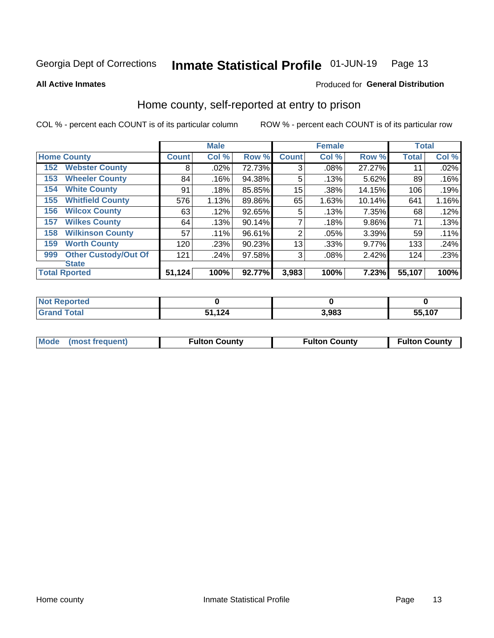### Inmate Statistical Profile 01-JUN-19 Page 13

**All Active Inmates** 

### Produced for General Distribution

## Home county, self-reported at entry to prison

COL % - percent each COUNT is of its particular column

|     |                             |              | <b>Male</b> |        |                | <b>Female</b> |        | <b>Total</b> |       |
|-----|-----------------------------|--------------|-------------|--------|----------------|---------------|--------|--------------|-------|
|     | <b>Home County</b>          | <b>Count</b> | Col %       | Row %  | <b>Count</b>   | Col %         | Row %  | <b>Total</b> | Col % |
| 152 | <b>Webster County</b>       | 8            | .02%        | 72.73% | 3              | .08%          | 27.27% | 11           | .02%  |
| 153 | <b>Wheeler County</b>       | 84           | .16%        | 94.38% | 5              | .13%          | 5.62%  | 89           | .16%  |
| 154 | <b>White County</b>         | 91           | .18%        | 85.85% | 15             | .38%          | 14.15% | 106          | .19%  |
| 155 | <b>Whitfield County</b>     | 576          | 1.13%       | 89.86% | 65             | 1.63%         | 10.14% | 641          | 1.16% |
| 156 | <b>Wilcox County</b>        | 63           | .12%        | 92.65% | 5              | .13%          | 7.35%  | 68           | .12%  |
| 157 | <b>Wilkes County</b>        | 64           | .13%        | 90.14% | 7              | .18%          | 9.86%  | 71           | .13%  |
| 158 | <b>Wilkinson County</b>     | 57           | .11%        | 96.61% | $\overline{2}$ | .05%          | 3.39%  | 59           | .11%  |
| 159 | <b>Worth County</b>         | 120          | .23%        | 90.23% | 13             | .33%          | 9.77%  | 133          | .24%  |
| 999 | <b>Other Custody/Out Of</b> | 121          | .24%        | 97.58% | 3              | .08%          | 2.42%  | 124          | .23%  |
|     | <b>State</b>                |              |             |        |                |               |        |              |       |
|     | <b>Total Rported</b>        | 51,124       | 100%        | 92.77% | 3,983          | 100%          | 7.23%  | 55,107       | 100%  |

| <b>Not</b><br>keportea |           |       |        |
|------------------------|-----------|-------|--------|
| <b>otal</b>            | 124<br>E4 | 3.983 | 55,107 |

| Mode (most frequent) | <b>Fulton County</b> | <b>Fulton County</b> | <b>Fulton County</b> |
|----------------------|----------------------|----------------------|----------------------|
|                      |                      |                      |                      |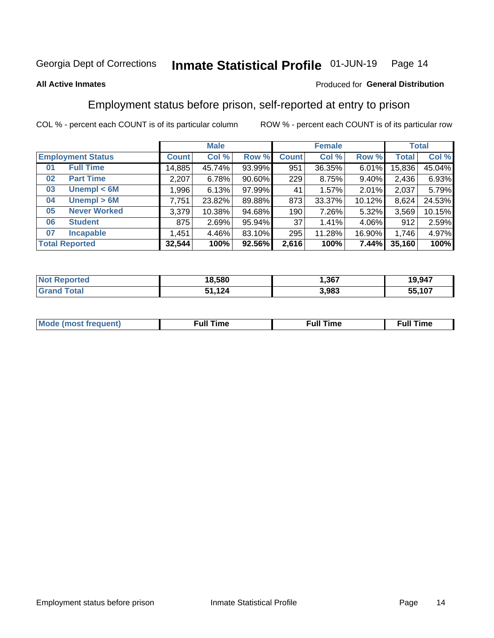#### Inmate Statistical Profile 01-JUN-19 Page 14

### **All Active Inmates**

### Produced for General Distribution

## Employment status before prison, self-reported at entry to prison

COL % - percent each COUNT is of its particular column

|                           | <b>Male</b>  |        |           |              | <b>Female</b> | <b>Total</b> |              |        |
|---------------------------|--------------|--------|-----------|--------------|---------------|--------------|--------------|--------|
| <b>Employment Status</b>  | <b>Count</b> | Col %  | Row %     | <b>Count</b> | Col %         | Row %        | <b>Total</b> | Col %  |
| <b>Full Time</b><br>01    | 14,885       | 45.74% | 93.99%    | 951          | 36.35%        | 6.01%        | 15,836       | 45.04% |
| <b>Part Time</b><br>02    | 2,207        | 6.78%  | $90.60\%$ | 229          | 8.75%         | 9.40%        | 2,436        | 6.93%  |
| Unempl $<$ 6M<br>03       | ∣ 996, ا     | 6.13%  | 97.99%    | 41           | 1.57%         | 2.01%        | 2,037        | 5.79%  |
| Unempl > 6M<br>04         | 7,751        | 23.82% | 89.88%    | 873          | 33.37%        | 10.12%       | 8,624        | 24.53% |
| <b>Never Worked</b><br>05 | 3,379        | 10.38% | 94.68%    | 190          | 7.26%         | 5.32%        | 3,569        | 10.15% |
| <b>Student</b><br>06      | 875          | 2.69%  | 95.94%    | 37           | 1.41%         | 4.06%        | 912          | 2.59%  |
| <b>Incapable</b><br>07    | 1,451        | 4.46%  | 83.10%    | 295          | 11.28%        | 16.90%       | 1,746        | 4.97%  |
| <b>Total Reported</b>     | 32,544       | 100%   | 92.56%    | 2,616        | 100%          | 7.44%        | 35,160       | 100%   |

| тес<br>NO       | 18,580 | .367  | 19,947     |
|-----------------|--------|-------|------------|
| $\sim$ 4 $\sim$ | .124   | 3,983 | ,107<br>55 |

| Mc | ∴ull | ----<br>ıme<br>w |
|----|------|------------------|
|    |      |                  |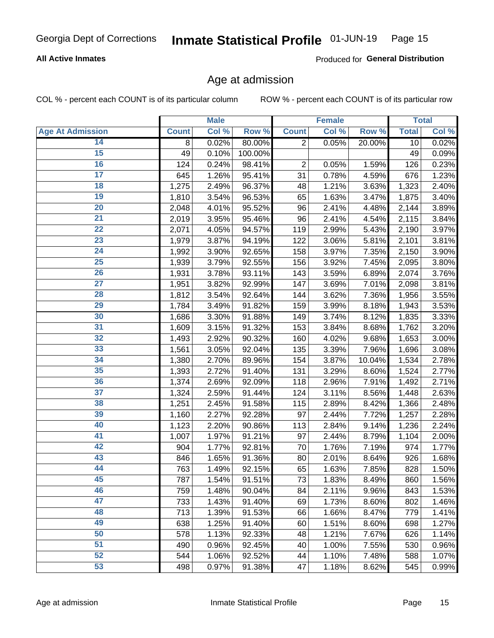## Inmate Statistical Profile 01-JUN-19 Page 15

### **All Active Inmates**

Produced for General Distribution

## Age at admission

COL % - percent each COUNT is of its particular column

|                         |              | <b>Male</b> |         |                | <b>Female</b> |        |              | <b>Total</b> |
|-------------------------|--------------|-------------|---------|----------------|---------------|--------|--------------|--------------|
| <b>Age At Admission</b> | <b>Count</b> | Col %       | Row %   | <b>Count</b>   | Col %         | Row %  | <b>Total</b> | Col %        |
| 14                      | 8            | 0.02%       | 80.00%  | $\overline{2}$ | 0.05%         | 20.00% | 10           | 0.02%        |
| $\overline{15}$         | 49           | 0.10%       | 100.00% |                |               |        | 49           | 0.09%        |
| 16                      | 124          | 0.24%       | 98.41%  | $\mathbf 2$    | 0.05%         | 1.59%  | 126          | 0.23%        |
| $\overline{17}$         | 645          | 1.26%       | 95.41%  | 31             | 0.78%         | 4.59%  | 676          | 1.23%        |
| $\overline{18}$         | 1,275        | 2.49%       | 96.37%  | 48             | 1.21%         | 3.63%  | 1,323        | 2.40%        |
| 19                      | 1,810        | 3.54%       | 96.53%  | 65             | 1.63%         | 3.47%  | 1,875        | 3.40%        |
| 20                      | 2,048        | 4.01%       | 95.52%  | 96             | 2.41%         | 4.48%  | 2,144        | 3.89%        |
| $\overline{21}$         | 2,019        | 3.95%       | 95.46%  | 96             | 2.41%         | 4.54%  | 2,115        | 3.84%        |
| $\overline{22}$         | 2,071        | 4.05%       | 94.57%  | 119            | 2.99%         | 5.43%  | 2,190        | 3.97%        |
| 23                      | 1,979        | 3.87%       | 94.19%  | 122            | 3.06%         | 5.81%  | 2,101        | 3.81%        |
| 24                      | 1,992        | 3.90%       | 92.65%  | 158            | 3.97%         | 7.35%  | 2,150        | 3.90%        |
| $\overline{25}$         | 1,939        | 3.79%       | 92.55%  | 156            | 3.92%         | 7.45%  | 2,095        | 3.80%        |
| 26                      | 1,931        | 3.78%       | 93.11%  | 143            | 3.59%         | 6.89%  | 2,074        | 3.76%        |
| $\overline{27}$         | 1,951        | 3.82%       | 92.99%  | 147            | 3.69%         | 7.01%  | 2,098        | 3.81%        |
| 28                      | 1,812        | 3.54%       | 92.64%  | 144            | 3.62%         | 7.36%  | 1,956        | 3.55%        |
| 29                      | 1,784        | 3.49%       | 91.82%  | 159            | 3.99%         | 8.18%  | 1,943        | 3.53%        |
| 30                      | 1,686        | 3.30%       | 91.88%  | 149            | 3.74%         | 8.12%  | 1,835        | 3.33%        |
| 31                      | 1,609        | 3.15%       | 91.32%  | 153            | 3.84%         | 8.68%  | 1,762        | 3.20%        |
| 32                      | 1,493        | 2.92%       | 90.32%  | 160            | 4.02%         | 9.68%  | 1,653        | 3.00%        |
| 33                      | 1,561        | 3.05%       | 92.04%  | 135            | 3.39%         | 7.96%  | 1,696        | 3.08%        |
| 34                      | 1,380        | 2.70%       | 89.96%  | 154            | 3.87%         | 10.04% | 1,534        | 2.78%        |
| 35                      | 1,393        | 2.72%       | 91.40%  | 131            | 3.29%         | 8.60%  | 1,524        | 2.77%        |
| 36                      | 1,374        | 2.69%       | 92.09%  | 118            | 2.96%         | 7.91%  | 1,492        | 2.71%        |
| $\overline{37}$         | 1,324        | 2.59%       | 91.44%  | 124            | 3.11%         | 8.56%  | 1,448        | 2.63%        |
| 38                      | 1,251        | 2.45%       | 91.58%  | 115            | 2.89%         | 8.42%  | 1,366        | 2.48%        |
| 39                      | 1,160        | 2.27%       | 92.28%  | 97             | 2.44%         | 7.72%  | 1,257        | 2.28%        |
| 40                      | 1,123        | 2.20%       | 90.86%  | 113            | 2.84%         | 9.14%  | 1,236        | 2.24%        |
| 41                      | 1,007        | 1.97%       | 91.21%  | 97             | 2.44%         | 8.79%  | 1,104        | 2.00%        |
| 42                      | 904          | 1.77%       | 92.81%  | 70             | 1.76%         | 7.19%  | 974          | 1.77%        |
| 43                      | 846          | 1.65%       | 91.36%  | 80             | 2.01%         | 8.64%  | 926          | 1.68%        |
| 44                      | 763          | 1.49%       | 92.15%  | 65             | 1.63%         | 7.85%  | 828          | 1.50%        |
| 45                      | 787          | 1.54%       | 91.51%  | 73             | 1.83%         | 8.49%  | 860          | 1.56%        |
| 46                      | 759          | 1.48%       | 90.04%  | 84             | 2.11%         | 9.96%  | 843          | 1.53%        |
| 47                      | 733          | 1.43%       | 91.40%  | 69             | 1.73%         | 8.60%  | 802          | 1.46%        |
| 48                      | 713          | 1.39%       | 91.53%  | 66             | 1.66%         | 8.47%  | 779          | 1.41%        |
| 49                      | 638          | 1.25%       | 91.40%  | 60             | 1.51%         | 8.60%  | 698          | 1.27%        |
| 50                      | 578          | 1.13%       | 92.33%  | 48             | 1.21%         | 7.67%  | 626          | 1.14%        |
| 51                      | 490          | 0.96%       | 92.45%  | 40             | 1.00%         | 7.55%  | 530          | 0.96%        |
| 52                      | 544          | 1.06%       | 92.52%  | 44             | 1.10%         | 7.48%  | 588          | 1.07%        |
| 53                      | 498          | 0.97%       | 91.38%  | 47             | 1.18%         | 8.62%  | 545          | 0.99%        |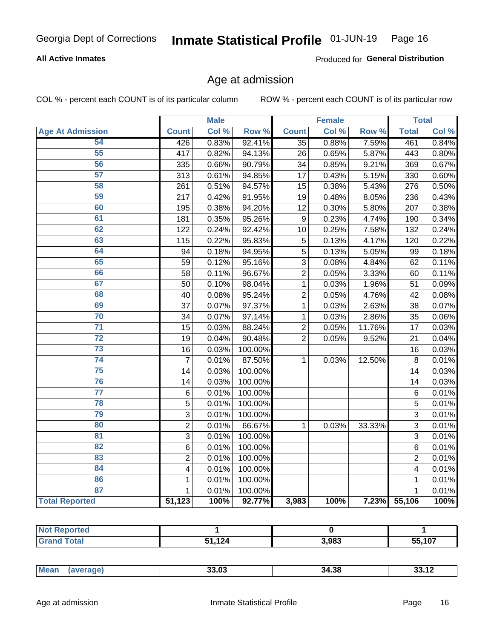## Inmate Statistical Profile 01-JUN-19 Page 16

### **All Active Inmates**

Produced for General Distribution

## Age at admission

COL % - percent each COUNT is of its particular column

|                         |                         | <b>Male</b> |         |                 | <b>Female</b> |                  |                | <b>Total</b> |
|-------------------------|-------------------------|-------------|---------|-----------------|---------------|------------------|----------------|--------------|
| <b>Age At Admission</b> | <b>Count</b>            | Col %       | Row %   | <b>Count</b>    | Col %         | Row <sup>%</sup> | <b>Total</b>   | Col %        |
| 54                      | 426                     | 0.83%       | 92.41%  | $\overline{35}$ | 0.88%         | 7.59%            | 461            | 0.84%        |
| 55                      | $\overline{417}$        | 0.82%       | 94.13%  | 26              | 0.65%         | 5.87%            | 443            | 0.80%        |
| 56                      | 335                     | 0.66%       | 90.79%  | 34              | 0.85%         | 9.21%            | 369            | 0.67%        |
| $\overline{57}$         | 313                     | 0.61%       | 94.85%  | 17              | 0.43%         | 5.15%            | 330            | 0.60%        |
| 58                      | 261                     | 0.51%       | 94.57%  | 15              | 0.38%         | 5.43%            | 276            | 0.50%        |
| 59                      | 217                     | 0.42%       | 91.95%  | 19              | 0.48%         | 8.05%            | 236            | 0.43%        |
| 60                      | 195                     | 0.38%       | 94.20%  | 12              | 0.30%         | 5.80%            | 207            | 0.38%        |
| 61                      | 181                     | 0.35%       | 95.26%  | 9               | 0.23%         | 4.74%            | 190            | 0.34%        |
| 62                      | 122                     | 0.24%       | 92.42%  | 10              | 0.25%         | 7.58%            | 132            | 0.24%        |
| 63                      | 115                     | 0.22%       | 95.83%  | 5               | 0.13%         | 4.17%            | 120            | 0.22%        |
| 64                      | 94                      | 0.18%       | 94.95%  | 5               | 0.13%         | 5.05%            | 99             | 0.18%        |
| 65                      | 59                      | 0.12%       | 95.16%  | 3               | 0.08%         | 4.84%            | 62             | 0.11%        |
| 66                      | 58                      | 0.11%       | 96.67%  | $\overline{2}$  | 0.05%         | 3.33%            | 60             | 0.11%        |
| 67                      | 50                      | 0.10%       | 98.04%  | $\mathbf 1$     | 0.03%         | 1.96%            | 51             | 0.09%        |
| 68                      | 40                      | 0.08%       | 95.24%  | $\overline{2}$  | 0.05%         | 4.76%            | 42             | 0.08%        |
| 69                      | 37                      | 0.07%       | 97.37%  | 1               | 0.03%         | 2.63%            | 38             | 0.07%        |
| 70                      | 34                      | 0.07%       | 97.14%  | 1               | 0.03%         | 2.86%            | 35             | 0.06%        |
| $\overline{71}$         | 15                      | 0.03%       | 88.24%  | $\overline{2}$  | 0.05%         | 11.76%           | 17             | 0.03%        |
| $\overline{72}$         | 19                      | 0.04%       | 90.48%  | $\overline{2}$  | 0.05%         | 9.52%            | 21             | 0.04%        |
| $\overline{73}$         | 16                      | 0.03%       | 100.00% |                 |               |                  | 16             | 0.03%        |
| 74                      | $\overline{7}$          | 0.01%       | 87.50%  | $\mathbf{1}$    | 0.03%         | 12.50%           | 8              | 0.01%        |
| 75                      | 14                      | 0.03%       | 100.00% |                 |               |                  | 14             | 0.03%        |
| 76                      | 14                      | 0.03%       | 100.00% |                 |               |                  | 14             | 0.03%        |
| $\overline{77}$         | 6                       | 0.01%       | 100.00% |                 |               |                  | $\,6$          | 0.01%        |
| 78                      | $\overline{5}$          | 0.01%       | 100.00% |                 |               |                  | 5              | 0.01%        |
| 79                      | $\overline{3}$          | 0.01%       | 100.00% |                 |               |                  | 3              | 0.01%        |
| 80                      | $\overline{2}$          | 0.01%       | 66.67%  | 1               | 0.03%         | 33.33%           | $\overline{3}$ | 0.01%        |
| $\overline{81}$         | $\overline{3}$          | 0.01%       | 100.00% |                 |               |                  | $\overline{3}$ | 0.01%        |
| 82                      | $\,6$                   | 0.01%       | 100.00% |                 |               |                  | 6              | 0.01%        |
| 83                      | $\overline{c}$          | 0.01%       | 100.00% |                 |               |                  | $\overline{2}$ | 0.01%        |
| 84                      | $\overline{\mathbf{4}}$ | 0.01%       | 100.00% |                 |               |                  | 4              | 0.01%        |
| 86                      | 1                       | 0.01%       | 100.00% |                 |               |                  | 1              | 0.01%        |
| 87                      | $\mathbf{1}$            | 0.01%       | 100.00% |                 |               |                  | $\mathbf{1}$   | 0.01%        |
| <b>Total Reported</b>   | 51,123                  | 100%        | 92.77%  | 3,983           | 100%          | 7.23%            | 55,106         | 100%         |

| пет. |             |       |                             |
|------|-------------|-------|-----------------------------|
|      | 124<br>$ -$ | 3,983 | <b>EE 407</b><br>1 U .<br>ູ |

| Mear<br>מה הה<br>34.38<br>33.U3<br>. |
|--------------------------------------|
|--------------------------------------|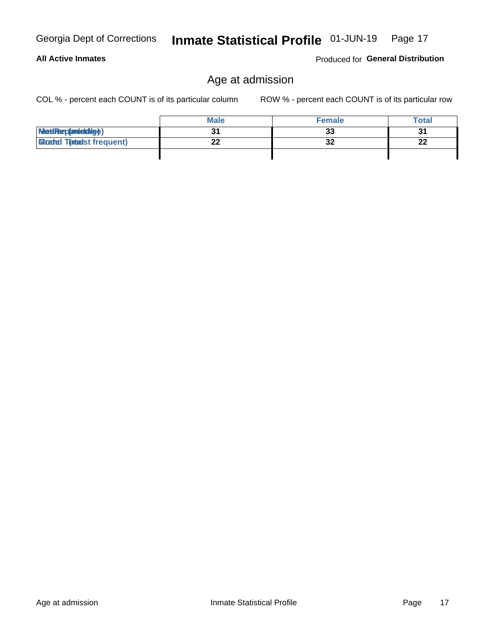## Produced for General Distribution

## Age at admission

Inmate Statistical Profile 01-JUN-19 Page 17

COL % - percent each COUNT is of its particular column

|                                 | <b>Male</b> | <b>Female</b> | <b>Total</b> |
|---------------------------------|-------------|---------------|--------------|
| MetiRep(avieldig)               |             | 33            | 31           |
| <b>Gladed Totadst frequent)</b> | ົ           | 32            | 22           |
|                                 |             |               |              |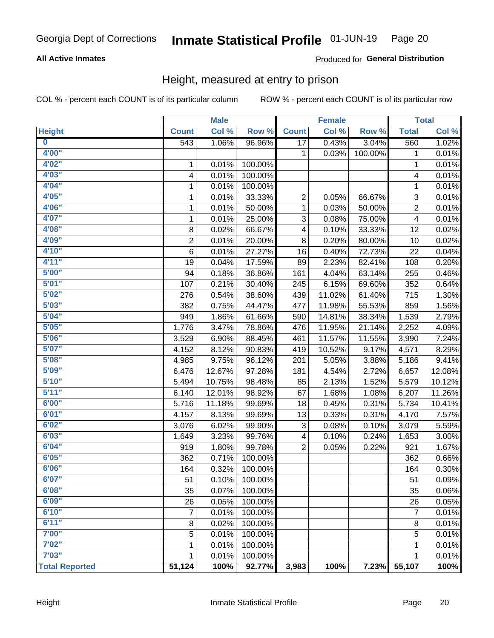## Inmate Statistical Profile 01-JUN-19 Page 20

### **All Active Inmates**

### **Produced for General Distribution**

## Height, measured at entry to prison

COL % - percent each COUNT is of its particular column

|                         |                  | <b>Male</b> |         |                 | <b>Female</b> |         |                          | <b>Total</b> |
|-------------------------|------------------|-------------|---------|-----------------|---------------|---------|--------------------------|--------------|
| <b>Height</b>           | <b>Count</b>     | Col %       | Row %   | <b>Count</b>    | Col %         | Row %   | <b>Total</b>             | Col %        |
| $\overline{\mathbf{0}}$ | $\overline{543}$ | 1.06%       | 96.96%  | $\overline{17}$ | 0.43%         | 3.04%   | 560                      | 1.02%        |
| 4'00"                   |                  |             |         | 1               | 0.03%         | 100.00% | 1                        | 0.01%        |
| 4'02''                  | 1                | 0.01%       | 100.00% |                 |               |         | 1                        | 0.01%        |
| 4'03"                   | 4                | 0.01%       | 100.00% |                 |               |         | 4                        | 0.01%        |
| 4'04"                   | 1                | 0.01%       | 100.00% |                 |               |         | 1                        | 0.01%        |
| 4'05"                   | 1                | 0.01%       | 33.33%  | 2               | 0.05%         | 66.67%  | 3                        | 0.01%        |
| 4'06"                   | 1                | 0.01%       | 50.00%  | 1               | 0.03%         | 50.00%  | 2                        | 0.01%        |
| 4'07"                   | 1                | 0.01%       | 25.00%  | 3               | 0.08%         | 75.00%  | $\overline{\mathcal{A}}$ | 0.01%        |
| 4'08"                   | 8                | 0.02%       | 66.67%  | 4               | 0.10%         | 33.33%  | 12                       | 0.02%        |
| 4'09"                   | $\mathbf 2$      | 0.01%       | 20.00%  | $\bf 8$         | 0.20%         | 80.00%  | 10                       | 0.02%        |
| 4'10''                  | 6                | 0.01%       | 27.27%  | 16              | 0.40%         | 72.73%  | 22                       | 0.04%        |
| 4'11''                  | 19               | 0.04%       | 17.59%  | 89              | 2.23%         | 82.41%  | 108                      | 0.20%        |
| 5'00''                  | 94               | 0.18%       | 36.86%  | 161             | 4.04%         | 63.14%  | 255                      | 0.46%        |
| 5'01"                   | 107              | 0.21%       | 30.40%  | 245             | 6.15%         | 69.60%  | 352                      | 0.64%        |
| 5'02"                   | 276              | 0.54%       | 38.60%  | 439             | 11.02%        | 61.40%  | 715                      | 1.30%        |
| 5'03''                  | 382              | 0.75%       | 44.47%  | 477             | 11.98%        | 55.53%  | 859                      | 1.56%        |
| 5'04"                   | 949              | 1.86%       | 61.66%  | 590             | 14.81%        | 38.34%  | 1,539                    | 2.79%        |
| 5'05"                   | 1,776            | 3.47%       | 78.86%  | 476             | 11.95%        | 21.14%  | 2,252                    | 4.09%        |
| 5'06''                  | 3,529            | 6.90%       | 88.45%  | 461             | 11.57%        | 11.55%  | 3,990                    | 7.24%        |
| 5'07''                  | 4,152            | 8.12%       | 90.83%  | 419             | 10.52%        | 9.17%   | 4,571                    | 8.29%        |
| 5'08''                  | 4,985            | 9.75%       | 96.12%  | 201             | 5.05%         | 3.88%   | 5,186                    | 9.41%        |
| 5'09''                  | 6,476            | 12.67%      | 97.28%  | 181             | 4.54%         | 2.72%   | 6,657                    | 12.08%       |
| 5'10''                  | 5,494            | 10.75%      | 98.48%  | 85              | 2.13%         | 1.52%   | 5,579                    | 10.12%       |
| 5'11"                   | 6,140            | 12.01%      | 98.92%  | 67              | 1.68%         | 1.08%   | 6,207                    | 11.26%       |
| 6'00''                  | 5,716            | 11.18%      | 99.69%  | 18              | 0.45%         | 0.31%   | 5,734                    | 10.41%       |
| 6'01''                  | 4,157            | 8.13%       | 99.69%  | 13              | 0.33%         | 0.31%   | 4,170                    | 7.57%        |
| 6'02"                   | 3,076            | 6.02%       | 99.90%  | 3               | 0.08%         | 0.10%   | 3,079                    | 5.59%        |
| 6'03''                  | 1,649            | 3.23%       | 99.76%  | 4               | 0.10%         | 0.24%   | 1,653                    | 3.00%        |
| 6'04"                   | 919              | 1.80%       | 99.78%  | $\overline{2}$  | 0.05%         | 0.22%   | 921                      | 1.67%        |
| 6'05"                   | 362              | 0.71%       | 100.00% |                 |               |         | 362                      | 0.66%        |
| 6'06"                   | 164              | 0.32%       | 100.00% |                 |               |         | 164                      | 0.30%        |
| 6'07"                   | 51               | 0.10%       | 100.00% |                 |               |         | 51                       | 0.09%        |
| 6'08''                  | 35               | 0.07%       | 100.00% |                 |               |         | 35                       | 0.06%        |
| 6'09''                  | 26               | 0.05%       | 100.00% |                 |               |         | 26                       | 0.05%        |
| 6'10''                  | 7                | 0.01%       | 100.00% |                 |               |         | $\overline{7}$           | 0.01%        |
| 6'11''                  | 8                | 0.02%       | 100.00% |                 |               |         | 8                        | 0.01%        |
| 7'00"                   | 5                | 0.01%       | 100.00% |                 |               |         | 5                        | 0.01%        |
| 7'02"                   | 1                | 0.01%       | 100.00% |                 |               |         | 1                        | 0.01%        |
| 7'03''                  | 1                | 0.01%       | 100.00% |                 |               |         | 1                        | 0.01%        |
| <b>Total Reported</b>   | 51,124           | 100%        | 92.77%  | 3,983           | 100%          | 7.23%   | 55,107                   | 100%         |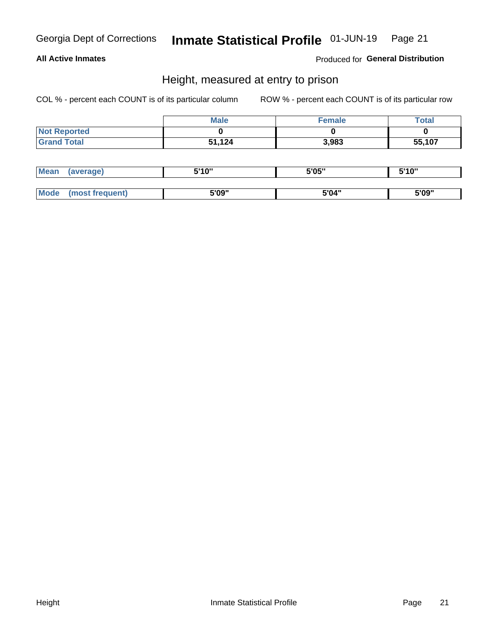## Inmate Statistical Profile 01-JUN-19 Page 21

### **All Active Inmates**

Produced for General Distribution

## Height, measured at entry to prison

COL % - percent each COUNT is of its particular column

|                     | <b>Male</b> | Female | Total  |
|---------------------|-------------|--------|--------|
| <b>Not Reported</b> |             |        |        |
| <b>Grand Total</b>  | 51,124      | 3,983  | 55,107 |

| <b>Mean</b> | erage) | 5'10" | 5'05" | <b>CIA AIL</b><br>. . |
|-------------|--------|-------|-------|-----------------------|
|             |        |       |       |                       |
| <b>Mode</b> |        | 5'09" | 5'04" | 5'09"                 |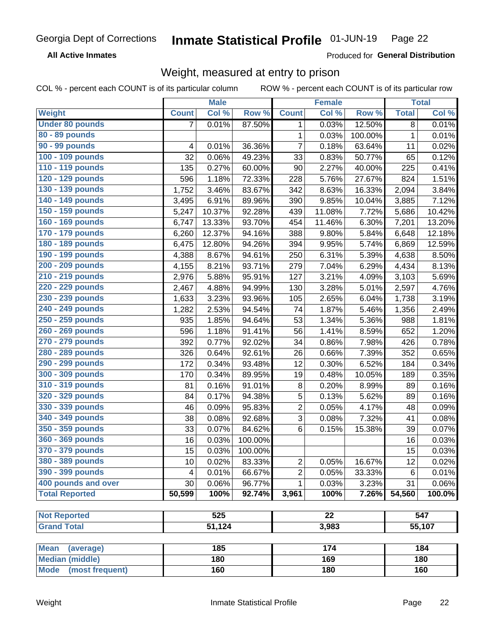#### Inmate Statistical Profile 01-JUN-19 Page 22

**All Active Inmates** 

Produced for General Distribution

## Weight, measured at entry to prison

COL % - percent each COUNT is of its particular column

|                          |                | <b>Male</b> |         |                 | <b>Female</b> |         |              | <b>Total</b> |
|--------------------------|----------------|-------------|---------|-----------------|---------------|---------|--------------|--------------|
| <b>Weight</b>            | <b>Count</b>   | Col %       | Row %   | <b>Count</b>    | Col %         | Row %   | <b>Total</b> | Col %        |
| <b>Under 80 pounds</b>   | $\overline{7}$ | 0.01%       | 87.50%  | 1               | 0.03%         | 12.50%  | 8            | 0.01%        |
| 80 - 89 pounds           |                |             |         | 1               | 0.03%         | 100.00% | $\mathbf 1$  | 0.01%        |
| 90 - 99 pounds           | 4              | 0.01%       | 36.36%  | 7               | 0.18%         | 63.64%  | 11           | 0.02%        |
| 100 - 109 pounds         | 32             | 0.06%       | 49.23%  | 33              | 0.83%         | 50.77%  | 65           | 0.12%        |
| 110 - 119 pounds         | 135            | 0.27%       | 60.00%  | 90              | 2.27%         | 40.00%  | 225          | 0.41%        |
| 120 - 129 pounds         | 596            | 1.18%       | 72.33%  | 228             | 5.76%         | 27.67%  | 824          | 1.51%        |
| 130 - 139 pounds         | 1,752          | 3.46%       | 83.67%  | 342             | 8.63%         | 16.33%  | 2,094        | 3.84%        |
| 140 - 149 pounds         | 3,495          | 6.91%       | 89.96%  | 390             | 9.85%         | 10.04%  | 3,885        | 7.12%        |
| 150 - 159 pounds         | 5,247          | 10.37%      | 92.28%  | 439             | 11.08%        | 7.72%   | 5,686        | 10.42%       |
| 160 - 169 pounds         | 6,747          | 13.33%      | 93.70%  | 454             | 11.46%        | 6.30%   | 7,201        | 13.20%       |
| 170 - 179 pounds         | 6,260          | 12.37%      | 94.16%  | 388             | 9.80%         | 5.84%   | 6,648        | 12.18%       |
| 180 - 189 pounds         | 6,475          | 12.80%      | 94.26%  | 394             | 9.95%         | 5.74%   | 6,869        | 12.59%       |
| 190 - 199 pounds         | 4,388          | 8.67%       | 94.61%  | 250             | 6.31%         | 5.39%   | 4,638        | 8.50%        |
| 200 - 209 pounds         | 4,155          | 8.21%       | 93.71%  | 279             | 7.04%         | 6.29%   | 4,434        | 8.13%        |
| 210 - 219 pounds         | 2,976          | 5.88%       | 95.91%  | 127             | 3.21%         | 4.09%   | 3,103        | 5.69%        |
| 220 - 229 pounds         | 2,467          | 4.88%       | 94.99%  | 130             | 3.28%         | 5.01%   | 2,597        | 4.76%        |
| 230 - 239 pounds         | 1,633          | 3.23%       | 93.96%  | 105             | 2.65%         | 6.04%   | 1,738        | 3.19%        |
| 240 - 249 pounds         | 1,282          | 2.53%       | 94.54%  | 74              | 1.87%         | 5.46%   | 1,356        | 2.49%        |
| 250 - 259 pounds         | 935            | 1.85%       | 94.64%  | 53              | 1.34%         | 5.36%   | 988          | 1.81%        |
| 260 - 269 pounds         | 596            | 1.18%       | 91.41%  | 56              | 1.41%         | 8.59%   | 652          | 1.20%        |
| 270 - 279 pounds         | 392            | 0.77%       | 92.02%  | 34              | 0.86%         | 7.98%   | 426          | 0.78%        |
| 280 - 289 pounds         | 326            | 0.64%       | 92.61%  | 26              | 0.66%         | 7.39%   | 352          | 0.65%        |
| 290 - 299 pounds         | 172            | 0.34%       | 93.48%  | 12              | 0.30%         | 6.52%   | 184          | 0.34%        |
| 300 - 309 pounds         | 170            | 0.34%       | 89.95%  | 19              | 0.48%         | 10.05%  | 189          | 0.35%        |
| 310 - 319 pounds         | 81             | 0.16%       | 91.01%  | 8               | 0.20%         | 8.99%   | 89           | 0.16%        |
| 320 - 329 pounds         | 84             | 0.17%       | 94.38%  | 5               | 0.13%         | 5.62%   | 89           | 0.16%        |
| 330 - 339 pounds         | 46             | 0.09%       | 95.83%  | $\overline{2}$  | 0.05%         | 4.17%   | 48           | 0.09%        |
| 340 - 349 pounds         | 38             | 0.08%       | 92.68%  | 3               | 0.08%         | 7.32%   | 41           | 0.08%        |
| 350 - 359 pounds         | 33             | 0.07%       | 84.62%  | 6               | 0.15%         | 15.38%  | 39           | 0.07%        |
| 360 - 369 pounds         | 16             | 0.03%       | 100.00% |                 |               |         | 16           | 0.03%        |
| 370 - 379 pounds         | 15             | 0.03%       | 100.00% |                 |               |         | 15           | 0.03%        |
| 380 - 389 pounds         | 10             | 0.02%       | 83.33%  | $\mathbf 2$     | 0.05%         | 16.67%  | 12           | 0.02%        |
| 390 - 399 pounds         | 4              | 0.01%       | 66.67%  | $\overline{2}$  | 0.05%         | 33.33%  | 6            | 0.01%        |
| 400 pounds and over      | 30             | 0.06%       | 96.77%  | 1               | 0.03%         | 3.23%   | 31           | 0.06%        |
| <b>Total Reported</b>    | 50,599         | 100%        | 92.74%  | 3,961           | 100%          | 7.26%   | 54,560       | 100.0%       |
|                          |                |             |         |                 |               |         |              |              |
| <b>Not Reported</b>      |                | 525         |         | $\overline{22}$ |               |         |              | 547          |
| <b>Grand Total</b>       |                | 51,124      |         | 3,983           |               |         |              | 55,107       |
|                          |                |             |         |                 |               |         |              |              |
| <b>Mean</b><br>(average) |                | 185         |         |                 | 174           |         | 184          |              |
| <b>Median (middle)</b>   |                | 180         |         |                 | 169           |         |              | 180          |
| Mode (most frequent)     |                | 160         |         |                 | 180           |         |              | 160          |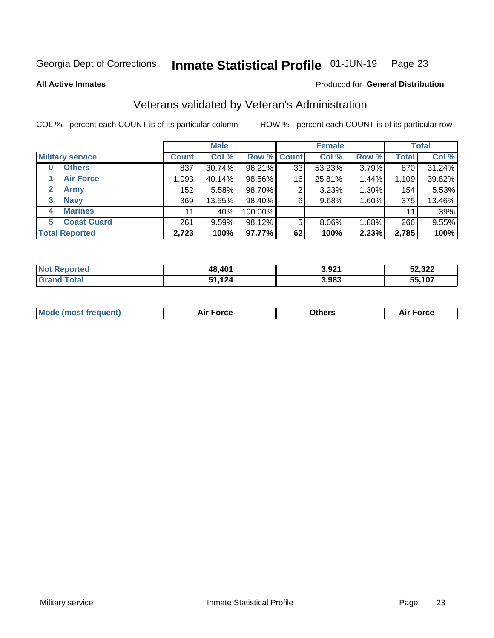### Inmate Statistical Profile 01-JUN-19 Page 23

**All Active Inmates** 

### Produced for General Distribution

## Veterans validated by Veteran's Administration

COL % - percent each COUNT is of its particular column

|                             |                  | <b>Male</b> |                    |    | <b>Female</b> |          |              | <b>Total</b> |
|-----------------------------|------------------|-------------|--------------------|----|---------------|----------|--------------|--------------|
| <b>Military service</b>     | <b>Count</b>     | Col %       | <b>Row % Count</b> |    | Col %         | Row %    | <b>Total</b> | Col %        |
| <b>Others</b><br>0          | 837              | 30.74%      | 96.21%             | 33 | 53.23%        | 3.79%    | 870          | 31.24%       |
| <b>Air Force</b>            | 1,093            | 40.14%      | 98.56%             | 16 | 25.81%        | 1.44%    | 1,109        | 39.82%       |
| <b>Army</b><br>$\mathbf{2}$ | 152 <sub>1</sub> | 5.58%       | 98.70%             | 2  | 3.23%         | $1.30\%$ | 154          | 5.53%        |
| <b>Navy</b><br>3            | 369              | 13.55%      | 98.40%             | 6  | 9.68%         | 1.60%    | 375          | 13.46%       |
| <b>Marines</b><br>4         | 11               | $.40\%$     | 100.00%            |    |               |          | 11           | .39%         |
| <b>Coast Guard</b><br>5.    | 261              | 9.59%       | 98.12%             | 5  | 8.06%         | 1.88%    | 266          | 9.55%        |
| <b>Total Reported</b>       | 2,723            | 100%        | 97.77%             | 62 | 100%          | 2.23%    | 2,785        | 100%         |

| <b>orteo</b><br>Nt | 48,401    | 3,921 | 52,322 |
|--------------------|-----------|-------|--------|
| <b>otal</b>        | 124<br>E4 | 3,983 | 55,107 |

|  |  | <b>Mode (most frequent)</b> | <b>Force</b><br>Aır | วthers | orce |
|--|--|-----------------------------|---------------------|--------|------|
|--|--|-----------------------------|---------------------|--------|------|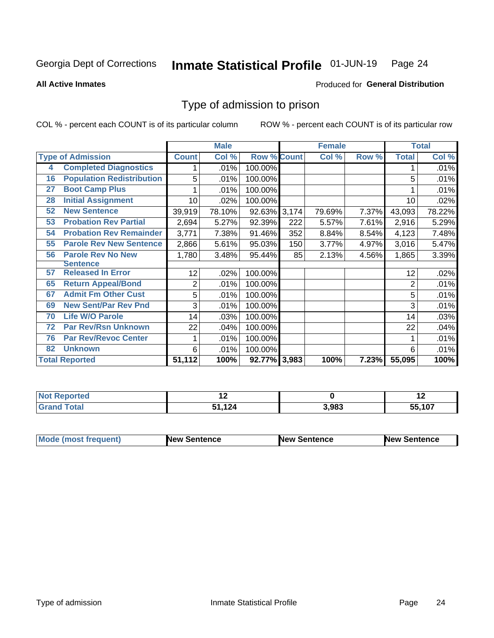### Inmate Statistical Profile 01-JUN-19 Page 24

**All Active Inmates** 

### Produced for General Distribution

## Type of admission to prison

COL % - percent each COUNT is of its particular column

|    |                                  |                 | <b>Male</b> |                    |     | <b>Female</b> |       |              | <b>Total</b> |
|----|----------------------------------|-----------------|-------------|--------------------|-----|---------------|-------|--------------|--------------|
|    | <b>Type of Admission</b>         | <b>Count</b>    | Col %       | <b>Row % Count</b> |     | Col %         | Row % | <b>Total</b> | Col %        |
| 4  | <b>Completed Diagnostics</b>     | 1               | .01%        | 100.00%            |     |               |       |              | .01%         |
| 16 | <b>Population Redistribution</b> | 5               | .01%        | 100.00%            |     |               |       | 5            | .01%         |
| 27 | <b>Boot Camp Plus</b>            |                 | .01%        | 100.00%            |     |               |       |              | .01%         |
| 28 | <b>Initial Assignment</b>        | 10 <sup>1</sup> | .02%        | 100.00%            |     |               |       | 10           | .02%         |
| 52 | <b>New Sentence</b>              | 39,919          | 78.10%      | 92.63% 3,174       |     | 79.69%        | 7.37% | 43,093       | 78.22%       |
| 53 | <b>Probation Rev Partial</b>     | 2,694           | 5.27%       | 92.39%             | 222 | 5.57%         | 7.61% | 2,916        | 5.29%        |
| 54 | <b>Probation Rev Remainder</b>   | 3,771           | 7.38%       | 91.46%             | 352 | 8.84%         | 8.54% | 4,123        | 7.48%        |
| 55 | <b>Parole Rev New Sentence</b>   | 2,866           | 5.61%       | 95.03%             | 150 | 3.77%         | 4.97% | 3,016        | 5.47%        |
| 56 | <b>Parole Rev No New</b>         | 1,780           | 3.48%       | 95.44%             | 85  | 2.13%         | 4.56% | 1,865        | 3.39%        |
|    | <b>Sentence</b>                  |                 |             |                    |     |               |       |              |              |
| 57 | <b>Released In Error</b>         | 12 <sub>2</sub> | $.02\%$     | 100.00%            |     |               |       | 12           | .02%         |
| 65 | <b>Return Appeal/Bond</b>        | 2               | .01%        | 100.00%            |     |               |       | 2            | .01%         |
| 67 | <b>Admit Fm Other Cust</b>       | 5               | .01%        | 100.00%            |     |               |       | 5            | .01%         |
| 69 | <b>New Sent/Par Rev Pnd</b>      | 3               | .01%        | 100.00%            |     |               |       | 3            | .01%         |
| 70 | <b>Life W/O Parole</b>           | 14              | .03%        | 100.00%            |     |               |       | 14           | .03%         |
| 72 | <b>Par Rev/Rsn Unknown</b>       | 22              | .04%        | 100.00%            |     |               |       | 22           | .04%         |
| 76 | <b>Par Rev/Revoc Center</b>      | 1               | .01%        | 100.00%            |     |               |       |              | .01%         |
| 82 | <b>Unknown</b>                   | 6               | .01%        | 100.00%            |     |               |       | 6            | .01%         |
|    | <b>Total Reported</b>            | 51,112          | 100%        | 92.77% 3,983       |     | 100%          | 7.23% | 55,095       | 100%         |

| <b>Not</b><br><b>Reported</b> |                 |       | . . |
|-------------------------------|-----------------|-------|-----|
| ™otal<br>Grai                 | 12 <sub>k</sub> | 3,983 | 407 |

| <b>Mode (most frequent)</b> | New Sentence | <b>New Sentence</b> | <b>New Sentence</b> |
|-----------------------------|--------------|---------------------|---------------------|
|                             |              |                     |                     |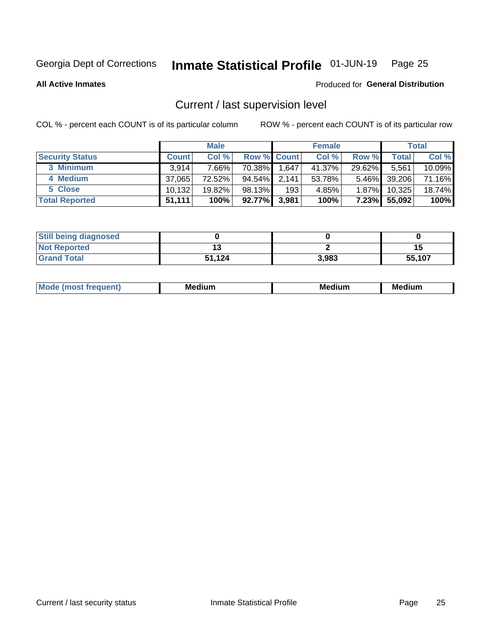## Inmate Statistical Profile 01-JUN-19 Page 25

**All Active Inmates** 

### Produced for General Distribution

## Current / last supervision level

COL % - percent each COUNT is of its particular column

|                        |              | <b>Male</b> |                    |       | <b>Female</b> |          |        | <b>Total</b> |
|------------------------|--------------|-------------|--------------------|-------|---------------|----------|--------|--------------|
| <b>Security Status</b> | <b>Count</b> | Col %       | <b>Row % Count</b> |       | Col %         | Row %    | Total  | Col %        |
| 3 Minimum              | 3.914        | 7.66%       | 70.38%             | 1,647 | 41.37%        | 29.62%   | 5,561  | 10.09%       |
| 4 Medium               | 37.065       | 72.52%      | 94.54%             | 2,141 | 53.78%        | $5.46\%$ | 39,206 | 71.16%       |
| 5 Close                | 10,132       | 19.82%      | 98.13%             | 193   | 4.85%         | $1.87\%$ | 10,325 | 18.74%       |
| <b>Total Reported</b>  | 51.111       | 100%        | 92.77%             | 3,981 | 100%          | $7.23\%$ | 55,092 | 100%         |

| <b>Still being diagnosed</b> |        |       |        |
|------------------------------|--------|-------|--------|
| <b>Not Reported</b>          |        |       | 15     |
| <b>Grand Total</b>           | 51,124 | 3.983 | 55,107 |

| M | M | . . |
|---|---|-----|
|   |   |     |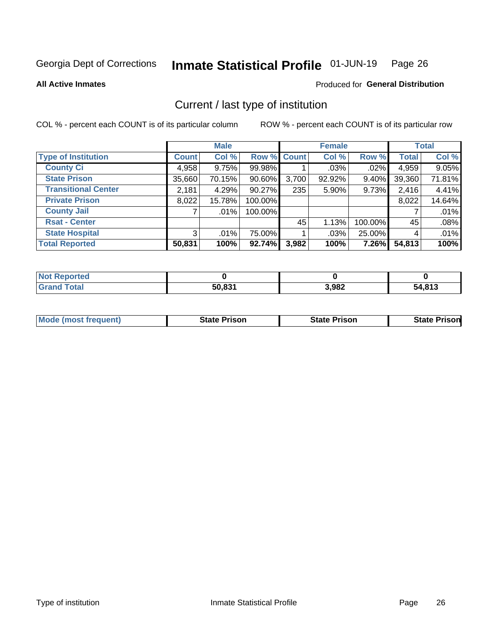### Inmate Statistical Profile 01-JUN-19 Page 26

**All Active Inmates** 

## Produced for General Distribution

## Current / last type of institution

COL % - percent each COUNT is of its particular column

|                            |                | <b>Male</b> |             |       | <b>Female</b> |         |              | <b>Total</b> |
|----------------------------|----------------|-------------|-------------|-------|---------------|---------|--------------|--------------|
| <b>Type of Institution</b> | <b>Count</b>   | Col %       | Row % Count |       | Col %         | Row %   | <b>Total</b> | Col %        |
| <b>County Ci</b>           | 4,958          | 9.75%       | 99.98%      |       | $.03\%$       | .02%    | 4,959        | 9.05%        |
| <b>State Prison</b>        | 35,660         | 70.15%      | $90.60\%$   | 3,700 | 92.92%        | 9.40%   | 39,360       | 71.81%       |
| <b>Transitional Center</b> | 2,181          | 4.29%       | 90.27%      | 235   | 5.90%         | 9.73%   | 2,416        | 4.41%        |
| <b>Private Prison</b>      | 8,022          | 15.78%      | 100.00%     |       |               |         | 8,022        | 14.64%       |
| <b>County Jail</b>         |                | $.01\%$     | 100.00%     |       |               |         |              | .01%         |
| <b>Rsat - Center</b>       |                |             |             | 45    | 1.13%         | 100.00% | 45           | .08%         |
| <b>State Hospital</b>      | 3 <sup>1</sup> | $.01\%$     | 75.00%      |       | .03%          | 25.00%  | 4            | .01%         |
| <b>Total Reported</b>      | 50,831         | 100%        | 92.74%      | 3,982 | 100%          | 7.26%   | 54,813       | 100%         |

| oorted<br><b>NOT</b> |        |       |        |
|----------------------|--------|-------|--------|
| <b>otal</b>          | 50.831 | 3,982 | 54,813 |

| <b>Mode (most frequent)</b> | State Prison | <b>State Prison</b> | <b>State Prisonl</b> |
|-----------------------------|--------------|---------------------|----------------------|
|                             |              |                     |                      |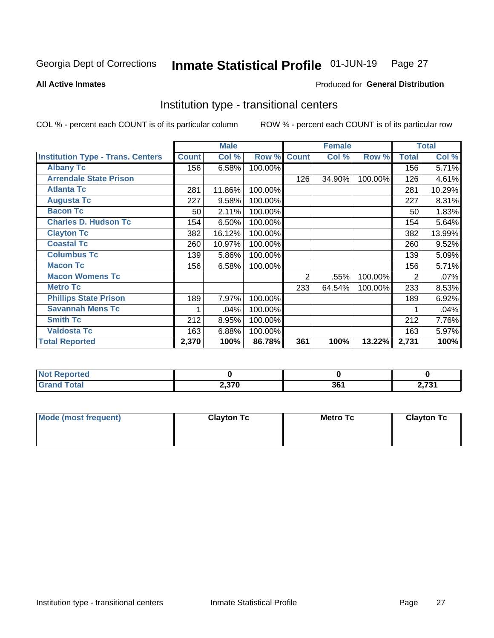### Inmate Statistical Profile 01-JUN-19 Page 27

Produced for General Distribution

### **All Active Inmates**

## Institution type - transitional centers

COL % - percent each COUNT is of its particular column

|                                          |              | <b>Male</b> |         |                | <b>Female</b> |         |              | <b>Total</b> |
|------------------------------------------|--------------|-------------|---------|----------------|---------------|---------|--------------|--------------|
| <b>Institution Type - Trans. Centers</b> | <b>Count</b> | Col %       | Row %   | <b>Count</b>   | Col %         | Row %   | <b>Total</b> | Col %        |
| <b>Albany Tc</b>                         | 156          | 6.58%       | 100.00% |                |               |         | 156          | 5.71%        |
| <b>Arrendale State Prison</b>            |              |             |         | 126            | 34.90%        | 100.00% | 126          | 4.61%        |
| <b>Atlanta Tc</b>                        | 281          | 11.86%      | 100.00% |                |               |         | 281          | 10.29%       |
| <b>Augusta Tc</b>                        | 227          | 9.58%       | 100.00% |                |               |         | 227          | 8.31%        |
| <b>Bacon Tc</b>                          | 50           | 2.11%       | 100.00% |                |               |         | 50           | 1.83%        |
| <b>Charles D. Hudson Tc</b>              | 154          | 6.50%       | 100.00% |                |               |         | 154          | 5.64%        |
| <b>Clayton Tc</b>                        | 382          | 16.12%      | 100.00% |                |               |         | 382          | 13.99%       |
| <b>Coastal Tc</b>                        | 260          | 10.97%      | 100.00% |                |               |         | 260          | 9.52%        |
| <b>Columbus Tc</b>                       | 139          | 5.86%       | 100.00% |                |               |         | 139          | 5.09%        |
| <b>Macon Tc</b>                          | 156          | 6.58%       | 100.00% |                |               |         | 156          | 5.71%        |
| <b>Macon Womens Tc</b>                   |              |             |         | $\overline{2}$ | .55%          | 100.00% | 2            | .07%         |
| <b>Metro Tc</b>                          |              |             |         | 233            | 64.54%        | 100.00% | 233          | 8.53%        |
| <b>Phillips State Prison</b>             | 189          | 7.97%       | 100.00% |                |               |         | 189          | 6.92%        |
| <b>Savannah Mens Tc</b>                  | 1            | .04%        | 100.00% |                |               |         |              | .04%         |
| <b>Smith Tc</b>                          | 212          | 8.95%       | 100.00% |                |               |         | 212          | 7.76%        |
| <b>Valdosta Tc</b>                       | 163          | 6.88%       | 100.00% |                |               |         | 163          | 5.97%        |
| <b>Total Reported</b>                    | 2,370        | 100%        | 86.78%  | 361            | 100%          | 13.22%  | 2,731        | 100%         |

| <b>Not Reported</b> |       |         |     |
|---------------------|-------|---------|-----|
| Гоtal               | 2,370 | 2C<br>u | 704 |

| Mode (most frequent) | <b>Clayton Tc</b> | Metro Tc | <b>Clayton Tc</b> |
|----------------------|-------------------|----------|-------------------|
|                      |                   |          |                   |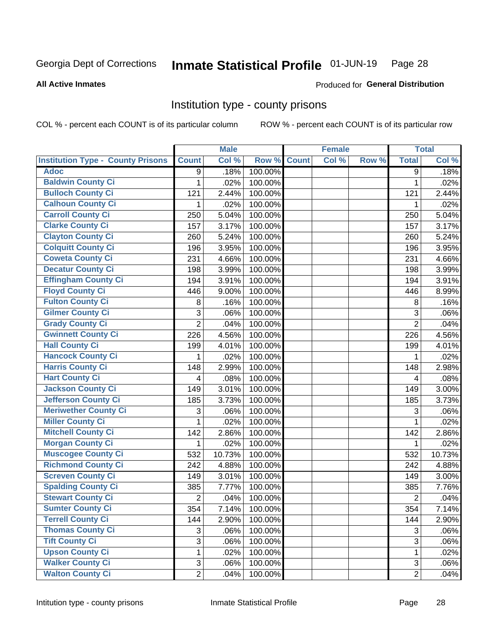## Inmate Statistical Profile 01-JUN-19 Page 28

### **All Active Inmates**

## Produced for General Distribution

### Institution type - county prisons

COL % - percent each COUNT is of its particular column

|                                          |                | <b>Male</b> |         |              | <b>Female</b> |       |                | <b>Total</b> |
|------------------------------------------|----------------|-------------|---------|--------------|---------------|-------|----------------|--------------|
| <b>Institution Type - County Prisons</b> | <b>Count</b>   | Col %       | Row %   | <b>Count</b> | Col %         | Row % | <b>Total</b>   | Col %        |
| <b>Adoc</b>                              | 9              | .18%        | 100.00% |              |               |       | 9              | .18%         |
| <b>Baldwin County Ci</b>                 | 1              | .02%        | 100.00% |              |               |       | $\mathbf 1$    | .02%         |
| <b>Bulloch County Ci</b>                 | 121            | 2.44%       | 100.00% |              |               |       | 121            | 2.44%        |
| <b>Calhoun County Ci</b>                 | 1              | .02%        | 100.00% |              |               |       | 1              | .02%         |
| <b>Carroll County Ci</b>                 | 250            | 5.04%       | 100.00% |              |               |       | 250            | 5.04%        |
| <b>Clarke County Ci</b>                  | 157            | 3.17%       | 100.00% |              |               |       | 157            | 3.17%        |
| <b>Clayton County Ci</b>                 | 260            | 5.24%       | 100.00% |              |               |       | 260            | 5.24%        |
| <b>Colquitt County Ci</b>                | 196            | 3.95%       | 100.00% |              |               |       | 196            | 3.95%        |
| <b>Coweta County Ci</b>                  | 231            | 4.66%       | 100.00% |              |               |       | 231            | 4.66%        |
| <b>Decatur County Ci</b>                 | 198            | 3.99%       | 100.00% |              |               |       | 198            | 3.99%        |
| <b>Effingham County Ci</b>               | 194            | 3.91%       | 100.00% |              |               |       | 194            | 3.91%        |
| <b>Floyd County Ci</b>                   | 446            | 9.00%       | 100.00% |              |               |       | 446            | 8.99%        |
| <b>Fulton County Ci</b>                  | 8              | .16%        | 100.00% |              |               |       | 8              | .16%         |
| <b>Gilmer County Ci</b>                  | 3              | .06%        | 100.00% |              |               |       | 3              | .06%         |
| <b>Grady County Ci</b>                   | $\overline{2}$ | .04%        | 100.00% |              |               |       | $\overline{2}$ | .04%         |
| <b>Gwinnett County Ci</b>                | 226            | 4.56%       | 100.00% |              |               |       | 226            | 4.56%        |
| <b>Hall County Ci</b>                    | 199            | 4.01%       | 100.00% |              |               |       | 199            | 4.01%        |
| <b>Hancock County Ci</b>                 | 1              | .02%        | 100.00% |              |               |       | 1              | .02%         |
| <b>Harris County Ci</b>                  | 148            | 2.99%       | 100.00% |              |               |       | 148            | 2.98%        |
| <b>Hart County Ci</b>                    | 4              | .08%        | 100.00% |              |               |       | 4              | .08%         |
| <b>Jackson County Ci</b>                 | 149            | 3.01%       | 100.00% |              |               |       | 149            | 3.00%        |
| Jefferson County Ci                      | 185            | 3.73%       | 100.00% |              |               |       | 185            | 3.73%        |
| <b>Meriwether County Ci</b>              | 3              | .06%        | 100.00% |              |               |       | 3              | .06%         |
| <b>Miller County Ci</b>                  | 1              | .02%        | 100.00% |              |               |       | 1              | .02%         |
| <b>Mitchell County Ci</b>                | 142            | 2.86%       | 100.00% |              |               |       | 142            | 2.86%        |
| <b>Morgan County Ci</b>                  | 1              | .02%        | 100.00% |              |               |       | 1              | .02%         |
| <b>Muscogee County Ci</b>                | 532            | 10.73%      | 100.00% |              |               |       | 532            | 10.73%       |
| <b>Richmond County Ci</b>                | 242            | 4.88%       | 100.00% |              |               |       | 242            | 4.88%        |
| <b>Screven County Ci</b>                 | 149            | 3.01%       | 100.00% |              |               |       | 149            | 3.00%        |
| <b>Spalding County Ci</b>                | 385            | 7.77%       | 100.00% |              |               |       | 385            | 7.76%        |
| <b>Stewart County Ci</b>                 | $\overline{c}$ | .04%        | 100.00% |              |               |       | $\overline{2}$ | .04%         |
| <b>Sumter County Ci</b>                  | 354            | 7.14%       | 100.00% |              |               |       | 354            | 7.14%        |
| <b>Terrell County Ci</b>                 | 144            | 2.90%       | 100.00% |              |               |       | 144            | 2.90%        |
| <b>Thomas County Ci</b>                  | 3              | .06%        | 100.00% |              |               |       | 3              | .06%         |
| <b>Tift County Ci</b>                    | $\overline{3}$ | .06%        | 100.00% |              |               |       | 3              | .06%         |
| <b>Upson County Ci</b>                   | 1              | .02%        | 100.00% |              |               |       | 1              | .02%         |
| <b>Walker County Ci</b>                  | 3              | .06%        | 100.00% |              |               |       | 3              | .06%         |
| <b>Walton County Ci</b>                  | $\overline{2}$ | .04%        | 100.00% |              |               |       | $\overline{2}$ | .04%         |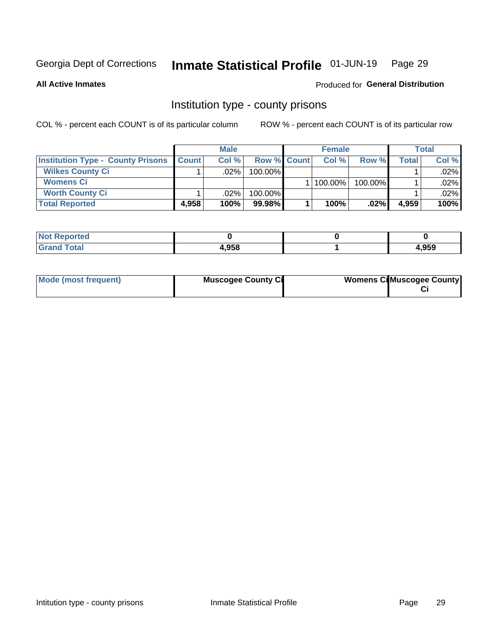## Inmate Statistical Profile 01-JUN-19 Page 29

**All Active Inmates** 

### Produced for General Distribution

## Institution type - county prisons

COL % - percent each COUNT is of its particular column

|                                          |              | <b>Male</b> |                    | <b>Female</b> |         |       | <b>Total</b> |
|------------------------------------------|--------------|-------------|--------------------|---------------|---------|-------|--------------|
| <b>Institution Type - County Prisons</b> | <b>Count</b> | Col%        | <b>Row % Count</b> | Col%          | Row %   | Total | Col %        |
| <b>Wilkes County Ci</b>                  |              | .02%        | 100.00%            |               |         |       | $.02\%$      |
| <b>Womens Ci</b>                         |              |             |                    | 100.00%       | 100.00% |       | .02%         |
| <b>Worth County Ci</b>                   |              | $.02\%$     | 100.00%            |               |         |       | $.02\%$      |
| <b>Total Reported</b>                    | 4.958        | 100%        | $99.98\%$          | 100%          | .02%    | 4,959 | 100%         |

| <b>U</b> tea<br>$\sim$ |       |      |
|------------------------|-------|------|
|                        | 4.958 | .959 |

| Mode (most frequent) | <b>Muscogee County Ci</b> | <b>Womens CilMuscogee County</b> |
|----------------------|---------------------------|----------------------------------|
|----------------------|---------------------------|----------------------------------|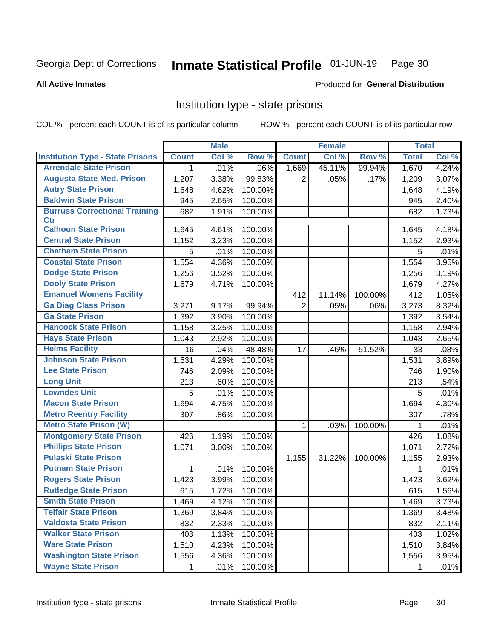### Inmate Statistical Profile 01-JUN-19 Page 30

### **All Active Inmates**

### Produced for General Distribution

## Institution type - state prisons

COL % - percent each COUNT is of its particular column

|                                         |              | <b>Male</b> |         |                | <b>Female</b> |         | <b>Total</b> |         |
|-----------------------------------------|--------------|-------------|---------|----------------|---------------|---------|--------------|---------|
| <b>Institution Type - State Prisons</b> | <b>Count</b> | Col %       | Row %   | <b>Count</b>   | Col %         | Row %   | <b>Total</b> | Col %   |
| <b>Arrendale State Prison</b>           | 1            | .01%        | .06%    | 1,669          | 45.11%        | 99.94%  | 1,670        | 4.24%   |
| <b>Augusta State Med. Prison</b>        | 1,207        | 3.38%       | 99.83%  | $\overline{2}$ | .05%          | .17%    | 1,209        | 3.07%   |
| <b>Autry State Prison</b>               | 1,648        | 4.62%       | 100.00% |                |               |         | 1,648        | 4.19%   |
| <b>Baldwin State Prison</b>             | 945          | 2.65%       | 100.00% |                |               |         | 945          | 2.40%   |
| <b>Burruss Correctional Training</b>    | 682          | 1.91%       | 100.00% |                |               |         | 682          | 1.73%   |
| <b>Ctr</b>                              |              |             |         |                |               |         |              |         |
| <b>Calhoun State Prison</b>             | 1,645        | 4.61%       | 100.00% |                |               |         | 1,645        | 4.18%   |
| <b>Central State Prison</b>             | 1,152        | 3.23%       | 100.00% |                |               |         | 1,152        | 2.93%   |
| <b>Chatham State Prison</b>             | 5            | .01%        | 100.00% |                |               |         | 5            | .01%    |
| <b>Coastal State Prison</b>             | 1,554        | 4.36%       | 100.00% |                |               |         | 1,554        | 3.95%   |
| <b>Dodge State Prison</b>               | 1,256        | 3.52%       | 100.00% |                |               |         | 1,256        | 3.19%   |
| <b>Dooly State Prison</b>               | 1,679        | 4.71%       | 100.00% |                |               |         | 1,679        | 4.27%   |
| <b>Emanuel Womens Facility</b>          |              |             |         | 412            | 11.14%        | 100.00% | 412          | 1.05%   |
| <b>Ga Diag Class Prison</b>             | 3,271        | 9.17%       | 99.94%  | $\overline{2}$ | .05%          | .06%    | 3,273        | 8.32%   |
| <b>Ga State Prison</b>                  | 1,392        | 3.90%       | 100.00% |                |               |         | 1,392        | 3.54%   |
| <b>Hancock State Prison</b>             | 1,158        | 3.25%       | 100.00% |                |               |         | 1,158        | 2.94%   |
| <b>Hays State Prison</b>                | 1,043        | 2.92%       | 100.00% |                |               |         | 1,043        | 2.65%   |
| <b>Helms Facility</b>                   | 16           | .04%        | 48.48%  | 17             | .46%          | 51.52%  | 33           | .08%    |
| <b>Johnson State Prison</b>             | 1,531        | 4.29%       | 100.00% |                |               |         | 1,531        | 3.89%   |
| <b>Lee State Prison</b>                 | 746          | 2.09%       | 100.00% |                |               |         | 746          | 1.90%   |
| <b>Long Unit</b>                        | 213          | .60%        | 100.00% |                |               |         | 213          | .54%    |
| <b>Lowndes Unit</b>                     | 5            | .01%        | 100.00% |                |               |         | 5            | .01%    |
| <b>Macon State Prison</b>               | 1,694        | 4.75%       | 100.00% |                |               |         | 1,694        | 4.30%   |
| <b>Metro Reentry Facility</b>           | 307          | .86%        | 100.00% |                |               |         | 307          | .78%    |
| <b>Metro State Prison (W)</b>           |              |             |         | $\mathbf{1}$   | .03%          | 100.00% | 1            | $.01\%$ |
| <b>Montgomery State Prison</b>          | 426          | 1.19%       | 100.00% |                |               |         | 426          | 1.08%   |
| <b>Phillips State Prison</b>            | 1,071        | 3.00%       | 100.00% |                |               |         | 1,071        | 2.72%   |
| <b>Pulaski State Prison</b>             |              |             |         | 1,155          | 31.22%        | 100.00% | 1,155        | 2.93%   |
| <b>Putnam State Prison</b>              | $\mathbf{1}$ | .01%        | 100.00% |                |               |         | 1            | .01%    |
| <b>Rogers State Prison</b>              | 1,423        | 3.99%       | 100.00% |                |               |         | 1,423        | 3.62%   |
| <b>Rutledge State Prison</b>            | 615          | 1.72%       | 100.00% |                |               |         | 615          | 1.56%   |
| <b>Smith State Prison</b>               | 1,469        | 4.12%       | 100.00% |                |               |         | 1,469        | 3.73%   |
| <b>Telfair State Prison</b>             | 1,369        | 3.84%       | 100.00% |                |               |         | 1,369        | 3.48%   |
| <b>Valdosta State Prison</b>            | 832          | 2.33%       | 100.00% |                |               |         | 832          | 2.11%   |
| <b>Walker State Prison</b>              | 403          | 1.13%       | 100.00% |                |               |         | 403          | 1.02%   |
| <b>Ware State Prison</b>                | 1,510        | 4.23%       | 100.00% |                |               |         | 1,510        | 3.84%   |
| <b>Washington State Prison</b>          | 1,556        | 4.36%       | 100.00% |                |               |         | 1,556        | 3.95%   |
| <b>Wayne State Prison</b>               | 1            | .01%        | 100.00% |                |               |         | 1            | .01%    |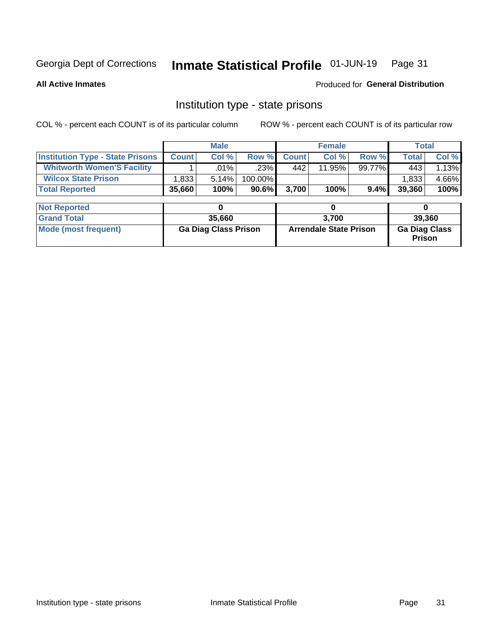## Inmate Statistical Profile 01-JUN-19 Page 31

**All Active Inmates** 

Produced for General Distribution

## Institution type - state prisons

COL % - percent each COUNT is of its particular column ROW % - percent each COUNT is of its particular row

|                                         | <b>Male</b>                 |         |                               |              | <b>Female</b> | <b>Total</b>                          |              |        |  |
|-----------------------------------------|-----------------------------|---------|-------------------------------|--------------|---------------|---------------------------------------|--------------|--------|--|
| <b>Institution Type - State Prisons</b> | <b>Count</b>                | Col %   | Row %                         | <b>Count</b> | Col %         | Row %                                 | <b>Total</b> | Col %  |  |
| <b>Whitworth Women'S Facility</b>       |                             | $.01\%$ | .23%                          | 442          | 11.95%        | 99.77%                                | 443          | 1.13%  |  |
| <b>Wilcox State Prison</b>              | 1,833                       | 5.14%   | 100.00%                       |              |               |                                       | 1,833        | 4.66%  |  |
| <b>Total Reported</b>                   | 35,660                      | 100%    | 90.6%                         | 3,700        | 100%          | 9.4%                                  | 39,360       | 100%   |  |
|                                         |                             |         |                               |              |               |                                       |              |        |  |
| <b>Not Reported</b>                     |                             | 0       |                               |              | 0             |                                       | 0            |        |  |
| <b>Grand Total</b>                      |                             | 35,660  |                               |              | 3,700         |                                       |              | 39,360 |  |
| <b>Mode (most frequent)</b>             | <b>Ga Diag Class Prison</b> |         | <b>Arrendale State Prison</b> |              |               | <b>Ga Diag Class</b><br><b>Prison</b> |              |        |  |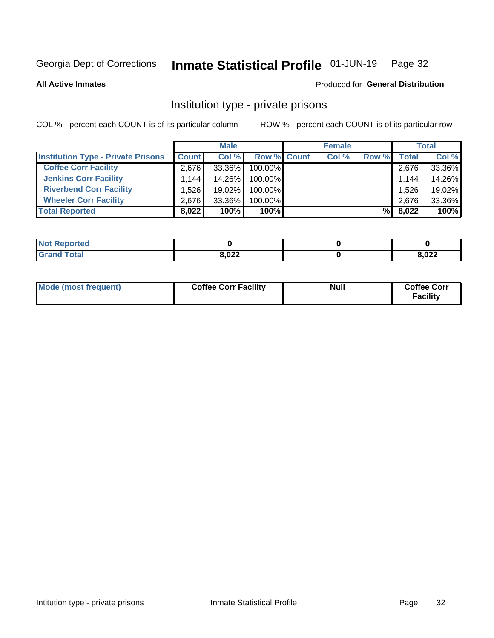### Inmate Statistical Profile 01-JUN-19 Page 32

**All Active Inmates** 

### Produced for General Distribution

## Institution type - private prisons

COL % - percent each COUNT is of its particular column

|                                           |              | <b>Male</b> |                    | <b>Female</b> |       |                    | <b>Total</b> |
|-------------------------------------------|--------------|-------------|--------------------|---------------|-------|--------------------|--------------|
| <b>Institution Type - Private Prisons</b> | <b>Count</b> | Col %       | <b>Row % Count</b> | Col %         | Row % | Total <sub>1</sub> | Col %        |
| <b>Coffee Corr Facility</b>               | 2.676        | 33.36%      | 100.00%            |               |       | 2,676              | 33.36%       |
| <b>Jenkins Corr Facility</b>              | 1.144        | 14.26%      | $100.00\%$         |               |       | 1,144              | 14.26%       |
| <b>Riverbend Corr Facility</b>            | 1.526        | 19.02%      | 100.00%            |               |       | 1,526              | 19.02%       |
| <b>Wheeler Corr Facility</b>              | 2.676        | 33.36%      | 100.00%            |               |       | 2,676              | 33.36%       |
| <b>Total Reported</b>                     | 8,022        | 100%        | 100%               |               | %I    | 8,022              | 100%         |

| <b>Not Reported</b> |       |       |
|---------------------|-------|-------|
| <b>Total</b>        | 8,022 | 3,022 |

| Mode (most frequent) | <b>Coffee Corr Facility</b> | <b>Null</b> | <b>Coffee Corr</b><br><b>Facility</b> |
|----------------------|-----------------------------|-------------|---------------------------------------|
|----------------------|-----------------------------|-------------|---------------------------------------|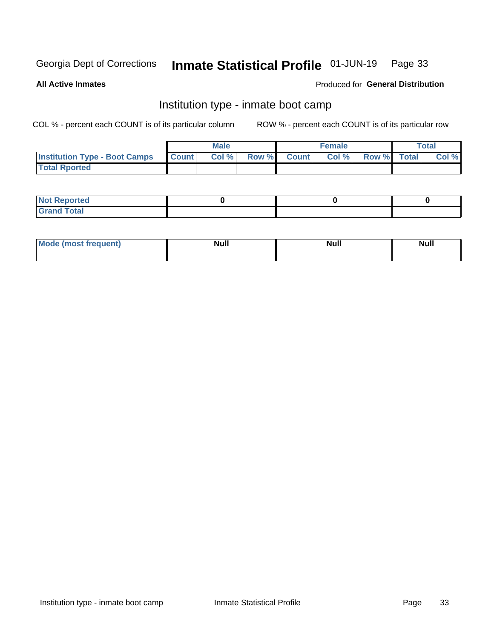#### Inmate Statistical Profile 01-JUN-19 Page 33

**All Active Inmates** 

### Produced for General Distribution

## Institution type - inmate boot camp

COL % - percent each COUNT is of its particular column

|                                      |              | <b>Male</b> |               |              | <b>Female</b> |             | <b>Total</b> |
|--------------------------------------|--------------|-------------|---------------|--------------|---------------|-------------|--------------|
| <b>Institution Type - Boot Camps</b> | <b>Count</b> | Col %       | <b>Row %I</b> | <b>Count</b> | Col %         | Row % Total | Col %        |
| <b>Total Rported</b>                 |              |             |               |              |               |             |              |

| <b>Not Reported</b>            |  |  |
|--------------------------------|--|--|
| <b>Total</b><br>C <sub>r</sub> |  |  |

| Mod<br>uamo | Nul.<br>$- - - - - -$ | <b>Null</b> | . .<br>uu.<br>------ |
|-------------|-----------------------|-------------|----------------------|
|             |                       |             |                      |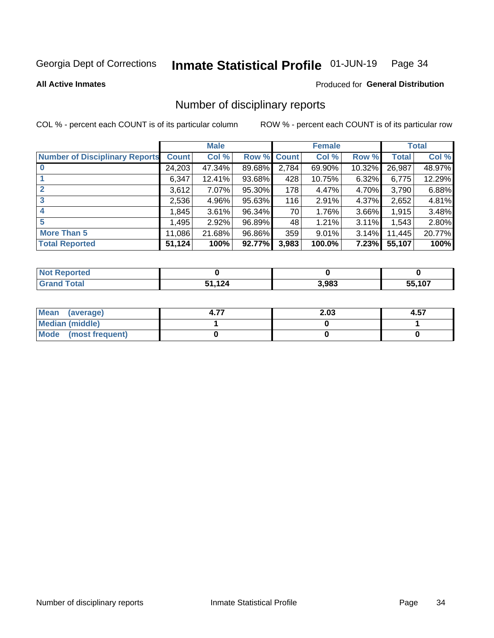### Inmate Statistical Profile 01-JUN-19 Page 34

### **All Active Inmates**

### Produced for General Distribution

## Number of disciplinary reports

COL % - percent each COUNT is of its particular column

|                                       |              | <b>Male</b> |             |       | <b>Female</b> |        |        | <b>Total</b> |
|---------------------------------------|--------------|-------------|-------------|-------|---------------|--------|--------|--------------|
| <b>Number of Disciplinary Reports</b> | <b>Count</b> | Col %       | Row % Count |       | Col %         | Row %  | Total  | Col %        |
| $\bf{0}$                              | 24,203       | 47.34%      | 89.68%      | 2,784 | 69.90%        | 10.32% | 26,987 | 48.97%       |
|                                       | 6,347        | 12.41%      | 93.68%      | 428   | 10.75%        | 6.32%  | 6,775  | 12.29%       |
| $\mathbf{2}$                          | 3,612        | 7.07%       | 95.30%      | 178   | 4.47%         | 4.70%  | 3,790  | 6.88%        |
| 3                                     | 2,536        | 4.96%       | 95.63%      | 116   | 2.91%         | 4.37%  | 2,652  | 4.81%        |
|                                       | 1,845        | 3.61%       | 96.34%      | 70    | 1.76%         | 3.66%  | 1,915  | 3.48%        |
| 5                                     | .495         | 2.92%       | 96.89%      | 48    | 1.21%         | 3.11%  | 1,543  | 2.80%        |
| <b>More Than 5</b>                    | 11,086       | 21.68%      | 96.86%      | 359   | 9.01%         | 3.14%  | 11,445 | 20.77%       |
| <b>Total Reported</b>                 | 51,124       | 100%        | 92.77%      | 3,983 | 100.0%        | 7.23%  | 55,107 | 100%         |

| orted<br>NO  |     |       |        |
|--------------|-----|-------|--------|
| <b>Total</b> | 124 | 3.983 | 55.107 |

| Mean (average)       | 2.03 | 4.57 |
|----------------------|------|------|
| Median (middle)      |      |      |
| Mode (most frequent) |      |      |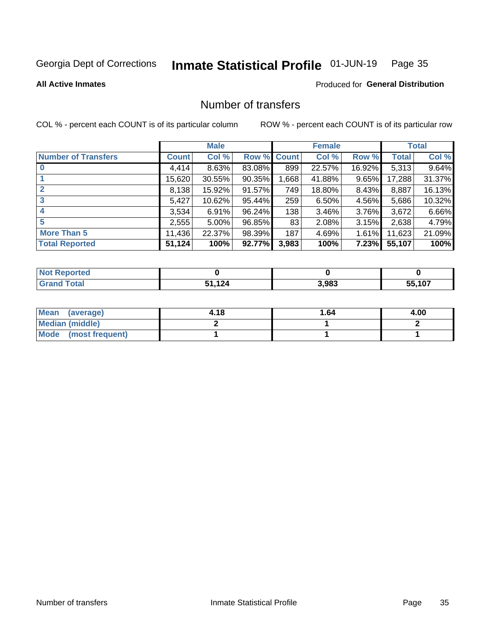### Inmate Statistical Profile 01-JUN-19 Page 35

### **All Active Inmates**

### Produced for General Distribution

## Number of transfers

COL % - percent each COUNT is of its particular column

|                            |              | <b>Male</b> |           |             | <b>Female</b> |        |        | <b>Total</b> |
|----------------------------|--------------|-------------|-----------|-------------|---------------|--------|--------|--------------|
| <b>Number of Transfers</b> | <b>Count</b> | Col %       |           | Row % Count | Col %         | Row %  | Total  | Col %        |
| $\bf{0}$                   | 4,414        | 8.63%       | 83.08%    | 899         | 22.57%        | 16.92% | 5,313  | 9.64%        |
|                            | 15,620       | 30.55%      | $90.35\%$ | .668        | 41.88%        | 9.65%  | 17,288 | 31.37%       |
| $\mathbf{2}$               | 8,138        | 15.92%      | 91.57%    | 749         | 18.80%        | 8.43%  | 8,887  | 16.13%       |
| 3                          | 5,427        | 10.62%      | 95.44%    | 259         | 6.50%         | 4.56%  | 5,686  | 10.32%       |
|                            | 3.534        | 6.91%       | 96.24%    | 138         | 3.46%         | 3.76%  | 3,672  | 6.66%        |
| 5                          | 2,555        | 5.00%       | 96.85%    | 83          | 2.08%         | 3.15%  | 2,638  | 4.79%        |
| <b>More Than 5</b>         | 11,436       | 22.37%      | 98.39%    | 187         | 4.69%         | 1.61%  | 11,623 | 21.09%       |
| <b>Total Reported</b>      | 51,124       | 100%        | 92.77%    | 3,983       | 100%          | 7.23%  | 55,107 | 100%         |

| orted<br>NO  |     |       |        |
|--------------|-----|-------|--------|
| <b>Total</b> | 124 | 3.983 | 55.107 |

| Mean (average)       | 4.18 | 1.64 | 4.00 |
|----------------------|------|------|------|
| Median (middle)      |      |      |      |
| Mode (most frequent) |      |      |      |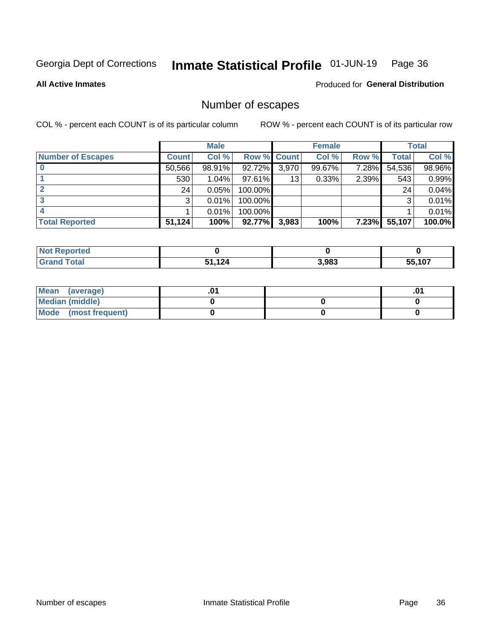### Inmate Statistical Profile 01-JUN-19 Page 36

**All Active Inmates** 

**Produced for General Distribution** 

## Number of escapes

COL % - percent each COUNT is of its particular column

|                          |              | <b>Male</b> |                    |       | <b>Female</b> |       |        | <b>Total</b> |
|--------------------------|--------------|-------------|--------------------|-------|---------------|-------|--------|--------------|
| <b>Number of Escapes</b> | <b>Count</b> | Col %       | <b>Row % Count</b> |       | Col %         | Row % | Total  | Col %        |
|                          | 50,566       | 98.91%      | 92.72%             | 3,970 | 99.67%        | 7.28% | 54,536 | 98.96%       |
|                          | 530          | 1.04%       | $97.61\%$          | 13    | 0.33%         | 2.39% | 543    | 0.99%        |
|                          | 24           | 0.05%       | 100.00%            |       |               |       | 24     | 0.04%        |
|                          | 3            | 0.01%       | $100.00\%$         |       |               |       | 3      | 0.01%        |
|                          |              | 0.01%       | 100.00%            |       |               |       |        | 0.01%        |
| <b>Total Reported</b>    | 51,124       | 100%        | 92.77%             | 3,983 | 100%          | 7.23% | 55,107 | 100.0%       |

| prted        |                         |       |        |
|--------------|-------------------------|-------|--------|
| <b>Total</b> | 12 <sub>A</sub><br>$-1$ | 3,983 | 55.107 |

| Mean<br>(average)    |  | .0 |
|----------------------|--|----|
| Median (middle)      |  |    |
| Mode (most frequent) |  |    |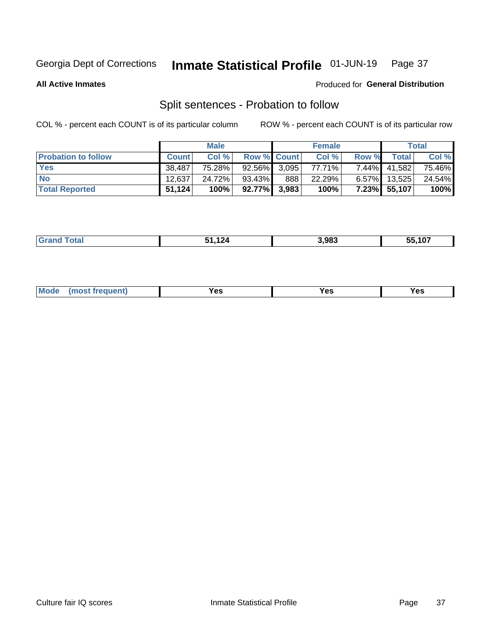### Inmate Statistical Profile 01-JUN-19 Page 37

**All Active Inmates** 

### Produced for General Distribution

## Split sentences - Probation to follow

COL % - percent each COUNT is of its particular column

|                            |              | <b>Male</b> |                    |     | <b>Female</b> |          |                   | <b>Total</b> |
|----------------------------|--------------|-------------|--------------------|-----|---------------|----------|-------------------|--------------|
| <b>Probation to follow</b> | <b>Count</b> | Col%        | <b>Row % Count</b> |     | Col %         | Row %    | Total             | Col %        |
| <b>Yes</b>                 | 38.487       | 75.28%      | $92.56\%$ 3.095    |     | 77.71%        |          | 7.44% 41,582      | 75.46%       |
| <b>No</b>                  | 12.637       | 24.72%      | 93.43%             | 888 | 22.29%        |          | $6.57\%$   13,525 | 24.54%       |
| <b>Total Reported</b>      | 51,124       | 100%        | $92.77\%$ 3,983    |     | 100%          | $7.23\%$ | 55,107            | 100%         |

|--|

| <b>Mode</b><br>reauent)<br>Yes<br>v^c<br>0٥<br>.<br>. .<br>$\sim$ |
|-------------------------------------------------------------------|
|-------------------------------------------------------------------|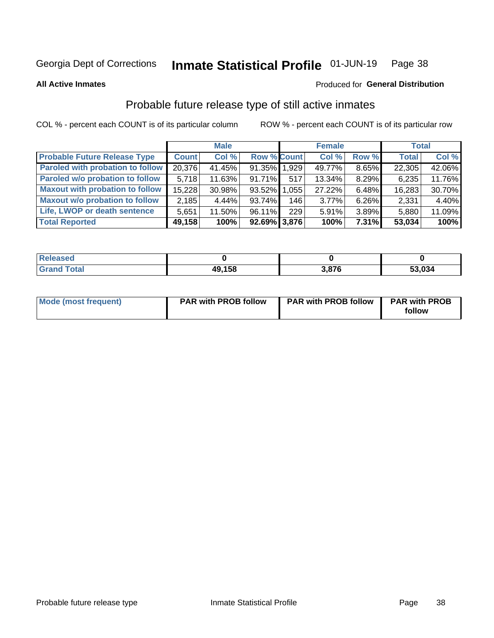#### Inmate Statistical Profile 01-JUN-19 Page 38

**All Active Inmates** 

### Produced for General Distribution

# Probable future release type of still active inmates

COL % - percent each COUNT is of its particular column

|                                         |              | <b>Male</b> |                 |       | <b>Female</b> |          | <b>Total</b> |        |
|-----------------------------------------|--------------|-------------|-----------------|-------|---------------|----------|--------------|--------|
| <b>Probable Future Release Type</b>     | <b>Count</b> | Col %       | Row % Count     |       | Col%          | Row %    | <b>Total</b> | Col %  |
| <b>Paroled with probation to follow</b> | 20,376       | 41.45%      | 91.35% 1.929    |       | 49.77%        | $8.65\%$ | 22,305       | 42.06% |
| Paroled w/o probation to follow         | 5.718        | $11.63\%$   | $91.71\%$       | 517   | 13.34%        | 8.29%    | 6,235        | 11.76% |
| <b>Maxout with probation to follow</b>  | 15,228       | 30.98%      | 93.52%          | 1,055 | 27.22%        | 6.48%    | 16,283       | 30.70% |
| <b>Maxout w/o probation to follow</b>   | 2,185        | 4.44%       | $93.74\%$       | 146   | $3.77\%$      | $6.26\%$ | 2,331        | 4.40%  |
| Life, LWOP or death sentence            | 5.651        | 11.50%      | $96.11\%$       | 229   | 5.91%         | $3.89\%$ | 5,880        | 11.09% |
| <b>Total Reported</b>                   | 49,158       | 100%        | $92.69\%$ 3,876 |       | 100%          | $7.31\%$ | 53,034       | 100%   |

| ased                  |        |      |        |
|-----------------------|--------|------|--------|
| $f \wedge f \wedge f$ | 49,158 | .876 | 53,034 |

| Mode (most frequent) | <b>PAR with PROB follow</b> | <b>PAR with PROB follow</b> | <b>PAR with PROB</b><br>follow |
|----------------------|-----------------------------|-----------------------------|--------------------------------|
|                      |                             |                             |                                |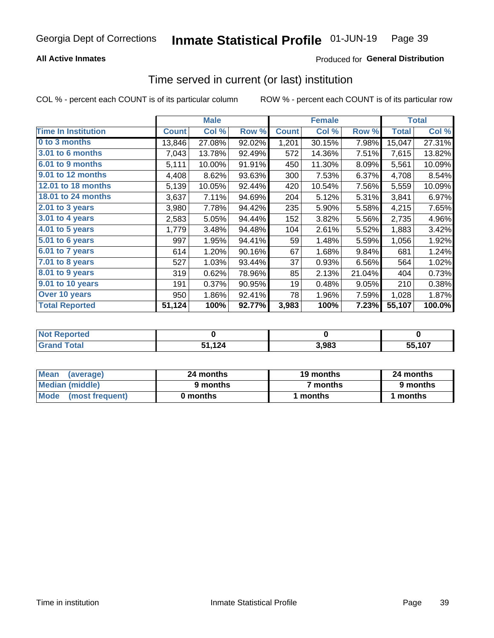## **All Active Inmates**

## Produced for General Distribution

# Time served in current (or last) institution

COL % - percent each COUNT is of its particular column

|                            | <b>Male</b>  |        |        | <b>Female</b> |        |        | <b>Total</b> |        |
|----------------------------|--------------|--------|--------|---------------|--------|--------|--------------|--------|
| <b>Time In Institution</b> | <b>Count</b> | Col %  | Row %  | <b>Count</b>  | Col %  | Row %  | <b>Total</b> | Col %  |
| 0 to 3 months              | 13,846       | 27.08% | 92.02% | 1,201         | 30.15% | 7.98%  | 15,047       | 27.31% |
| 3.01 to 6 months           | 7,043        | 13.78% | 92.49% | 572           | 14.36% | 7.51%  | 7,615        | 13.82% |
| 6.01 to 9 months           | 5,111        | 10.00% | 91.91% | 450           | 11.30% | 8.09%  | 5,561        | 10.09% |
| 9.01 to 12 months          | 4,408        | 8.62%  | 93.63% | 300           | 7.53%  | 6.37%  | 4,708        | 8.54%  |
| <b>12.01 to 18 months</b>  | 5,139        | 10.05% | 92.44% | 420           | 10.54% | 7.56%  | 5,559        | 10.09% |
| 18.01 to 24 months         | 3,637        | 7.11%  | 94.69% | 204           | 5.12%  | 5.31%  | 3,841        | 6.97%  |
| $2.01$ to 3 years          | 3,980        | 7.78%  | 94.42% | 235           | 5.90%  | 5.58%  | 4,215        | 7.65%  |
| 3.01 to 4 years            | 2,583        | 5.05%  | 94.44% | 152           | 3.82%  | 5.56%  | 2,735        | 4.96%  |
| 4.01 to 5 years            | 1,779        | 3.48%  | 94.48% | 104           | 2.61%  | 5.52%  | 1,883        | 3.42%  |
| 5.01 to 6 years            | 997          | 1.95%  | 94.41% | 59            | 1.48%  | 5.59%  | 1,056        | 1.92%  |
| 6.01 to 7 years            | 614          | 1.20%  | 90.16% | 67            | 1.68%  | 9.84%  | 681          | 1.24%  |
| 7.01 to 8 years            | 527          | 1.03%  | 93.44% | 37            | 0.93%  | 6.56%  | 564          | 1.02%  |
| $8.01$ to 9 years          | 319          | 0.62%  | 78.96% | 85            | 2.13%  | 21.04% | 404          | 0.73%  |
| 9.01 to 10 years           | 191          | 0.37%  | 90.95% | 19            | 0.48%  | 9.05%  | 210          | 0.38%  |
| Over 10 years              | 950          | 1.86%  | 92.41% | 78            | 1.96%  | 7.59%  | 1,028        | 1.87%  |
| <b>Total Reported</b>      | 51,124       | 100%   | 92.77% | 3,983         | 100%   | 7.23%  | 55,107       | 100.0% |

| <b>Penorted</b><br><b>Not</b> |      |       |                    |
|-------------------------------|------|-------|--------------------|
| <i>i</i> ntal                 | .124 | 3,983 | <sup>-</sup> 5.107 |

| <b>Mean</b><br>(average) | 24 months | 19 months | 24 months |
|--------------------------|-----------|-----------|-----------|
| Median (middle)          | 9 months  | 7 months  | 9 months  |
| Mode (most frequent)     | 0 months  | months    | 1 months  |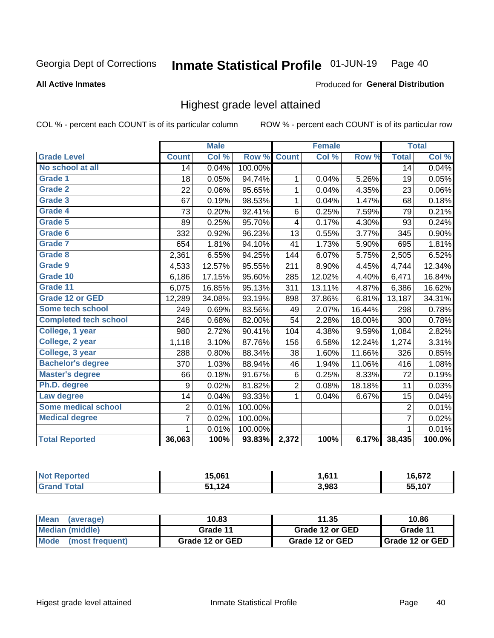### **All Active Inmates**

### Produced for General Distribution

## Highest grade level attained

COL % - percent each COUNT is of its particular column

|                              |                 | <b>Male</b> |         |                | <b>Female</b> |        |                 | <b>Total</b> |
|------------------------------|-----------------|-------------|---------|----------------|---------------|--------|-----------------|--------------|
| <b>Grade Level</b>           | <b>Count</b>    | Col %       | Row %   | <b>Count</b>   | Col %         | Row %  | <b>Total</b>    | Col %        |
| No school at all             | $\overline{14}$ | 0.04%       | 100.00% |                |               |        | $\overline{14}$ | 0.04%        |
| <b>Grade 1</b>               | 18              | 0.05%       | 94.74%  | 1              | 0.04%         | 5.26%  | 19              | 0.05%        |
| <b>Grade 2</b>               | 22              | 0.06%       | 95.65%  | 1              | 0.04%         | 4.35%  | 23              | 0.06%        |
| Grade 3                      | 67              | 0.19%       | 98.53%  | 1              | 0.04%         | 1.47%  | 68              | 0.18%        |
| <b>Grade 4</b>               | 73              | 0.20%       | 92.41%  | 6              | 0.25%         | 7.59%  | 79              | 0.21%        |
| Grade 5                      | 89              | 0.25%       | 95.70%  | 4              | 0.17%         | 4.30%  | 93              | 0.24%        |
| Grade 6                      | 332             | 0.92%       | 96.23%  | 13             | 0.55%         | 3.77%  | 345             | 0.90%        |
| <b>Grade 7</b>               | 654             | 1.81%       | 94.10%  | 41             | 1.73%         | 5.90%  | 695             | 1.81%        |
| Grade 8                      | 2,361           | 6.55%       | 94.25%  | 144            | 6.07%         | 5.75%  | 2,505           | 6.52%        |
| Grade 9                      | 4,533           | 12.57%      | 95.55%  | 211            | 8.90%         | 4.45%  | 4,744           | 12.34%       |
| Grade 10                     | 6,186           | 17.15%      | 95.60%  | 285            | 12.02%        | 4.40%  | 6,471           | 16.84%       |
| Grade 11                     | 6,075           | 16.85%      | 95.13%  | 311            | 13.11%        | 4.87%  | 6,386           | 16.62%       |
| <b>Grade 12 or GED</b>       | 12,289          | 34.08%      | 93.19%  | 898            | 37.86%        | 6.81%  | 13,187          | 34.31%       |
| <b>Some tech school</b>      | 249             | 0.69%       | 83.56%  | 49             | 2.07%         | 16.44% | 298             | 0.78%        |
| <b>Completed tech school</b> | 246             | 0.68%       | 82.00%  | 54             | 2.28%         | 18.00% | 300             | 0.78%        |
| College, 1 year              | 980             | 2.72%       | 90.41%  | 104            | 4.38%         | 9.59%  | 1,084           | 2.82%        |
| College, 2 year              | 1,118           | 3.10%       | 87.76%  | 156            | 6.58%         | 12.24% | 1,274           | 3.31%        |
| College, 3 year              | 288             | 0.80%       | 88.34%  | 38             | 1.60%         | 11.66% | 326             | 0.85%        |
| <b>Bachelor's degree</b>     | 370             | 1.03%       | 88.94%  | 46             | 1.94%         | 11.06% | 416             | 1.08%        |
| <b>Master's degree</b>       | 66              | 0.18%       | 91.67%  | $\,6$          | 0.25%         | 8.33%  | 72              | 0.19%        |
| Ph.D. degree                 | 9               | 0.02%       | 81.82%  | $\overline{2}$ | 0.08%         | 18.18% | 11              | 0.03%        |
| Law degree                   | 14              | 0.04%       | 93.33%  | 1              | 0.04%         | 6.67%  | 15              | 0.04%        |
| <b>Some medical school</b>   | $\overline{2}$  | 0.01%       | 100.00% |                |               |        | 2               | 0.01%        |
| <b>Medical degree</b>        | 7               | 0.02%       | 100.00% |                |               |        | $\overline{7}$  | 0.02%        |
|                              | 1.              | 0.01%       | 100.00% |                |               |        | 1               | 0.01%        |
| <b>Total Reported</b>        | 36,063          | 100%        | 93.83%  | 2,372          | 100%          | 6.17%  | 38,435          | 100.0%       |

| 15.061          | <b>C11</b><br>I I O I I | $\sim$  |
|-----------------|-------------------------|---------|
| 12 <sub>d</sub> | 3,983                   | 107<br> |

| Mean<br>(average)    | 10.83           | 11.35           | 10.86           |  |
|----------------------|-----------------|-----------------|-----------------|--|
| Median (middle)      | Grade 11        | Grade 12 or GED | Grade 11        |  |
| Mode (most frequent) | Grade 12 or GED | Grade 12 or GED | Grade 12 or GED |  |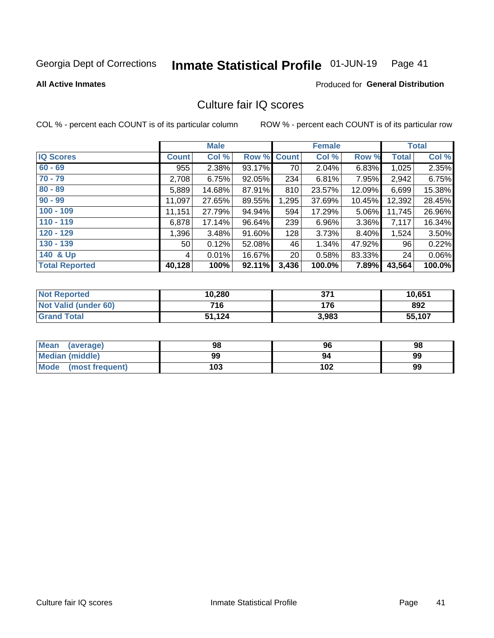#### Inmate Statistical Profile 01-JUN-19 Page 41

**All Active Inmates** 

### **Produced for General Distribution**

# Culture fair IQ scores

COL % - percent each COUNT is of its particular column

|                       |              | <b>Male</b> |             |                 | <b>Female</b> |        |        | <b>Total</b> |
|-----------------------|--------------|-------------|-------------|-----------------|---------------|--------|--------|--------------|
| <b>IQ Scores</b>      | <b>Count</b> | Col %       | Row % Count |                 | Col %         | Row %  | Total  | Col %        |
| $60 - 69$             | 955          | 2.38%       | 93.17%      | 70 l            | 2.04%         | 6.83%  | 1,025  | 2.35%        |
| $70 - 79$             | 2,708        | 6.75%       | 92.05%      | 234             | 6.81%         | 7.95%  | 2,942  | 6.75%        |
| $80 - 89$             | 5,889        | 14.68%      | 87.91%      | 810             | 23.57%        | 12.09% | 6,699  | 15.38%       |
| $90 - 99$             | 11,097       | 27.65%      | 89.55%      | 1,295           | 37.69%        | 10.45% | 12,392 | 28.45%       |
| $100 - 109$           | 11,151       | 27.79%      | 94.94%      | 594             | 17.29%        | 5.06%  | 11,745 | 26.96%       |
| $110 - 119$           | 6,878        | 17.14%      | 96.64%      | 239             | 6.96%         | 3.36%  | 7,117  | 16.34%       |
| $120 - 129$           | 1,396        | 3.48%       | 91.60%      | 128             | 3.73%         | 8.40%  | 1,524  | 3.50%        |
| $130 - 139$           | 50           | 0.12%       | 52.08%      | 46              | 1.34%         | 47.92% | 96     | 0.22%        |
| 140 & Up              | 4            | 0.01%       | 16.67%      | 20 <sub>1</sub> | 0.58%         | 83.33% | 24     | 0.06%        |
| <b>Total Reported</b> | 40,128       | 100%        | 92.11%      | 3,436           | 100.0%        | 7.89%  | 43,564 | 100.0%       |

| <b>Not Reported</b>         | 10,280 | 371   | 10,651 |
|-----------------------------|--------|-------|--------|
| <b>Not Valid (under 60)</b> | 716    | 176   | 892    |
| <b>Grand Total</b>          | 51,124 | 3,983 | 55,107 |

| <b>Mean</b><br>(average) | 98  | 96  | 98 |
|--------------------------|-----|-----|----|
| <b>Median (middle)</b>   | 99  | 94  | 99 |
| Mode<br>(most frequent)  | 103 | 102 | 99 |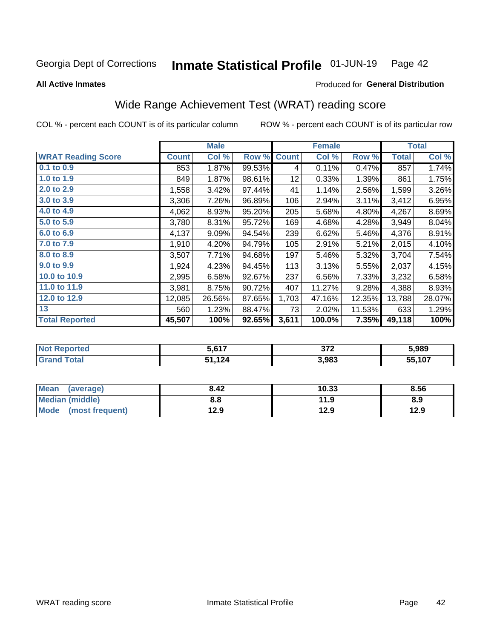#### Inmate Statistical Profile 01-JUN-19 Page 42

**All Active Inmates** 

### Produced for General Distribution

# Wide Range Achievement Test (WRAT) reading score

COL % - percent each COUNT is of its particular column

|                           |         | <b>Male</b> |        |              | <b>Female</b> |        |              | <b>Total</b> |
|---------------------------|---------|-------------|--------|--------------|---------------|--------|--------------|--------------|
| <b>WRAT Reading Score</b> | Count l | Col %       | Row %  | <b>Count</b> | Col %         | Row %  | <b>Total</b> | Col %        |
| $0.1$ to $0.9$            | 853     | 1.87%       | 99.53% | 4            | 0.11%         | 0.47%  | 857          | 1.74%        |
| 1.0 to 1.9                | 849     | 1.87%       | 98.61% | 12           | 0.33%         | 1.39%  | 861          | 1.75%        |
| 2.0 to 2.9                | 1,558   | 3.42%       | 97.44% | 41           | 1.14%         | 2.56%  | 1,599        | 3.26%        |
| 3.0 to 3.9                | 3,306   | 7.26%       | 96.89% | 106          | 2.94%         | 3.11%  | 3,412        | 6.95%        |
| 4.0 to 4.9                | 4,062   | 8.93%       | 95.20% | 205          | 5.68%         | 4.80%  | 4,267        | 8.69%        |
| 5.0 to 5.9                | 3,780   | 8.31%       | 95.72% | 169          | 4.68%         | 4.28%  | 3,949        | 8.04%        |
| 6.0 to 6.9                | 4,137   | 9.09%       | 94.54% | 239          | 6.62%         | 5.46%  | 4,376        | 8.91%        |
| 7.0 to 7.9                | 1,910   | 4.20%       | 94.79% | 105          | 2.91%         | 5.21%  | 2,015        | 4.10%        |
| 8.0 to 8.9                | 3,507   | 7.71%       | 94.68% | 197          | 5.46%         | 5.32%  | 3,704        | 7.54%        |
| 9.0 to 9.9                | 1,924   | 4.23%       | 94.45% | 113          | 3.13%         | 5.55%  | 2,037        | 4.15%        |
| 10.0 to 10.9              | 2,995   | 6.58%       | 92.67% | 237          | 6.56%         | 7.33%  | 3,232        | 6.58%        |
| 11.0 to 11.9              | 3,981   | 8.75%       | 90.72% | 407          | 11.27%        | 9.28%  | 4,388        | 8.93%        |
| 12.0 to 12.9              | 12,085  | 26.56%      | 87.65% | 1,703        | 47.16%        | 12.35% | 13,788       | 28.07%       |
| 13                        | 560     | 1.23%       | 88.47% | 73           | 2.02%         | 11.53% | 633          | 1.29%        |
| <b>Total Reported</b>     | 45,507  | 100%        | 92.65% | 3,611        | 100.0%        | 7.35%  | 49,118       | 100%         |

| rtea<br>NO | : 617 | 27c<br>JIL | 5,989           |
|------------|-------|------------|-----------------|
| $\sim$     | .124  | 3,983      | 55 107<br>1 V 1 |

| <b>Mean</b><br>(average)       | 8.42 | 10.33 | 8.56 |
|--------------------------------|------|-------|------|
| Median (middle)                | 8.8  | 11.9  | 8.9  |
| <b>Mode</b><br>(most frequent) | 12.9 | 12.9  | 12.9 |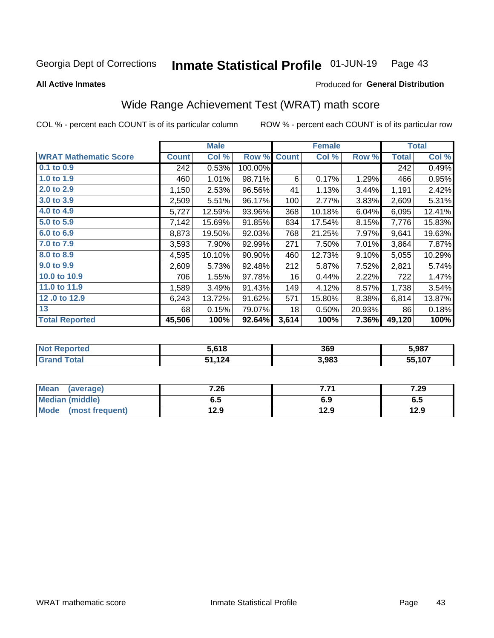#### Inmate Statistical Profile 01-JUN-19 Page 43

**All Active Inmates** 

### Produced for General Distribution

# Wide Range Achievement Test (WRAT) math score

COL % - percent each COUNT is of its particular column

|                              |              | <b>Male</b> |         |              | <b>Female</b> |        |              | <b>Total</b> |
|------------------------------|--------------|-------------|---------|--------------|---------------|--------|--------------|--------------|
| <b>WRAT Mathematic Score</b> | <b>Count</b> | Col %       | Row %   | <b>Count</b> | Col %         | Row %  | <b>Total</b> | Col %        |
| 0.1 to 0.9                   | 242          | 0.53%       | 100.00% |              |               |        | 242          | 0.49%        |
| 1.0 to 1.9                   | 460          | 1.01%       | 98.71%  | 6            | 0.17%         | 1.29%  | 466          | 0.95%        |
| 2.0 to 2.9                   | 1,150        | 2.53%       | 96.56%  | 41           | 1.13%         | 3.44%  | 1,191        | 2.42%        |
| 3.0 to 3.9                   | 2,509        | 5.51%       | 96.17%  | 100          | 2.77%         | 3.83%  | 2,609        | 5.31%        |
| 4.0 to 4.9                   | 5,727        | 12.59%      | 93.96%  | 368          | 10.18%        | 6.04%  | 6,095        | 12.41%       |
| 5.0 to 5.9                   | 7,142        | 15.69%      | 91.85%  | 634          | 17.54%        | 8.15%  | 7,776        | 15.83%       |
| 6.0 to 6.9                   | 8,873        | 19.50%      | 92.03%  | 768          | 21.25%        | 7.97%  | 9,641        | 19.63%       |
| 7.0 to 7.9                   | 3,593        | 7.90%       | 92.99%  | 271          | 7.50%         | 7.01%  | 3,864        | 7.87%        |
| 8.0 to 8.9                   | 4,595        | 10.10%      | 90.90%  | 460          | 12.73%        | 9.10%  | 5,055        | 10.29%       |
| 9.0 to 9.9                   | 2,609        | 5.73%       | 92.48%  | 212          | 5.87%         | 7.52%  | 2,821        | 5.74%        |
| 10.0 to 10.9                 | 706          | 1.55%       | 97.78%  | 16           | 0.44%         | 2.22%  | 722          | 1.47%        |
| 11.0 to 11.9                 | 1,589        | 3.49%       | 91.43%  | 149          | 4.12%         | 8.57%  | 1,738        | 3.54%        |
| 12.0 to 12.9                 | 6,243        | 13.72%      | 91.62%  | 571          | 15.80%        | 8.38%  | 6,814        | 13.87%       |
| 13                           | 68           | 0.15%       | 79.07%  | 18           | 0.50%         | 20.93% | 86           | 0.18%        |
| <b>Total Reported</b>        | 45,506       | 100%        | 92.64%  | 3,614        | 100%          | 7.36%  | 49,120       | 100%         |

| <b>rteg</b><br>NO | 5.618  | 369   | 5,987  |
|-------------------|--------|-------|--------|
| int               | 51,124 | 3,983 | 55,107 |

| <b>Mean</b><br>(average) | 7.26 | 7.74<br>. | 7.29 |
|--------------------------|------|-----------|------|
| Median (middle)          | כ.ס  | 6.9       | ხ.მ  |
| Mode<br>(most frequent)  | 12.9 | 12.9      | 12.9 |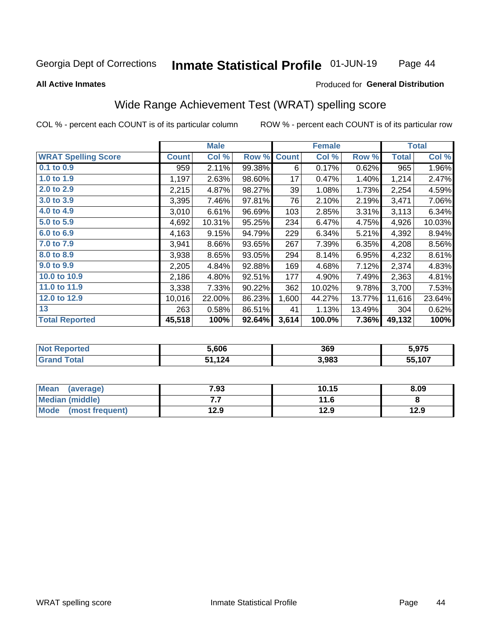#### Inmate Statistical Profile 01-JUN-19 Page 44

### **All Active Inmates**

### Produced for General Distribution

# Wide Range Achievement Test (WRAT) spelling score

COL % - percent each COUNT is of its particular column

|                            |              | <b>Male</b> |        |              | <b>Female</b> |        |              | <b>Total</b> |
|----------------------------|--------------|-------------|--------|--------------|---------------|--------|--------------|--------------|
| <b>WRAT Spelling Score</b> | <b>Count</b> | Col %       | Row %  | <b>Count</b> | Col %         | Row %  | <b>Total</b> | Col %        |
| 0.1 to 0.9                 | 959          | 2.11%       | 99.38% | 6            | 0.17%         | 0.62%  | 965          | 1.96%        |
| 1.0 to 1.9                 | 1,197        | 2.63%       | 98.60% | 17           | 0.47%         | 1.40%  | 1,214        | 2.47%        |
| 2.0 to 2.9                 | 2,215        | 4.87%       | 98.27% | 39           | 1.08%         | 1.73%  | 2,254        | 4.59%        |
| 3.0 to 3.9                 | 3,395        | 7.46%       | 97.81% | 76           | 2.10%         | 2.19%  | 3,471        | 7.06%        |
| 4.0 to 4.9                 | 3,010        | 6.61%       | 96.69% | 103          | 2.85%         | 3.31%  | 3,113        | 6.34%        |
| 5.0 to 5.9                 | 4,692        | 10.31%      | 95.25% | 234          | 6.47%         | 4.75%  | 4,926        | 10.03%       |
| 6.0 to 6.9                 | 4,163        | 9.15%       | 94.79% | 229          | 6.34%         | 5.21%  | 4,392        | 8.94%        |
| 7.0 to 7.9                 | 3,941        | 8.66%       | 93.65% | 267          | 7.39%         | 6.35%  | 4,208        | 8.56%        |
| 8.0 to 8.9                 | 3,938        | 8.65%       | 93.05% | 294          | 8.14%         | 6.95%  | 4,232        | 8.61%        |
| 9.0 to 9.9                 | 2,205        | 4.84%       | 92.88% | 169          | 4.68%         | 7.12%  | 2,374        | 4.83%        |
| 10.0 to 10.9               | 2,186        | 4.80%       | 92.51% | 177          | 4.90%         | 7.49%  | 2,363        | 4.81%        |
| 11.0 to 11.9               | 3,338        | 7.33%       | 90.22% | 362          | 10.02%        | 9.78%  | 3,700        | 7.53%        |
| 12.0 to 12.9               | 10,016       | 22.00%      | 86.23% | 1,600        | 44.27%        | 13.77% | 11,616       | 23.64%       |
| 13                         | 263          | 0.58%       | 86.51% | 41           | 1.13%         | 13.49% | 304          | 0.62%        |
| <b>Total Reported</b>      | 45,518       | 100%        | 92.64% | 3,614        | 100.0%        | 7.36%  | 49,132       | 100%         |

| тес.<br>NO | 5.606  | 369   | 5.975  |
|------------|--------|-------|--------|
| int        | 51,124 | 3,983 | 55,107 |

| <b>Mean</b><br>(average) | 7.93 | 10.15 | 8.09 |
|--------------------------|------|-------|------|
| Median (middle)          | .    | 11.6  |      |
| Mode<br>(most frequent)  | 12.9 | 12.9  | 12.9 |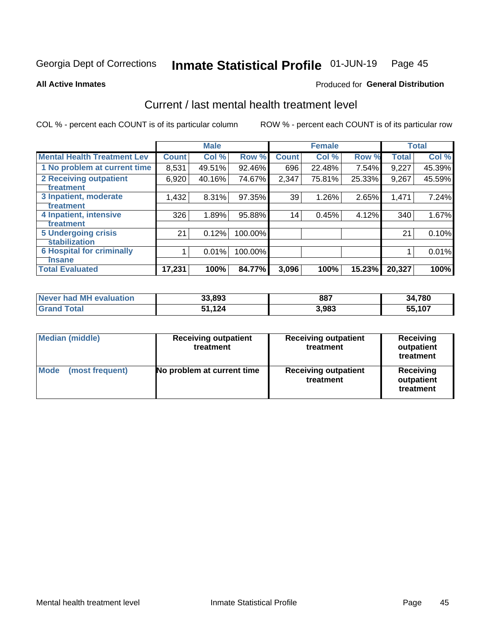#### Inmate Statistical Profile 01-JUN-19 Page 45

**All Active Inmates** 

## **Produced for General Distribution**

# Current / last mental health treatment level

COL % - percent each COUNT is of its particular column

|                                    |              | <b>Male</b> |         |              | <b>Female</b> |        |        | <b>Total</b> |
|------------------------------------|--------------|-------------|---------|--------------|---------------|--------|--------|--------------|
| <b>Mental Health Treatment Lev</b> | <b>Count</b> | Col %       | Row %   | <b>Count</b> | Col %         | Row %  | Total  | Col %        |
| 1 No problem at current time       | 8,531        | 49.51%      | 92.46%  | 696          | 22.48%        | 7.54%  | 9,227  | 45.39%       |
| 2 Receiving outpatient             | 6,920        | 40.16%      | 74.67%  | 2,347        | 75.81%        | 25.33% | 9,267  | 45.59%       |
| <b>Treatment</b>                   |              |             |         |              |               |        |        |              |
| 3 Inpatient, moderate              | 1,432        | 8.31%       | 97.35%  | 39           | 1.26%         | 2.65%  | 1,471  | 7.24%        |
| <b>Treatment</b>                   |              |             |         |              |               |        |        |              |
| 4 Inpatient, intensive             | 326          | 1.89%       | 95.88%  | 14           | 0.45%         | 4.12%  | 340    | 1.67%        |
| <b>Treatment</b>                   |              |             |         |              |               |        |        |              |
| 5 Undergoing crisis                | 21           | 0.12%       | 100.00% |              |               |        | 21     | 0.10%        |
| <b>stabilization</b>               |              |             |         |              |               |        |        |              |
| <b>6 Hospital for criminally</b>   |              | 0.01%       | 100.00% |              |               |        |        | 0.01%        |
| Tnsane                             |              |             |         |              |               |        |        |              |
| <b>Total Evaluated</b>             | 17,231       | 100%        | 84.77%  | 3,096        | 100%          | 15.23% | 20,327 | 100%         |

| Never had MH evaluation   | 33,893 | 887   | 34,780 |
|---------------------------|--------|-------|--------|
| <b>Total</b><br>∣ Grand ∶ | 51.124 | 3,983 | 55,107 |

| <b>Median (middle)</b>         | <b>Receiving outpatient</b><br>treatment | <b>Receiving outpatient</b><br>treatment | <b>Receiving</b><br>outpatient<br>treatment |  |
|--------------------------------|------------------------------------------|------------------------------------------|---------------------------------------------|--|
| <b>Mode</b><br>(most frequent) | No problem at current time               | <b>Receiving outpatient</b><br>treatment | <b>Receiving</b><br>outpatient<br>treatment |  |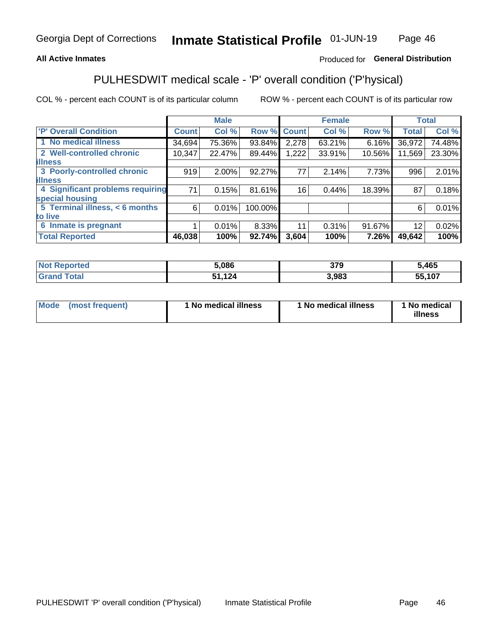## **All Active Inmates**

## Produced for General Distribution

# PULHESDWIT medical scale - 'P' overall condition ('P'hysical)

COL % - percent each COUNT is of its particular column

|                                  |              | <b>Male</b> |         |              | <b>Female</b> |        |                 | <b>Total</b> |
|----------------------------------|--------------|-------------|---------|--------------|---------------|--------|-----------------|--------------|
| 'P' Overall Condition            | <b>Count</b> | Col %       | Row %   | <b>Count</b> | Col %         | Row %  | <b>Total</b>    | Col %        |
| 1 No medical illness             | 34,694       | 75.36%      | 93.84%  | 2,278        | 63.21%        | 6.16%  | 36,972          | 74.48%       |
| 2 Well-controlled chronic        | 10,347       | 22.47%      | 89.44%  | 1,222        | 33.91%        | 10.56% | 11,569          | 23.30%       |
| <b>lillness</b>                  |              |             |         |              |               |        |                 |              |
| 3 Poorly-controlled chronic      | 919          | $2.00\%$    | 92.27%  | 77           | 2.14%         | 7.73%  | 996             | 2.01%        |
| <b>lillness</b>                  |              |             |         |              |               |        |                 |              |
| 4 Significant problems requiring | 71           | 0.15%       | 81.61%  | 16           | 0.44%         | 18.39% | 87              | 0.18%        |
| special housing                  |              |             |         |              |               |        |                 |              |
| 5 Terminal illness, < 6 months   | 6            | 0.01%       | 100.00% |              |               |        | 6               | 0.01%        |
| to live                          |              |             |         |              |               |        |                 |              |
| 6 Inmate is pregnant             |              | 0.01%       | 8.33%   | 11           | 0.31%         | 91.67% | 12 <sup>2</sup> | 0.02%        |
| <b>Total Reported</b>            | 46,038       | 100%        | 92.74%  | 3,604        | 100%          | 7.26%  | 49,642          | 100%         |

| τeο | 5,086         | 370<br>JI J | ,465   |
|-----|---------------|-------------|--------|
|     | イクル<br>$\sim$ | ,983        | 55.107 |

| Mode | (most frequent) | 1 No medical illness | 1 No medical illness | 1 No medical<br>illness |
|------|-----------------|----------------------|----------------------|-------------------------|
|------|-----------------|----------------------|----------------------|-------------------------|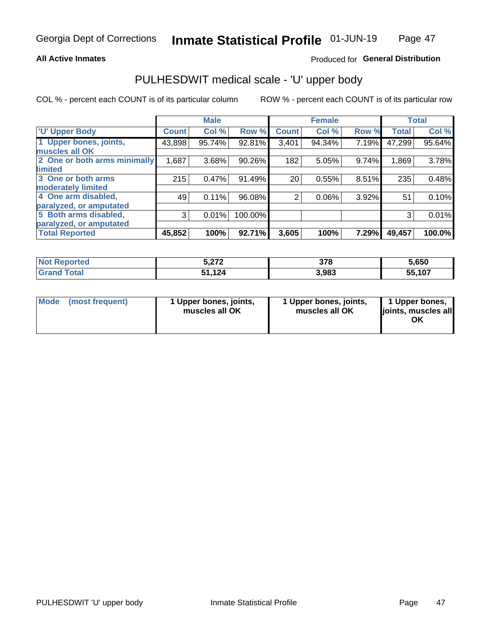### **All Active Inmates**

## Produced for General Distribution

# PULHESDWIT medical scale - 'U' upper body

COL % - percent each COUNT is of its particular column

|                              |              | <b>Male</b> |         |                | <b>Female</b> |       |              | <b>Total</b> |
|------------------------------|--------------|-------------|---------|----------------|---------------|-------|--------------|--------------|
| <b>U' Upper Body</b>         | <b>Count</b> | Col %       | Row %   | <b>Count</b>   | Col %         | Row % | <b>Total</b> | Col %        |
| 1 Upper bones, joints,       | 43,898       | 95.74%      | 92.81%  | 3,401          | 94.34%        | 7.19% | 47,299       | 95.64%       |
| muscles all OK               |              |             |         |                |               |       |              |              |
| 2 One or both arms minimally | 1,687        | 3.68%       | 90.26%  | 182            | 5.05%         | 9.74% | 1,869        | 3.78%        |
| limited                      |              |             |         |                |               |       |              |              |
| 3 One or both arms           | 215          | 0.47%       | 91.49%  | 20             | 0.55%         | 8.51% | 235          | 0.48%        |
| <b>moderately limited</b>    |              |             |         |                |               |       |              |              |
| 4 One arm disabled,          | 49           | 0.11%       | 96.08%  | $\overline{2}$ | 0.06%         | 3.92% | 51           | 0.10%        |
| paralyzed, or amputated      |              |             |         |                |               |       |              |              |
| 5 Both arms disabled,        | 3            | 0.01%       | 100.00% |                |               |       | 3            | 0.01%        |
| paralyzed, or amputated      |              |             |         |                |               |       |              |              |
| <b>Total Reported</b>        | 45,852       | 100%        | 92.71%  | 3,605          | 100%          | 7.29% | 49,457       | 100.0%       |

| <b>Not Reported</b>   | 272<br>J.714 | 378   | 5,650  |
|-----------------------|--------------|-------|--------|
| <b>Total</b><br>Grand | 51,124<br>E4 | 3,983 | 55,107 |

|  | Mode (most frequent) | 1 Upper bones, joints,<br>muscles all OK | 1 Upper bones, joints,<br>muscles all OK | 1 Upper bones,<br>ljoints, muscles all<br>ΟK |
|--|----------------------|------------------------------------------|------------------------------------------|----------------------------------------------|
|--|----------------------|------------------------------------------|------------------------------------------|----------------------------------------------|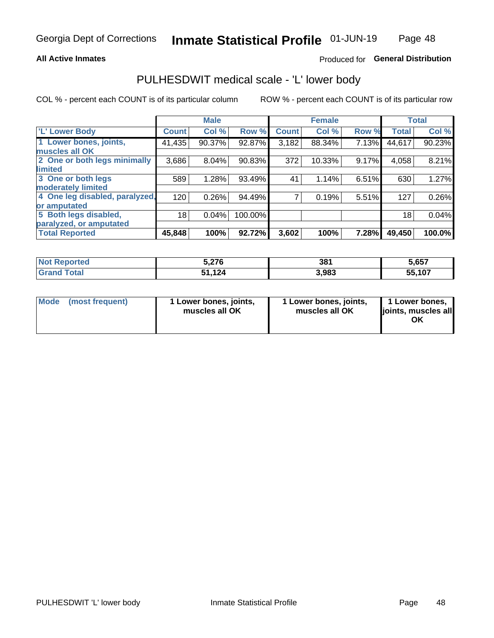## **All Active Inmates**

## Produced for General Distribution

## PULHESDWIT medical scale - 'L' lower body

COL % - percent each COUNT is of its particular column

|                                |              | <b>Male</b> |           |              | <b>Female</b> |       |              | <b>Total</b> |
|--------------------------------|--------------|-------------|-----------|--------------|---------------|-------|--------------|--------------|
| 'L' Lower Body                 | <b>Count</b> | Col %       | Row %     | <b>Count</b> | Col %         | Row % | <b>Total</b> | Col %        |
| 1 Lower bones, joints,         | 41,435       | 90.37%      | 92.87%    | 3,182        | 88.34%        | 7.13% | 44,617       | 90.23%       |
| muscles all OK                 |              |             |           |              |               |       |              |              |
| 2 One or both legs minimally   | 3,686        | 8.04%       | $90.83\%$ | 372          | 10.33%        | 9.17% | 4,058        | 8.21%        |
| limited                        |              |             |           |              |               |       |              |              |
| 3 One or both legs             | 589          | 1.28%       | 93.49%    | 41           | 1.14%         | 6.51% | 630          | 1.27%        |
| moderately limited             |              |             |           |              |               |       |              |              |
| 4 One leg disabled, paralyzed, | 120          | 0.26%       | 94.49%    |              | 0.19%         | 5.51% | 127          | 0.26%        |
| or amputated                   |              |             |           |              |               |       |              |              |
| 5 Both legs disabled,          | 18           | 0.04%       | 100.00%   |              |               |       | 18           | 0.04%        |
| paralyzed, or amputated        |              |             |           |              |               |       |              |              |
| <b>Total Reported</b>          | 45,848       | 100%        | 92.72%    | 3,602        | 100%          | 7.28% | 49,450       | 100.0%       |

| <b>Not Reported</b>          | 5,276        | 381   | 5,657  |
|------------------------------|--------------|-------|--------|
| <b>Total</b><br><b>Grand</b> | 51,124<br>E4 | 3,983 | 55,107 |

|  | Mode (most frequent) | 1 Lower bones, joints,<br>muscles all OK | 1 Lower bones, joints,<br>muscles all OK | 1 Lower bones,<br>joints, muscles all<br>ΟK |
|--|----------------------|------------------------------------------|------------------------------------------|---------------------------------------------|
|--|----------------------|------------------------------------------|------------------------------------------|---------------------------------------------|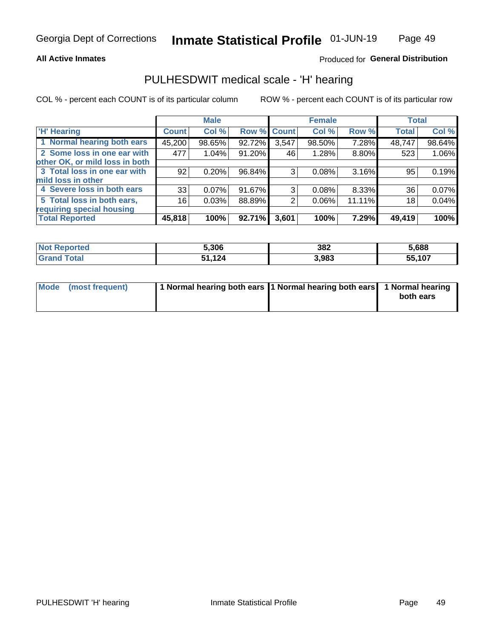### **All Active Inmates**

## Produced for General Distribution

## PULHESDWIT medical scale - 'H' hearing

COL % - percent each COUNT is of its particular column

|                                |              | <b>Male</b> |                    |       | <b>Female</b> |        | <b>Total</b> |        |
|--------------------------------|--------------|-------------|--------------------|-------|---------------|--------|--------------|--------|
| <b>H' Hearing</b>              | <b>Count</b> | Col %       | <b>Row % Count</b> |       | Col %         | Row %  | <b>Total</b> | Col %  |
| 1 Normal hearing both ears     | 45,200       | 98.65%      | 92.72%             | 3,547 | 98.50%        | 7.28%  | 48,747       | 98.64% |
| 2 Some loss in one ear with    | 477          | 1.04%       | 91.20%             | 46    | 1.28%         | 8.80%  | 523          | 1.06%  |
| other OK, or mild loss in both |              |             |                    |       |               |        |              |        |
| 3 Total loss in one ear with   | 92           | 0.20%       | 96.84%             | 3     | 0.08%         | 3.16%  | 95           | 0.19%  |
| mild loss in other             |              |             |                    |       |               |        |              |        |
| 4 Severe loss in both ears     | 33           | 0.07%       | 91.67%             | 3     | $0.08\%$      | 8.33%  | 36           | 0.07%  |
| 5 Total loss in both ears,     | 16           | 0.03%       | 88.89%             | 2     | 0.06%         | 11.11% | 18           | 0.04%  |
| requiring special housing      |              |             |                    |       |               |        |              |        |
| <b>Total Reported</b>          | 45,818       | 100%        | 92.71%             | 3,601 | 100%          | 7.29%  | 49,419       | 100%   |

| <b>Not Renc</b><br><b>ported</b> | 5,306         | 382   | 688,ز  |
|----------------------------------|---------------|-------|--------|
| Total                            | 1,124<br>C 4. | 3,983 | 55,107 |

| Mode (most frequent) | 1 Normal hearing both ears 1 Normal hearing both ears 1 Normal hearing | both ears |
|----------------------|------------------------------------------------------------------------|-----------|
|                      |                                                                        |           |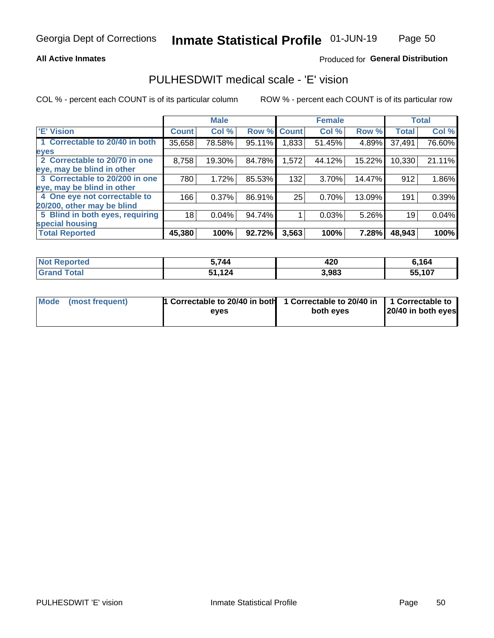## **All Active Inmates**

## Produced for General Distribution

## PULHESDWIT medical scale - 'E' vision

COL % - percent each COUNT is of its particular column

|                                 |              | <b>Male</b> |        |              | <b>Female</b> |        |              | <b>Total</b> |
|---------------------------------|--------------|-------------|--------|--------------|---------------|--------|--------------|--------------|
| 'E' Vision                      | <b>Count</b> | Col %       | Row %  | <b>Count</b> | Col %         | Row %  | <b>Total</b> | Col %        |
| 1 Correctable to 20/40 in both  | 35,658       | 78.58%      | 95.11% | .833         | 51.45%        | 4.89%  | 37,491       | 76.60%       |
| eyes                            |              |             |        |              |               |        |              |              |
| 2 Correctable to 20/70 in one   | 8,758        | 19.30%      | 84.78% | 1,572        | 44.12%        | 15.22% | 10,330       | 21.11%       |
| eye, may be blind in other      |              |             |        |              |               |        |              |              |
| 3 Correctable to 20/200 in one  | 780          | 1.72%       | 85.53% | 132          | 3.70%         | 14.47% | 912          | 1.86%        |
| eye, may be blind in other      |              |             |        |              |               |        |              |              |
| 4 One eye not correctable to    | 166          | 0.37%       | 86.91% | 25           | 0.70%         | 13.09% | 191          | 0.39%        |
| 20/200, other may be blind      |              |             |        |              |               |        |              |              |
| 5 Blind in both eyes, requiring | 18           | 0.04%       | 94.74% |              | 0.03%         | 5.26%  | 19           | 0.04%        |
| special housing                 |              |             |        |              |               |        |              |              |
| <b>Total Reported</b>           | 45,380       | 100%        | 92.72% | 3,563        | 100%          | 7.28%  | 48,943       | 100%         |

| <b>Not Reported</b>          | .744      | 420   | ,164   |
|------------------------------|-----------|-------|--------|
| <b>Total</b><br><b>Grand</b> | 124<br>Б4 | 3,983 | 55,107 |

| Mode (most frequent) | 1 Correctable to 20/40 in both<br>eves | 1 Correctable to 20/40 in   1 Correctable to  <br>both eves | 20/40 in both eyes |
|----------------------|----------------------------------------|-------------------------------------------------------------|--------------------|
|                      |                                        |                                                             |                    |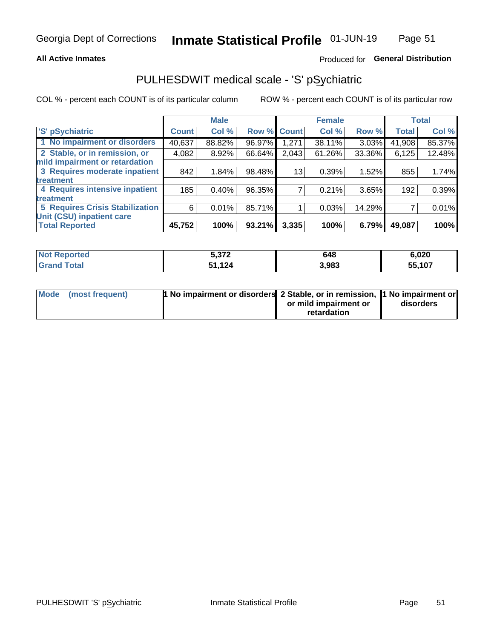## **All Active Inmates**

## Produced for General Distribution

# PULHESDWIT medical scale - 'S' pSychiatric

COL % - percent each COUNT is of its particular column

|                                        |              | <b>Male</b> |        |              | <b>Female</b> |        |              | <b>Total</b> |
|----------------------------------------|--------------|-------------|--------|--------------|---------------|--------|--------------|--------------|
| 'S' pSychiatric                        | <b>Count</b> | Col %       | Row %  | <b>Count</b> | Col %         | Row %  | <b>Total</b> | Col %        |
| 1 No impairment or disorders           | 40,637       | 88.82%      | 96.97% | 1,271        | 38.11%        | 3.03%  | 41,908       | 85.37%       |
| 2 Stable, or in remission, or          | 4,082        | 8.92%       | 66.64% | 2,043        | 61.26%        | 33.36% | 6,125        | 12.48%       |
| mild impairment or retardation         |              |             |        |              |               |        |              |              |
| 3 Requires moderate inpatient          | 842          | 1.84%       | 98.48% | 13           | 0.39%         | 1.52%  | 855          | 1.74%        |
| treatment                              |              |             |        |              |               |        |              |              |
| 4 Requires intensive inpatient         | 185          | 0.40%       | 96.35% |              | 0.21%         | 3.65%  | 192          | 0.39%        |
| treatment                              |              |             |        |              |               |        |              |              |
| <b>5 Requires Crisis Stabilization</b> | 6            | 0.01%       | 85.71% |              | 0.03%         | 14.29% |              | 0.01%        |
| Unit (CSU) inpatient care              |              |             |        |              |               |        |              |              |
| <b>Total Reported</b>                  | 45,752       | 100%        | 93.21% | 3,335        | 100%          | 6.79%  | 49,087       | 100%         |

| <b>Not Reported</b>    | -272        | 648   | 6,020  |
|------------------------|-------------|-------|--------|
| Total<br><b>'Grand</b> | 1,124<br>54 | 3,983 | 55,107 |

| Mode (most frequent) | <b>t No impairment or disorders 2 Stable, or in remission, 1 No impairment or</b> |                       |           |
|----------------------|-----------------------------------------------------------------------------------|-----------------------|-----------|
|                      |                                                                                   | or mild impairment or | disorders |
|                      |                                                                                   | retardation           |           |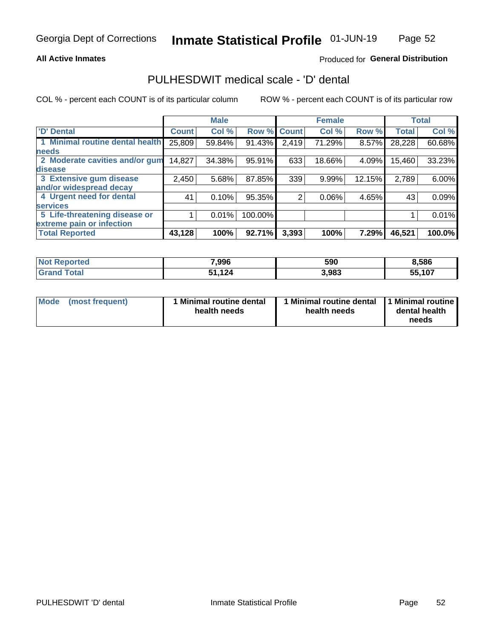## **All Active Inmates**

## Produced for General Distribution

# PULHESDWIT medical scale - 'D' dental

COL % - percent each COUNT is of its particular column

|                                 |              | <b>Male</b> |         |              | <b>Female</b> |        |              | <b>Total</b> |
|---------------------------------|--------------|-------------|---------|--------------|---------------|--------|--------------|--------------|
| <b>D'</b> Dental                | <b>Count</b> | Col %       | Row %   | <b>Count</b> | Col %         | Row %  | <b>Total</b> | Col %        |
| 1 Minimal routine dental health | 25,809       | 59.84%      | 91.43%  | 2,419        | 71.29%        | 8.57%  | 28,228       | 60.68%       |
| <b>needs</b>                    |              |             |         |              |               |        |              |              |
| 2 Moderate cavities and/or gum  | 14,827       | 34.38%      | 95.91%  | 633          | 18.66%        | 4.09%  | 15,460       | 33.23%       |
| disease                         |              |             |         |              |               |        |              |              |
| 3 Extensive gum disease         | 2,450        | 5.68%       | 87.85%  | 339          | 9.99%         | 12.15% | 2,789        | 6.00%        |
| and/or widespread decay         |              |             |         |              |               |        |              |              |
| 4 Urgent need for dental        | 41           | 0.10%       | 95.35%  | 2            | 0.06%         | 4.65%  | 43           | 0.09%        |
| <b>services</b>                 |              |             |         |              |               |        |              |              |
| 5 Life-threatening disease or   |              | 0.01%       | 100.00% |              |               |        |              | 0.01%        |
| extreme pain or infection       |              |             |         |              |               |        |              |              |
| <b>Total Reported</b>           | 43,128       | 100%        | 92.71%  | 3,393        | 100%          | 7.29%  | 46,521       | 100.0%       |

| <b>Not Reported</b> | 7,996     | 590   | 8,586  |
|---------------------|-----------|-------|--------|
| <b>Total</b>        | 124<br>Б4 | 3,983 | 55,107 |

| 1 Minimal routine dental<br>Mode<br>(most frequent)<br>health needs | 1 Minimal routine dental 1 Minimal routine<br>health needs | dental health<br>needs |
|---------------------------------------------------------------------|------------------------------------------------------------|------------------------|
|---------------------------------------------------------------------|------------------------------------------------------------|------------------------|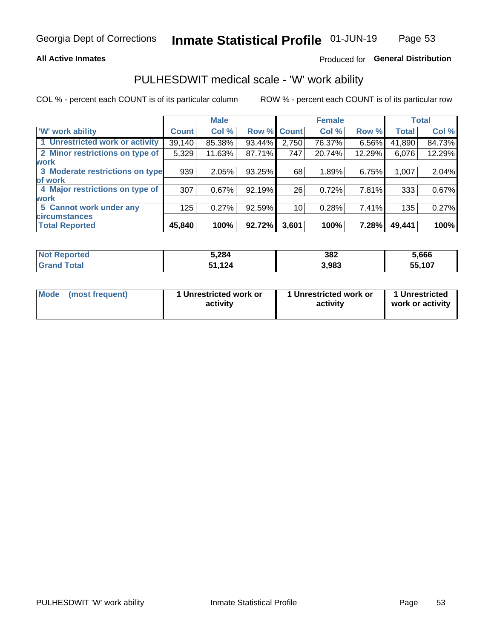## **All Active Inmates**

## Produced for General Distribution

## PULHESDWIT medical scale - 'W' work ability

COL % - percent each COUNT is of its particular column

|                                 |              | <b>Male</b> |        |             | <b>Female</b> |        |              | <b>Total</b> |
|---------------------------------|--------------|-------------|--------|-------------|---------------|--------|--------------|--------------|
| <b>W' work ability</b>          | <b>Count</b> | Col %       |        | Row % Count | Col %         | Row %  | <b>Total</b> | Col %        |
| 1 Unrestricted work or activity | 39,140       | 85.38%      | 93.44% | 2,750       | 76.37%        | 6.56%  | 41,890       | 84.73%       |
| 2 Minor restrictions on type of | 5,329        | 11.63%      | 87.71% | 747         | 20.74%        | 12.29% | 6,076        | 12.29%       |
| <b>work</b>                     |              |             |        |             |               |        |              |              |
| 3 Moderate restrictions on type | 939          | 2.05%       | 93.25% | 68          | 1.89%         | 6.75%  | 1,007        | 2.04%        |
| lof work                        |              |             |        |             |               |        |              |              |
| 4 Major restrictions on type of | 307          | 0.67%       | 92.19% | 26          | 0.72%         | 7.81%  | 333          | 0.67%        |
| <b>work</b>                     |              |             |        |             |               |        |              |              |
| 5 Cannot work under any         | 125          | 0.27%       | 92.59% | 10          | 0.28%         | 7.41%  | 135          | 0.27%        |
| <b>circumstances</b>            |              |             |        |             |               |        |              |              |
| <b>Total Reported</b>           | 45,840       | 100%        | 92.72% | 3,601       | 100%          | 7.28%  | 49,441       | 100%         |

| <b>Not Reported</b> | 5,284     | 382   | 5,666  |
|---------------------|-----------|-------|--------|
| Total<br>'Grand     | 124<br>54 | 3,983 | 55,107 |

| <b>Mode</b>     | 1 Unrestricted work or | 1 Unrestricted work or | 1 Unrestricted   |
|-----------------|------------------------|------------------------|------------------|
| (most frequent) | activity               | activity               | work or activity |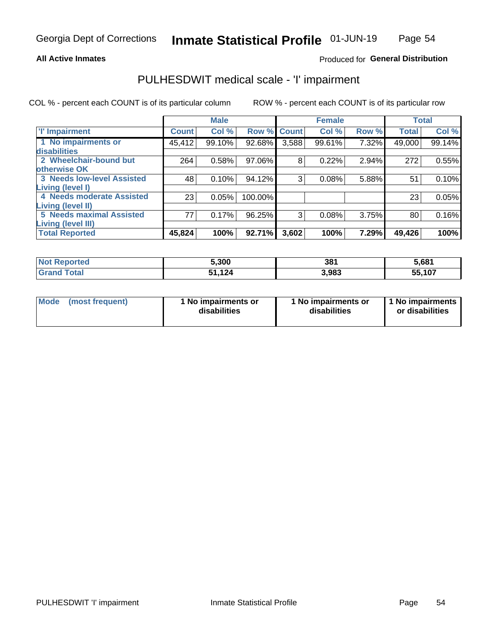### **All Active Inmates**

## Produced for General Distribution

# PULHESDWIT medical scale - 'I' impairment

COL % - percent each COUNT is of its particular column

|                                   |              | <b>Male</b> |         |             | <b>Female</b> |       |              | <b>Total</b> |
|-----------------------------------|--------------|-------------|---------|-------------|---------------|-------|--------------|--------------|
| <b>T' Impairment</b>              | <b>Count</b> | Col %       |         | Row % Count | Col %         | Row % | <b>Total</b> | Col %        |
| 1 No impairments or               | 45,412       | 99.10%      | 92.68%  | 3,588       | 99.61%        | 7.32% | 49,000       | 99.14%       |
| <b>disabilities</b>               |              |             |         |             |               |       |              |              |
| 2 Wheelchair-bound but            | 264          | 0.58%       | 97.06%  | 8           | 0.22%         | 2.94% | 272          | 0.55%        |
| otherwise OK                      |              |             |         |             |               |       |              |              |
| <b>3 Needs low-level Assisted</b> | 48           | 0.10%       | 94.12%  | 3           | 0.08%         | 5.88% | 51           | 0.10%        |
| Living (level I)                  |              |             |         |             |               |       |              |              |
| <b>4 Needs moderate Assisted</b>  | 23           | 0.05%       | 100.00% |             |               |       | 23           | 0.05%        |
| <b>Living (level II)</b>          |              |             |         |             |               |       |              |              |
| <b>5 Needs maximal Assisted</b>   | 77           | 0.17%       | 96.25%  | 3           | 0.08%         | 3.75% | 80           | 0.16%        |
| Living (level III)                |              |             |         |             |               |       |              |              |
| <b>Total Reported</b>             | 45,824       | 100%        | 92.71%  | 3,602       | 100%          | 7.29% | 49,426       | 100%         |

| <b>Not</b><br>Reported | 5,300       | 381   | 5,681  |
|------------------------|-------------|-------|--------|
| Total                  | .124<br>64. | 3,983 | 55,107 |

| <b>Mode</b> | (most frequent) | <b>No impairments or</b><br>disabilities | 1 No impairments or<br>disabilities | 1 No impairments<br>or disabilities |
|-------------|-----------------|------------------------------------------|-------------------------------------|-------------------------------------|
|-------------|-----------------|------------------------------------------|-------------------------------------|-------------------------------------|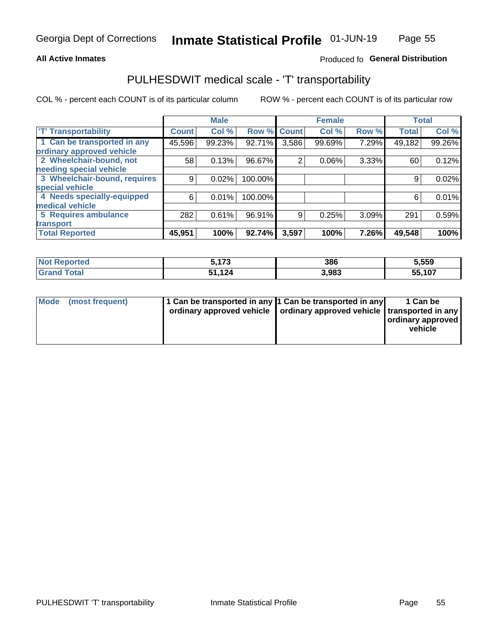## **All Active Inmates**

## Produced fo General Distribution

# PULHESDWIT medical scale - 'T' transportability

COL % - percent each COUNT is of its particular column

|                              |                    | <b>Male</b> |         |              | <b>Female</b> |       |              | <b>Total</b> |
|------------------------------|--------------------|-------------|---------|--------------|---------------|-------|--------------|--------------|
| <b>T' Transportability</b>   | Count <sup>!</sup> | Col %       | Row %   | <b>Count</b> | Col %         | Row % | <b>Total</b> | Col %        |
| 1 Can be transported in any  | 45,596             | 99.23%      | 92.71%  | 3,586        | 99.69%        | 7.29% | 49,182       | 99.26%       |
| ordinary approved vehicle    |                    |             |         |              |               |       |              |              |
| 2 Wheelchair-bound, not      | 58                 | 0.13%       | 96.67%  | 2            | 0.06%         | 3.33% | 60           | 0.12%        |
| needing special vehicle      |                    |             |         |              |               |       |              |              |
| 3 Wheelchair-bound, requires | 9                  | 0.02%       | 100.00% |              |               |       | 9            | 0.02%        |
| special vehicle              |                    |             |         |              |               |       |              |              |
| 4 Needs specially-equipped   | 6                  | 0.01%       | 100.00% |              |               |       | 6            | 0.01%        |
| medical vehicle              |                    |             |         |              |               |       |              |              |
| <b>5 Requires ambulance</b>  | 282                | 0.61%       | 96.91%  | 9            | 0.25%         | 3.09% | 291          | 0.59%        |
| transport                    |                    |             |         |              |               |       |              |              |
| <b>Total Reported</b>        | 45,951             | 100%        | 92.74%  | 3,597        | 100%          | 7.26% | 49,548       | 100%         |

| orted | $-170$<br>ں ،<br>J. | 386   | 5,559  |
|-------|---------------------|-------|--------|
|       | 124,<br>E 4.        | 3.983 | 55,107 |

|  | Mode (most frequent) | 1 Can be transported in any 1 Can be transported in any<br>ordinary approved vehicle   ordinary approved vehicle   transported in any |  | 1 Can be<br>  ordinary approved  <br>vehicle |
|--|----------------------|---------------------------------------------------------------------------------------------------------------------------------------|--|----------------------------------------------|
|--|----------------------|---------------------------------------------------------------------------------------------------------------------------------------|--|----------------------------------------------|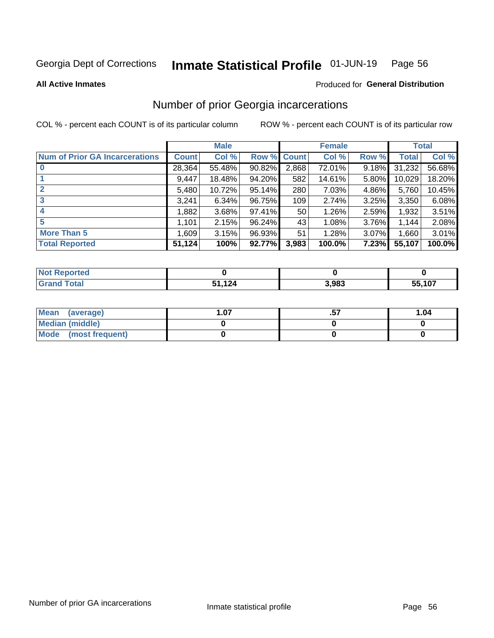#### Inmate Statistical Profile 01-JUN-19 Page 56

**All Active Inmates** 

## **Produced for General Distribution**

## Number of prior Georgia incarcerations

COL % - percent each COUNT is of its particular column

|                                       |              | <b>Male</b> |             |       | <b>Female</b> |       |        | <b>Total</b> |
|---------------------------------------|--------------|-------------|-------------|-------|---------------|-------|--------|--------------|
| <b>Num of Prior GA Incarcerations</b> | <b>Count</b> | Col %       | Row % Count |       | Col %         | Row % | Total  | Col %        |
| $\bf{0}$                              | 28,364       | 55.48%      | 90.82%      | 2,868 | 72.01%        | 9.18% | 31,232 | 56.68%       |
|                                       | 9,447        | 18.48%      | $94.20\%$   | 582   | 14.61%        | 5.80% | 10,029 | 18.20%       |
| $\mathbf{2}$                          | 5,480        | 10.72%      | 95.14%      | 280   | 7.03%         | 4.86% | 5,760  | 10.45%       |
| 3                                     | 3.241        | 6.34%       | 96.75%      | 109   | 2.74%         | 3.25% | 3,350  | 6.08%        |
| $\boldsymbol{4}$                      | 1,882        | 3.68%       | 97.41%      | 50    | 1.26%         | 2.59% | 1,932  | 3.51%        |
| 5                                     | 1,101        | 2.15%       | 96.24%      | 43    | 1.08%         | 3.76% | 1.144  | 2.08%        |
| <b>More Than 5</b>                    | 1,609        | 3.15%       | 96.93%      | 51    | 1.28%         | 3.07% | 1,660  | 3.01%        |
| <b>Total Reported</b>                 | 51,124       | 100%        | 92.77%      | 3,983 | 100.0%        | 7.23% | 55,107 | 100.0%       |

| orted<br>NO       |     |       |        |
|-------------------|-----|-------|--------|
| <b>otal</b><br>Gr | 10A | 3,983 | 55,107 |

| Mean (average)       | . .07 | 1.04 |
|----------------------|-------|------|
| Median (middle)      |       |      |
| Mode (most frequent) |       |      |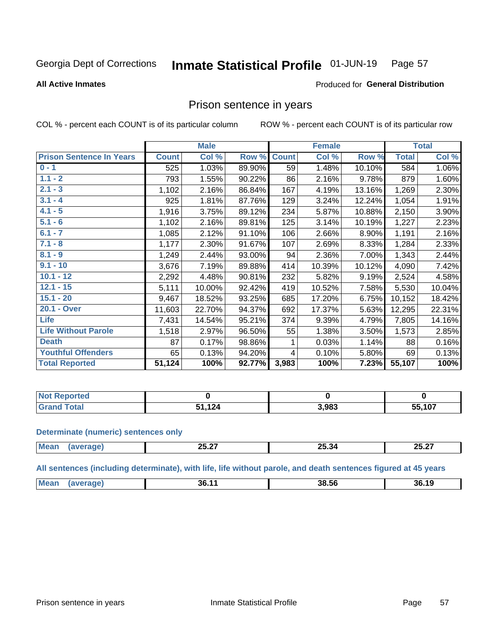#### Inmate Statistical Profile 01-JUN-19 Page 57

**All Active Inmates** 

### Produced for General Distribution

## Prison sentence in years

COL % - percent each COUNT is of its particular column

ROW % - percent each COUNT is of its particular row

|                                 |              | <b>Male</b> |        |              | <b>Female</b> |        |              | <b>Total</b> |
|---------------------------------|--------------|-------------|--------|--------------|---------------|--------|--------------|--------------|
| <b>Prison Sentence In Years</b> | <b>Count</b> | Col %       | Row %  | <b>Count</b> | Col %         | Row %  | <b>Total</b> | Col %        |
| $0 - 1$                         | 525          | 1.03%       | 89.90% | 59           | 1.48%         | 10.10% | 584          | 1.06%        |
| $1.1 - 2$                       | 793          | 1.55%       | 90.22% | 86           | 2.16%         | 9.78%  | 879          | 1.60%        |
| $2.1 - 3$                       | 1,102        | 2.16%       | 86.84% | 167          | 4.19%         | 13.16% | 1,269        | 2.30%        |
| $3.1 - 4$                       | 925          | 1.81%       | 87.76% | 129          | 3.24%         | 12.24% | 1,054        | 1.91%        |
| $4.1 - 5$                       | 1,916        | 3.75%       | 89.12% | 234          | 5.87%         | 10.88% | 2,150        | 3.90%        |
| $5.1 - 6$                       | 1,102        | 2.16%       | 89.81% | 125          | 3.14%         | 10.19% | 1,227        | 2.23%        |
| $6.1 - 7$                       | 1,085        | 2.12%       | 91.10% | 106          | 2.66%         | 8.90%  | 1,191        | 2.16%        |
| $7.1 - 8$                       | 1,177        | 2.30%       | 91.67% | 107          | 2.69%         | 8.33%  | 1,284        | 2.33%        |
| $8.1 - 9$                       | 1,249        | 2.44%       | 93.00% | 94           | 2.36%         | 7.00%  | 1,343        | 2.44%        |
| $9.1 - 10$                      | 3,676        | 7.19%       | 89.88% | 414          | 10.39%        | 10.12% | 4,090        | 7.42%        |
| $10.1 - 12$                     | 2,292        | 4.48%       | 90.81% | 232          | 5.82%         | 9.19%  | 2,524        | 4.58%        |
| $12.1 - 15$                     | 5,111        | 10.00%      | 92.42% | 419          | 10.52%        | 7.58%  | 5,530        | 10.04%       |
| $15.1 - 20$                     | 9,467        | 18.52%      | 93.25% | 685          | 17.20%        | 6.75%  | 10,152       | 18.42%       |
| 20.1 - Over                     | 11,603       | 22.70%      | 94.37% | 692          | 17.37%        | 5.63%  | 12,295       | 22.31%       |
| <b>Life</b>                     | 7,431        | 14.54%      | 95.21% | 374          | 9.39%         | 4.79%  | 7,805        | 14.16%       |
| <b>Life Without Parole</b>      | 1,518        | 2.97%       | 96.50% | 55           | 1.38%         | 3.50%  | 1,573        | 2.85%        |
| <b>Death</b>                    | 87           | 0.17%       | 98.86% |              | 0.03%         | 1.14%  | 88           | 0.16%        |
| <b>Youthful Offenders</b>       | 65           | 0.13%       | 94.20% | 4            | 0.10%         | 5.80%  | 69           | 0.13%        |
| <b>Total Reported</b>           | 51,124       | 100%        | 92.77% | 3,983        | 100%          | 7.23%  | 55,107       | 100%         |

| <b>Not Reported</b> |     |       |       |
|---------------------|-----|-------|-------|
| Total               | 124 | 3,983 | 5,107 |

### **Determinate (numeric) sentences only**

| Mean<br>$n \sim n$ | LJ.LI | --<br>$\sim$<br>– 43.34 | $- - -$<br>クベ<br>LJ.LI<br>_______ |
|--------------------|-------|-------------------------|-----------------------------------|
|                    |       |                         |                                   |

All sentences (including determinate), with life, life without parole, and death sentences figured at 45 years

| <b>Me</b> | 36.<br>$  -$ | 38.56 | 36.19 |
|-----------|--------------|-------|-------|
|           |              |       |       |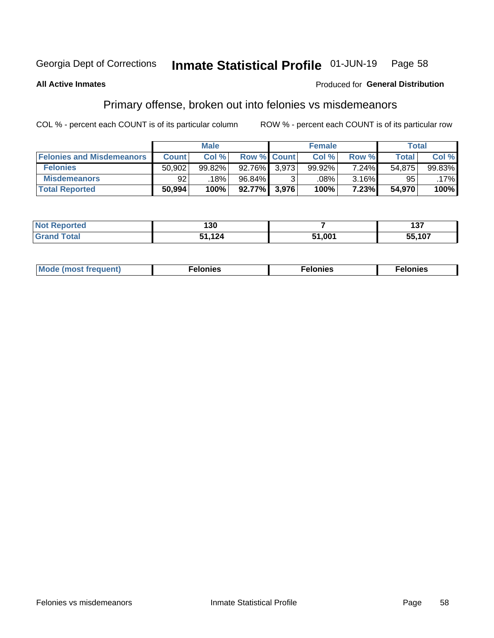#### Inmate Statistical Profile 01-JUN-19 Page 58

### **All Active Inmates**

## **Produced for General Distribution**

# Primary offense, broken out into felonies vs misdemeanors

COL % - percent each COUNT is of its particular column

|                                  | <b>Male</b>  |        |                    |       | <b>Female</b> | Total |              |        |
|----------------------------------|--------------|--------|--------------------|-------|---------------|-------|--------------|--------|
| <b>Felonies and Misdemeanors</b> | <b>Count</b> | Col %  | <b>Row % Count</b> |       | Col %         | Row % | <b>Total</b> | Col %  |
| <b>Felonies</b>                  | 50,902       | 99.82% | $92.76\%$ 3.973    |       | 99.92%        | 7.24% | 54,875       | 99.83% |
| <b>Misdemeanors</b>              | 92           | 18%    | 96.84%             |       | .08%          | 3.16% | 95           | .17%   |
| <b>Total Reported</b>            | 50,994       | 100%   | 92.77%             | 3,976 | 100%          | 7.23% | 54,970       | 100%   |

| <b>Not</b><br>Reported      | 130             |      | .<br>וט |
|-----------------------------|-----------------|------|---------|
| $\tau$ otar<br><b>Grand</b> | 12 <sub>h</sub> | .001 | 55,107  |

| Mo | ____ | 11 C.S<br>. | onies<br>. |
|----|------|-------------|------------|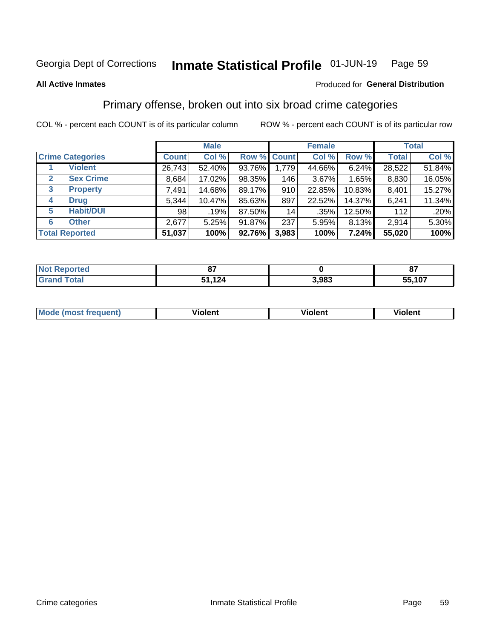#### Inmate Statistical Profile 01-JUN-19 Page 59

### **All Active Inmates**

### Produced for General Distribution

## Primary offense, broken out into six broad crime categories

COL % - percent each COUNT is of its particular column

|                                  | <b>Male</b>  |        |        | <b>Female</b>      |          |        | <b>Total</b> |        |
|----------------------------------|--------------|--------|--------|--------------------|----------|--------|--------------|--------|
| <b>Crime Categories</b>          | <b>Count</b> | Col %  |        | <b>Row % Count</b> | Col %    | Row %  | <b>Total</b> | Col %  |
| <b>Violent</b>                   | 26,743       | 52.40% | 93.76% | 1,779              | 44.66%   | 6.24%  | 28,522       | 51.84% |
| <b>Sex Crime</b><br>$\mathbf{2}$ | 8,684        | 17.02% | 98.35% | 146                | $3.67\%$ | 1.65%  | 8,830        | 16.05% |
| $\mathbf{3}$<br><b>Property</b>  | 7,491        | 14.68% | 89.17% | 910                | 22.85%   | 10.83% | 8,401        | 15.27% |
| <b>Drug</b><br>4                 | 5,344        | 10.47% | 85.63% | 897                | 22.52%   | 14.37% | 6,241        | 11.34% |
| <b>Habit/DUI</b><br>5            | 98           | .19%   | 87.50% | 14                 | .35%     | 12.50% | 112          | .20%   |
| <b>Other</b><br>6                | 2,677        | 5.25%  | 91.87% | 237                | 5.95%    | 8.13%  | 2,914        | 5.30%  |
| <b>Total Reported</b>            | 51,037       | 100%   | 92.76% | 3,983              | 100%     | 7.24%  | 55,020       | 100%   |

| rtea<br>NO.      | ~-         |       | ^7     |
|------------------|------------|-------|--------|
| $F_{\mathbf{A}}$ | 124<br>E 4 | 3,983 | 55,107 |

| Mo<br>uent)<br>nos | .<br>/iolent | <br>Violent | - --<br><b>Tiolent</b> |
|--------------------|--------------|-------------|------------------------|
|                    |              |             |                        |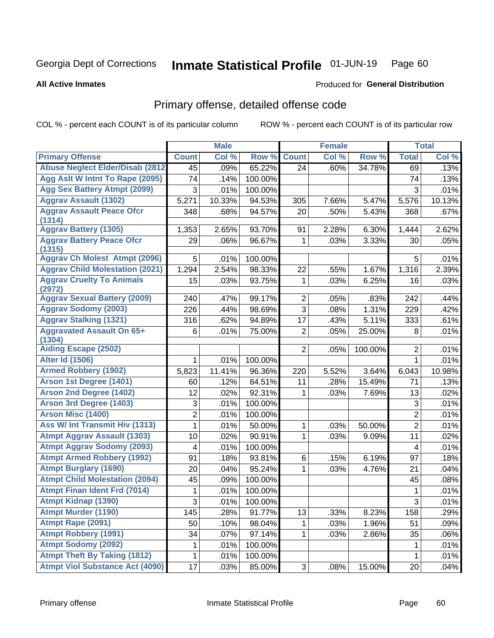#### Inmate Statistical Profile 01-JUN-19 Page 60

**All Active Inmates** 

### Produced for General Distribution

## Primary offense, detailed offense code

COL % - percent each COUNT is of its particular column

|                                            |                     | <b>Male</b> |         |                | <b>Female</b> |         |                | <b>Total</b> |
|--------------------------------------------|---------------------|-------------|---------|----------------|---------------|---------|----------------|--------------|
| <b>Primary Offense</b>                     | <b>Count</b>        | Col %       | Row %   | <b>Count</b>   | Col %         | Row %   | <b>Total</b>   | Col %        |
| <b>Abuse Neglect Elder/Disab (2812)</b>    | 45                  | .09%        | 65.22%  | 24             | .60%          | 34.78%  | 69             | .13%         |
| Agg Aslt W Intnt To Rape (2095)            | 74                  | .14%        | 100.00% |                |               |         | 74             | .13%         |
| <b>Agg Sex Battery Atmpt (2099)</b>        | 3                   | .01%        | 100.00% |                |               |         | 3              | .01%         |
| <b>Aggrav Assault (1302)</b>               | 5,271               | 10.33%      | 94.53%  | 305            | 7.66%         | 5.47%   | 5,576          | 10.13%       |
| <b>Aggrav Assault Peace Ofcr</b>           | 348                 | .68%        | 94.57%  | 20             | .50%          | 5.43%   | 368            | .67%         |
| (1314)                                     |                     |             |         |                |               |         |                |              |
| <b>Aggrav Battery (1305)</b>               | 1,353               | 2.65%       | 93.70%  | 91             | 2.28%         | 6.30%   | 1,444          | 2.62%        |
| <b>Aggrav Battery Peace Ofcr</b><br>(1315) | 29                  | .06%        | 96.67%  | 1              | .03%          | 3.33%   | 30             | .05%         |
| <b>Aggrav Ch Molest Atmpt (2096)</b>       | 5                   | .01%        | 100.00% |                |               |         | 5              | .01%         |
| <b>Aggrav Child Molestation (2021)</b>     | 1,294               | 2.54%       | 98.33%  | 22             | .55%          | 1.67%   | 1,316          | 2.39%        |
| <b>Aggrav Cruelty To Animals</b><br>(2972) | 15                  | .03%        | 93.75%  | 1              | .03%          | 6.25%   | 16             | .03%         |
| <b>Aggrav Sexual Battery (2009)</b>        | 240                 | .47%        | 99.17%  | $\overline{2}$ | .05%          | .83%    | 242            | .44%         |
| <b>Aggrav Sodomy (2003)</b>                | 226                 | .44%        | 98.69%  | 3              | .08%          | 1.31%   | 229            | .42%         |
| <b>Aggrav Stalking (1321)</b>              | 316                 | .62%        | 94.89%  | 17             | .43%          | 5.11%   | 333            | .61%         |
| <b>Aggravated Assault On 65+</b><br>(1304) | 6                   | .01%        | 75.00%  | $\overline{2}$ | .05%          | 25.00%  | 8              | .01%         |
| <b>Aiding Escape (2502)</b>                |                     |             |         | $\overline{2}$ | .05%          | 100.00% | $\overline{2}$ | .01%         |
| <b>Alter Id (1506)</b>                     | 1                   | .01%        | 100.00% |                |               |         | $\mathbf{1}$   | .01%         |
| <b>Armed Robbery (1902)</b>                | 5,823               | 11.41%      | 96.36%  | 220            | 5.52%         | 3.64%   | 6,043          | 10.98%       |
| Arson 1st Degree (1401)                    | 60                  | .12%        | 84.51%  | 11             | .28%          | 15.49%  | 71             | .13%         |
| <b>Arson 2nd Degree (1402)</b>             | 12                  | .02%        | 92.31%  | 1              | .03%          | 7.69%   | 13             | .02%         |
| <b>Arson 3rd Degree (1403)</b>             | 3                   | .01%        | 100.00% |                |               |         | $\mathfrak{S}$ | .01%         |
| <b>Arson Misc (1400)</b>                   | $\overline{2}$      | .01%        | 100.00% |                |               |         | $\overline{2}$ | .01%         |
| <b>Ass W/ Int Transmit Hiv (1313)</b>      | 1                   | .01%        | 50.00%  | 1              | .03%          | 50.00%  | $\overline{2}$ | .01%         |
| <b>Atmpt Aggrav Assault (1303)</b>         | 10                  | .02%        | 90.91%  | 1              | .03%          | 9.09%   | 11             | .02%         |
| <b>Atmpt Aggrav Sodomy (2093)</b>          | 4                   | .01%        | 100.00% |                |               |         | 4              | .01%         |
| <b>Atmpt Armed Robbery (1992)</b>          | 91                  | .18%        | 93.81%  | 6              | .15%          | 6.19%   | 97             | .18%         |
| <b>Atmpt Burglary (1690)</b>               | 20                  | .04%        | 95.24%  | 1              | .03%          | 4.76%   | 21             | .04%         |
| <b>Atmpt Child Molestation (2094)</b>      | 45                  | .09%        | 100.00% |                |               |         | 45             | .08%         |
| <b>Atmpt Finan Ident Frd (7014)</b>        | 1                   | .01%        | 100.00% |                |               |         | 1              | .01%         |
| <b>Atmpt Kidnap (1390)</b>                 | $\overline{\omega}$ | .01%        | 100.00% |                |               |         | $\overline{3}$ | .01%         |
| <b>Atmpt Murder (1190)</b>                 | 145                 | .28%        | 91.77%  | 13             | .33%          | 8.23%   | 158            | .29%         |
| Atmpt Rape (2091)                          | 50                  | .10%        | 98.04%  | 1              | .03%          | 1.96%   | 51             | .09%         |
| <b>Atmpt Robbery (1991)</b>                | 34                  | .07%        | 97.14%  | 1              | .03%          | 2.86%   | 35             | .06%         |
| <b>Atmpt Sodomy (2092)</b>                 | 1                   | .01%        | 100.00% |                |               |         | 1              | .01%         |
| <b>Atmpt Theft By Taking (1812)</b>        | 1                   | .01%        | 100.00% |                |               |         | $\mathbf{1}$   | .01%         |
| <b>Atmpt Viol Substance Act (4090)</b>     | 17                  | .03%        | 85.00%  | 3              | .08%          | 15.00%  | 20             | .04%         |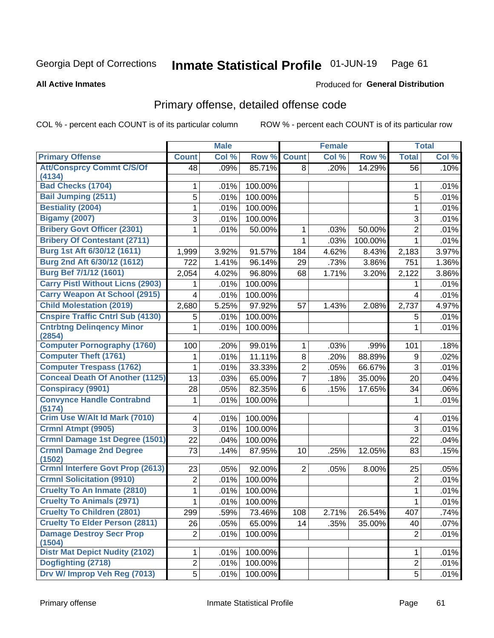#### Inmate Statistical Profile 01-JUN-19 Page 61

### **All Active Inmates**

## Produced for General Distribution

# Primary offense, detailed offense code

COL % - percent each COUNT is of its particular column

|                                            | <b>Male</b>    |       | <b>Female</b> |                |       | <b>Total</b> |                |       |
|--------------------------------------------|----------------|-------|---------------|----------------|-------|--------------|----------------|-------|
| <b>Primary Offense</b>                     | <b>Count</b>   | Col % | Row %         | <b>Count</b>   | Col % | Row %        | <b>Total</b>   | Col % |
| <b>Att/Consprcy Commt C/S/Of</b>           | 48             | .09%  | 85.71%        | 8 <sup>1</sup> | .20%  | 14.29%       | 56             | .10%  |
| (4134)                                     |                |       |               |                |       |              |                |       |
| <b>Bad Checks (1704)</b>                   | 1              | .01%  | 100.00%       |                |       |              | 1              | .01%  |
| <b>Bail Jumping (2511)</b>                 | 5              | .01%  | 100.00%       |                |       |              | 5              | .01%  |
| <b>Bestiality (2004)</b>                   | 1              | .01%  | 100.00%       |                |       |              | 1              | .01%  |
| <b>Bigamy (2007)</b>                       | 3              | .01%  | 100.00%       |                |       |              | 3              | .01%  |
| <b>Bribery Govt Officer (2301)</b>         | 1              | .01%  | 50.00%        | 1              | .03%  | 50.00%       | $\overline{2}$ | .01%  |
| <b>Bribery Of Contestant (2711)</b>        |                |       |               | 1              | .03%  | 100.00%      | 1              | .01%  |
| Burg 1st Aft 6/30/12 (1611)                | 1,999          | 3.92% | 91.57%        | 184            | 4.62% | 8.43%        | 2,183          | 3.97% |
| Burg 2nd Aft 6/30/12 (1612)                | 722            | 1.41% | 96.14%        | 29             | .73%  | 3.86%        | 751            | 1.36% |
| Burg Bef 7/1/12 (1601)                     | 2,054          | 4.02% | 96.80%        | 68             | 1.71% | 3.20%        | 2,122          | 3.86% |
| <b>Carry Pistl Without Licns (2903)</b>    | 1              | .01%  | 100.00%       |                |       |              | 1              | .01%  |
| <b>Carry Weapon At School (2915)</b>       | $\overline{4}$ | .01%  | 100.00%       |                |       |              | 4              | .01%  |
| <b>Child Molestation (2019)</b>            | 2,680          | 5.25% | 97.92%        | 57             | 1.43% | 2.08%        | 2,737          | 4.97% |
| <b>Cnspire Traffic Cntrl Sub (4130)</b>    | 5              | .01%  | 100.00%       |                |       |              | 5              | .01%  |
| <b>Cntrbtng Delingency Minor</b><br>(2854) | 1.             | .01%  | 100.00%       |                |       |              | 1              | .01%  |
| <b>Computer Pornography (1760)</b>         | 100            | .20%  | 99.01%        | 1              | .03%  | .99%         | 101            | .18%  |
| <b>Computer Theft (1761)</b>               | 1              | .01%  | 11.11%        | 8              | .20%  | 88.89%       | 9              | .02%  |
| <b>Computer Trespass (1762)</b>            | 1              | .01%  | 33.33%        | $\overline{2}$ | .05%  | 66.67%       | 3              | .01%  |
| <b>Conceal Death Of Another (1125)</b>     | 13             | .03%  | 65.00%        | $\overline{7}$ | .18%  | 35.00%       | 20             | .04%  |
| <b>Conspiracy (9901)</b>                   | 28             | .05%  | 82.35%        | 6              | .15%  | 17.65%       | 34             | .06%  |
| <b>Convynce Handle Contrabnd</b><br>(5174) | 1              | .01%  | 100.00%       |                |       |              | 1              | .01%  |
| Crim Use W/Alt Id Mark (7010)              | 4              | .01%  | 100.00%       |                |       |              | 4              | .01%  |
| Crmnl Atmpt (9905)                         | 3              | .01%  | 100.00%       |                |       |              | 3              | .01%  |
| Crmnl Damage 1st Degree (1501)             | 22             | .04%  | 100.00%       |                |       |              | 22             | .04%  |
| <b>Crmnl Damage 2nd Degree</b><br>(1502)   | 73             | .14%  | 87.95%        | 10             | .25%  | 12.05%       | 83             | .15%  |
| <b>Crmnl Interfere Govt Prop (2613)</b>    | 23             | .05%  | 92.00%        | $\overline{2}$ | .05%  | 8.00%        | 25             | .05%  |
| <b>Crmnl Solicitation (9910)</b>           | $\overline{2}$ | .01%  | 100.00%       |                |       |              | $\overline{2}$ | .01%  |
| <b>Cruelty To An Inmate (2810)</b>         | 1              | .01%  | 100.00%       |                |       |              | 1              | .01%  |
| <b>Cruelty To Animals (2971)</b>           | $\mathbf{1}$   | .01%  | 100.00%       |                |       |              | 1              | .01%  |
| <b>Cruelty To Children (2801)</b>          | 299            | .59%  | 73.46%        | 108            | 2.71% | 26.54%       | 407            | .74%  |
| <b>Cruelty To Elder Person (2811)</b>      | 26             | .05%  | 65.00%        | 14             | .35%  | 35.00%       | 40             | .07%  |
| <b>Damage Destroy Secr Prop</b><br>(1504)  | $\overline{2}$ | .01%  | 100.00%       |                |       |              | $\overline{2}$ | .01%  |
| <b>Distr Mat Depict Nudity (2102)</b>      | 1              | .01%  | 100.00%       |                |       |              | 1              | .01%  |
| Dogfighting (2718)                         | $\overline{2}$ | .01%  | 100.00%       |                |       |              | $\overline{2}$ | .01%  |
| Drv W/ Improp Veh Reg (7013)               | 5 <sup>1</sup> | .01%  | 100.00%       |                |       |              | 5              | .01%  |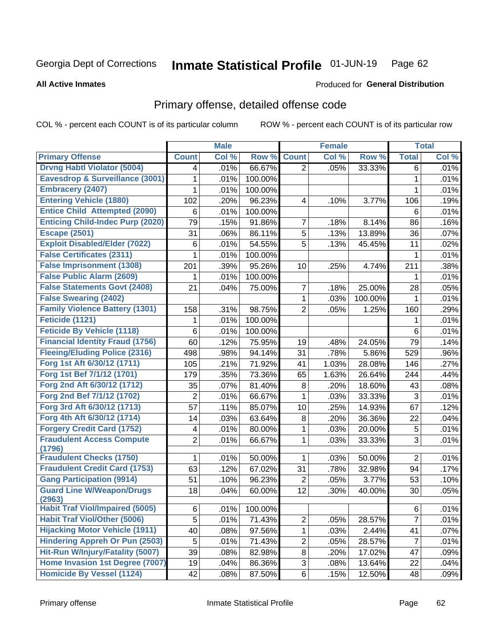#### Inmate Statistical Profile 01-JUN-19 Page 62

**All Active Inmates** 

## **Produced for General Distribution**

# Primary offense, detailed offense code

COL % - percent each COUNT is of its particular column

|                                            |                | <b>Male</b> |         |                         | <b>Female</b> |         |                | <b>Total</b> |
|--------------------------------------------|----------------|-------------|---------|-------------------------|---------------|---------|----------------|--------------|
| <b>Primary Offense</b>                     | <b>Count</b>   | Col %       | Row %   | <b>Count</b>            | Col %         | Row %   | <b>Total</b>   | Col %        |
| <b>Drvng Habtl Violator (5004)</b>         | 4              | .01%        | 66.67%  | $\overline{2}$          | .05%          | 33.33%  | 6              | .01%         |
| <b>Eavesdrop &amp; Surveillance (3001)</b> | 1              | .01%        | 100.00% |                         |               |         | 1              | .01%         |
| <b>Embracery (2407)</b>                    | 1              | .01%        | 100.00% |                         |               |         | 1              | .01%         |
| <b>Entering Vehicle (1880)</b>             | 102            | .20%        | 96.23%  | $\overline{\mathbf{4}}$ | .10%          | 3.77%   | 106            | .19%         |
| <b>Entice Child Attempted (2090)</b>       | 6              | .01%        | 100.00% |                         |               |         | 6              | .01%         |
| <b>Enticing Child-Indec Purp (2020)</b>    | 79             | .15%        | 91.86%  | $\overline{7}$          | .18%          | 8.14%   | 86             | .16%         |
| <b>Escape (2501)</b>                       | 31             | .06%        | 86.11%  | 5                       | .13%          | 13.89%  | 36             | .07%         |
| <b>Exploit Disabled/Elder (7022)</b>       | $\,6$          | .01%        | 54.55%  | 5                       | .13%          | 45.45%  | 11             | .02%         |
| <b>False Certificates (2311)</b>           | 1              | .01%        | 100.00% |                         |               |         | 1              | .01%         |
| <b>False Imprisonment (1308)</b>           | 201            | .39%        | 95.26%  | 10                      | .25%          | 4.74%   | 211            | .38%         |
| <b>False Public Alarm (2609)</b>           | 1              | .01%        | 100.00% |                         |               |         | 1              | .01%         |
| <b>False Statements Govt (2408)</b>        | 21             | .04%        | 75.00%  | $\overline{7}$          | .18%          | 25.00%  | 28             | .05%         |
| <b>False Swearing (2402)</b>               |                |             |         | 1                       | .03%          | 100.00% | 1              | .01%         |
| <b>Family Violence Battery (1301)</b>      | 158            | .31%        | 98.75%  | $\overline{2}$          | .05%          | 1.25%   | 160            | .29%         |
| Feticide (1121)                            | 1              | .01%        | 100.00% |                         |               |         | 1              | .01%         |
| <b>Feticide By Vehicle (1118)</b>          | $\,6\,$        | .01%        | 100.00% |                         |               |         | 6              | .01%         |
| <b>Financial Identity Fraud (1756)</b>     | 60             | .12%        | 75.95%  | 19                      | .48%          | 24.05%  | 79             | .14%         |
| <b>Fleeing/Eluding Police (2316)</b>       | 498            | .98%        | 94.14%  | 31                      | .78%          | 5.86%   | 529            | .96%         |
| Forg 1st Aft 6/30/12 (1711)                | 105            | .21%        | 71.92%  | 41                      | 1.03%         | 28.08%  | 146            | .27%         |
| Forg 1st Bef 7/1/12 (1701)                 | 179            | .35%        | 73.36%  | 65                      | 1.63%         | 26.64%  | 244            | .44%         |
| Forg 2nd Aft 6/30/12 (1712)                | 35             | .07%        | 81.40%  | 8                       | .20%          | 18.60%  | 43             | .08%         |
| Forg 2nd Bef 7/1/12 (1702)                 | 2              | .01%        | 66.67%  | 1                       | .03%          | 33.33%  | $\mathfrak{S}$ | .01%         |
| Forg 3rd Aft 6/30/12 (1713)                | 57             | .11%        | 85.07%  | 10                      | .25%          | 14.93%  | 67             | .12%         |
| Forg 4th Aft 6/30/12 (1714)                | 14             | .03%        | 63.64%  | 8                       | .20%          | 36.36%  | 22             | .04%         |
| <b>Forgery Credit Card (1752)</b>          | 4              | .01%        | 80.00%  | 1                       | .03%          | 20.00%  | 5              | .01%         |
| <b>Fraudulent Access Compute</b><br>(1796) | $\overline{2}$ | .01%        | 66.67%  | 1                       | .03%          | 33.33%  | 3              | .01%         |
| <b>Fraudulent Checks (1750)</b>            | 1              | .01%        | 50.00%  | 1                       | .03%          | 50.00%  | $\overline{2}$ | .01%         |
| <b>Fraudulent Credit Card (1753)</b>       | 63             | .12%        | 67.02%  | 31                      | .78%          | 32.98%  | 94             | .17%         |
| <b>Gang Participation (9914)</b>           | 51             | .10%        | 96.23%  | 2                       | .05%          | 3.77%   | 53             | .10%         |
| <b>Guard Line W/Weapon/Drugs</b><br>(2963) | 18             | .04%        | 60.00%  | 12                      | .30%          | 40.00%  | 30             | .05%         |
| <b>Habit Traf Viol/Impaired (5005)</b>     | 6              | .01%        | 100.00% |                         |               |         | 6              | .01%         |
| <b>Habit Traf Viol/Other (5006)</b>        | 5              | .01%        | 71.43%  | $\overline{2}$          | .05%          | 28.57%  | $\overline{7}$ | .01%         |
| <b>Hijacking Motor Vehicle (1911)</b>      | 40             | .08%        | 97.56%  | $\mathbf{1}$            | .03%          | 2.44%   | 41             | .07%         |
| <b>Hindering Appreh Or Pun (2503)</b>      | 5              | .01%        | 71.43%  | $\overline{c}$          | .05%          | 28.57%  | $\overline{7}$ | .01%         |
| Hit-Run W/Injury/Fatality (5007)           | 39             | .08%        | 82.98%  | 8                       | .20%          | 17.02%  | 47             | .09%         |
| Home Invasion 1st Degree (7007)            | 19             | .04%        | 86.36%  | 3                       | .08%          | 13.64%  | 22             | .04%         |
| <b>Homicide By Vessel (1124)</b>           | 42             | .08%        | 87.50%  | 6                       | .15%          | 12.50%  | 48             | .09%         |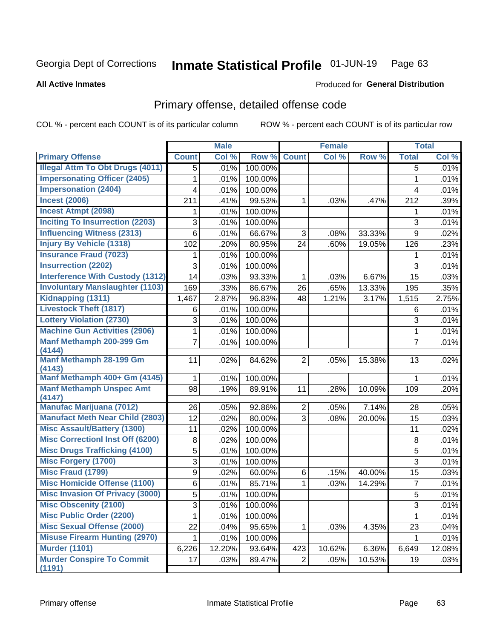#### Inmate Statistical Profile 01-JUN-19 Page 63

### **All Active Inmates**

## Produced for General Distribution

# Primary offense, detailed offense code

COL % - percent each COUNT is of its particular column

|                                            |                | <b>Male</b> |         |                | <b>Female</b> |        |                | <b>Total</b> |
|--------------------------------------------|----------------|-------------|---------|----------------|---------------|--------|----------------|--------------|
| <b>Primary Offense</b>                     | <b>Count</b>   | Col %       | Row %   | <b>Count</b>   | Col %         | Row %  | <b>Total</b>   | Col %        |
| <b>Illegal Attm To Obt Drugs (4011)</b>    | 5              | .01%        | 100.00% |                |               |        | 5              | .01%         |
| <b>Impersonating Officer (2405)</b>        | 1              | .01%        | 100.00% |                |               |        | 1              | .01%         |
| <b>Impersonation (2404)</b>                | 4              | .01%        | 100.00% |                |               |        | 4              | .01%         |
| <b>Incest (2006)</b>                       | 211            | .41%        | 99.53%  | 1              | .03%          | .47%   | 212            | .39%         |
| <b>Incest Atmpt (2098)</b>                 | 1              | .01%        | 100.00% |                |               |        | 1              | .01%         |
| <b>Inciting To Insurrection (2203)</b>     | 3              | .01%        | 100.00% |                |               |        | 3              | .01%         |
| <b>Influencing Witness (2313)</b>          | 6              | .01%        | 66.67%  | 3              | .08%          | 33.33% | 9              | .02%         |
| <b>Injury By Vehicle (1318)</b>            | 102            | .20%        | 80.95%  | 24             | .60%          | 19.05% | 126            | .23%         |
| <b>Insurance Fraud (7023)</b>              | 1              | .01%        | 100.00% |                |               |        | 1              | .01%         |
| <b>Insurrection (2202)</b>                 | 3              | .01%        | 100.00% |                |               |        | 3              | .01%         |
| <b>Interference With Custody (1312)</b>    | 14             | .03%        | 93.33%  | 1              | .03%          | 6.67%  | 15             | .03%         |
| <b>Involuntary Manslaughter (1103)</b>     | 169            | .33%        | 86.67%  | 26             | .65%          | 13.33% | 195            | .35%         |
| Kidnapping (1311)                          | 1,467          | 2.87%       | 96.83%  | 48             | 1.21%         | 3.17%  | 1,515          | 2.75%        |
| <b>Livestock Theft (1817)</b>              | 6              | .01%        | 100.00% |                |               |        | 6              | .01%         |
| <b>Lottery Violation (2730)</b>            | 3              | .01%        | 100.00% |                |               |        | 3              | .01%         |
| <b>Machine Gun Activities (2906)</b>       | 1              | .01%        | 100.00% |                |               |        | 1              | .01%         |
| Manf Methamph 200-399 Gm<br>(4144)         | 7              | .01%        | 100.00% |                |               |        | $\overline{7}$ | .01%         |
| Manf Methamph 28-199 Gm<br>(4143)          | 11             | .02%        | 84.62%  | $\overline{2}$ | .05%          | 15.38% | 13             | .02%         |
| Manf Methamph 400+ Gm (4145)               | 1              | .01%        | 100.00% |                |               |        | 1              | .01%         |
| <b>Manf Methamph Unspec Amt</b><br>(4147)  | 98             | .19%        | 89.91%  | 11             | .28%          | 10.09% | 109            | .20%         |
| <b>Manufac Marijuana (7012)</b>            | 26             | .05%        | 92.86%  | $\overline{2}$ | .05%          | 7.14%  | 28             | .05%         |
| <b>Manufact Meth Near Child (2803)</b>     | 12             | .02%        | 80.00%  | $\overline{3}$ | .08%          | 20.00% | 15             | .03%         |
| <b>Misc Assault/Battery (1300)</b>         | 11             | .02%        | 100.00% |                |               |        | 11             | .02%         |
| <b>Misc Correctionl Inst Off (6200)</b>    | $\bf 8$        | .02%        | 100.00% |                |               |        | 8              | .01%         |
| <b>Misc Drugs Trafficking (4100)</b>       | 5              | .01%        | 100.00% |                |               |        | 5              | .01%         |
| <b>Misc Forgery (1700)</b>                 | 3              | .01%        | 100.00% |                |               |        | 3              | .01%         |
| <b>Misc Fraud (1799)</b>                   | 9              | .02%        | 60.00%  | 6              | .15%          | 40.00% | 15             | .03%         |
| <b>Misc Homicide Offense (1100)</b>        | $6\phantom{a}$ | .01%        | 85.71%  | 1              | .03%          | 14.29% | $\overline{7}$ | .01%         |
| <b>Misc Invasion Of Privacy (3000)</b>     | 5              | .01%        | 100.00% |                |               |        | 5              | .01%         |
| <b>Misc Obscenity (2100)</b>               | 3              | .01%        | 100.00% |                |               |        | 3              | .01%         |
| <b>Misc Public Order (2200)</b>            |                | .01%        | 100.00% |                |               |        | 1              | .01%         |
| <b>Misc Sexual Offense (2000)</b>          | 22             | .04%        | 95.65%  | 1              | .03%          | 4.35%  | 23             | .04%         |
| <b>Misuse Firearm Hunting (2970)</b>       | 1.             | .01%        | 100.00% |                |               |        | 1              | .01%         |
| <b>Murder (1101)</b>                       | 6,226          | 12.20%      | 93.64%  | 423            | 10.62%        | 6.36%  | 6,649          | 12.08%       |
| <b>Murder Conspire To Commit</b><br>(1191) | 17             | .03%        | 89.47%  | $\overline{2}$ | .05%          | 10.53% | 19             | .03%         |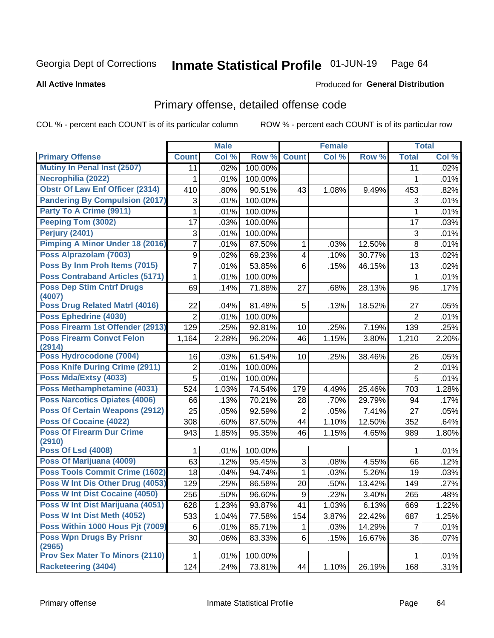#### Inmate Statistical Profile 01-JUN-19 Page 64

**All Active Inmates** 

## **Produced for General Distribution**

## Primary offense, detailed offense code

COL % - percent each COUNT is of its particular column

|                                            |                           | <b>Male</b> |         |                         | <b>Female</b> |        |                | <b>Total</b> |
|--------------------------------------------|---------------------------|-------------|---------|-------------------------|---------------|--------|----------------|--------------|
| <b>Primary Offense</b>                     | <b>Count</b>              | Col %       | Row %   | <b>Count</b>            | Col %         | Row %  | <b>Total</b>   | Col %        |
| Mutiny In Penal Inst (2507)                | 11                        | .02%        | 100.00% |                         |               |        | 11             | .02%         |
| Necrophilia (2022)                         | 1                         | .01%        | 100.00% |                         |               |        | 1              | .01%         |
| <b>Obstr Of Law Enf Officer (2314)</b>     | 410                       | .80%        | 90.51%  | 43                      | 1.08%         | 9.49%  | 453            | .82%         |
| <b>Pandering By Compulsion (2017)</b>      | 3                         | .01%        | 100.00% |                         |               |        | 3              | .01%         |
| Party To A Crime (9911)                    | 1                         | .01%        | 100.00% |                         |               |        | 1              | .01%         |
| Peeping Tom (3002)                         | 17                        | .03%        | 100.00% |                         |               |        | 17             | .03%         |
| Perjury (2401)                             | $\ensuremath{\mathsf{3}}$ | .01%        | 100.00% |                         |               |        | $\sqrt{3}$     | .01%         |
| <b>Pimping A Minor Under 18 (2016)</b>     | $\overline{7}$            | .01%        | 87.50%  | 1                       | .03%          | 12.50% | 8              | .01%         |
| Poss Alprazolam (7003)                     | $\boldsymbol{9}$          | .02%        | 69.23%  | $\overline{\mathbf{4}}$ | .10%          | 30.77% | 13             | .02%         |
| Poss By Inm Proh Items (7015)              | $\overline{7}$            | .01%        | 53.85%  | 6                       | .15%          | 46.15% | 13             | .02%         |
| <b>Poss Contraband Articles (5171)</b>     | 1                         | .01%        | 100.00% |                         |               |        | 1              | .01%         |
| <b>Poss Dep Stim Cntrf Drugs</b><br>(4007) | 69                        | .14%        | 71.88%  | 27                      | .68%          | 28.13% | 96             | .17%         |
| Poss Drug Related Matrl (4016)             | 22                        | .04%        | 81.48%  | 5                       | .13%          | 18.52% | 27             | .05%         |
| Poss Ephedrine (4030)                      | $\overline{2}$            | .01%        | 100.00% |                         |               |        | $\overline{2}$ | .01%         |
| Poss Firearm 1st Offender (2913)           | 129                       | .25%        | 92.81%  | 10                      | .25%          | 7.19%  | 139            | .25%         |
| <b>Poss Firearm Convct Felon</b>           | 1,164                     | 2.28%       | 96.20%  | 46                      | 1.15%         | 3.80%  | 1,210          | 2.20%        |
| (2914)                                     |                           |             |         |                         |               |        |                |              |
| Poss Hydrocodone (7004)                    | 16                        | .03%        | 61.54%  | 10                      | .25%          | 38.46% | 26             | .05%         |
| <b>Poss Knife During Crime (2911)</b>      | 2                         | .01%        | 100.00% |                         |               |        | $\overline{2}$ | .01%         |
| Poss Mda/Extsy (4033)                      | 5                         | .01%        | 100.00% |                         |               |        | 5              | .01%         |
| Poss Methamphetamine (4031)                | 524                       | 1.03%       | 74.54%  | 179                     | 4.49%         | 25.46% | 703            | 1.28%        |
| <b>Poss Narcotics Opiates (4006)</b>       | 66                        | .13%        | 70.21%  | 28                      | .70%          | 29.79% | 94             | .17%         |
| <b>Poss Of Certain Weapons (2912)</b>      | 25                        | .05%        | 92.59%  | $\overline{2}$          | .05%          | 7.41%  | 27             | .05%         |
| Poss Of Cocaine (4022)                     | 308                       | .60%        | 87.50%  | 44                      | 1.10%         | 12.50% | 352            | .64%         |
| <b>Poss Of Firearm Dur Crime</b><br>(2910) | 943                       | 1.85%       | 95.35%  | 46                      | 1.15%         | 4.65%  | 989            | 1.80%        |
| <b>Poss Of Lsd (4008)</b>                  | 1                         | .01%        | 100.00% |                         |               |        | 1              | .01%         |
| Poss Of Marijuana (4009)                   | 63                        | .12%        | 95.45%  | 3                       | .08%          | 4.55%  | 66             | .12%         |
| <b>Poss Tools Commit Crime (1602)</b>      | 18                        | .04%        | 94.74%  | $\mathbf 1$             | .03%          | 5.26%  | 19             | .03%         |
| Poss W Int Dis Other Drug (4053)           | 129                       | .25%        | 86.58%  | 20                      | .50%          | 13.42% | 149            | .27%         |
| <b>Poss W Int Dist Cocaine (4050)</b>      | 256                       | .50%        | 96.60%  | 9                       | .23%          | 3.40%  | 265            | .48%         |
| Poss W Int Dist Marijuana (4051)           | 628                       | 1.23%       | 93.87%  | 41                      | 1.03%         | 6.13%  | 669            | 1.22%        |
| Poss W Int Dist Meth (4052)                | 533                       | 1.04%       | 77.58%  | 154                     | 3.87%         | 22.42% | 687            | 1.25%        |
| Poss Within 1000 Hous Pjt (7009)           | 6                         | .01%        | 85.71%  | 1                       | .03%          | 14.29% | $\overline{7}$ | .01%         |
| <b>Poss Wpn Drugs By Prisnr</b>            | 30                        | .06%        | 83.33%  | 6                       | .15%          | 16.67% | 36             | .07%         |
| (2965)                                     |                           |             |         |                         |               |        |                |              |
| <b>Prov Sex Mater To Minors (2110)</b>     | 1                         | .01%        | 100.00% |                         |               |        | 1              | .01%         |
| <b>Racketeering (3404)</b>                 | 124                       | .24%        | 73.81%  | 44                      | 1.10%         | 26.19% | 168            | .31%         |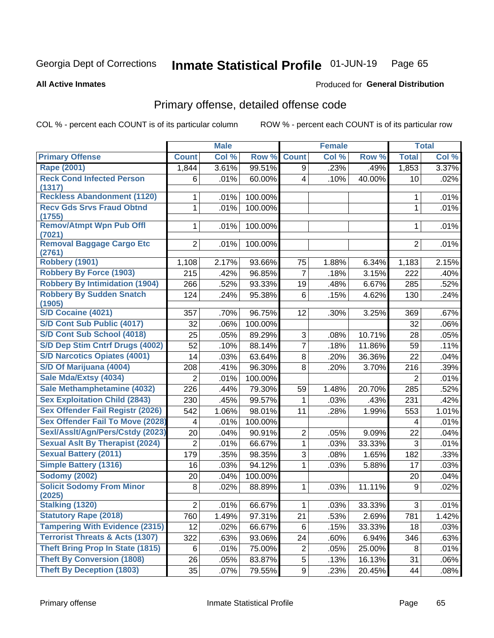#### Inmate Statistical Profile 01-JUN-19 Page 65

**All Active Inmates** 

## **Produced for General Distribution**

# Primary offense, detailed offense code

COL % - percent each COUNT is of its particular column

|                                            |                | <b>Male</b> |         |                | <b>Female</b> |        |                | <b>Total</b> |
|--------------------------------------------|----------------|-------------|---------|----------------|---------------|--------|----------------|--------------|
| <b>Primary Offense</b>                     | <b>Count</b>   | Col %       | Row %   | <b>Count</b>   | Col %         | Row %  | <b>Total</b>   | Col %        |
| <b>Rape (2001)</b>                         | 1,844          | 3.61%       | 99.51%  | 9              | .23%          | .49%   | 1,853          | 3.37%        |
| <b>Reck Cond Infected Person</b><br>(1317) | 6              | .01%        | 60.00%  | $\overline{4}$ | .10%          | 40.00% | 10             | .02%         |
| <b>Reckless Abandonment (1120)</b>         | 1              | .01%        | 100.00% |                |               |        | 1              | .01%         |
| <b>Recv Gds Srvs Fraud Obtnd</b><br>(1755) | 1              | .01%        | 100.00% |                |               |        | $\mathbf{1}$   | .01%         |
| <b>Remov/Atmpt Wpn Pub Offl</b><br>(7021)  | 1              | .01%        | 100.00% |                |               |        | 1              | .01%         |
| <b>Removal Baggage Cargo Etc</b><br>(2761) | $\overline{2}$ | .01%        | 100.00% |                |               |        | $\overline{2}$ | .01%         |
| <b>Robbery (1901)</b>                      | 1,108          | 2.17%       | 93.66%  | 75             | 1.88%         | 6.34%  | 1,183          | 2.15%        |
| <b>Robbery By Force (1903)</b>             | 215            | .42%        | 96.85%  | $\overline{7}$ | .18%          | 3.15%  | 222            | .40%         |
| <b>Robbery By Intimidation (1904)</b>      | 266            | .52%        | 93.33%  | 19             | .48%          | 6.67%  | 285            | .52%         |
| <b>Robbery By Sudden Snatch</b><br>(1905)  | 124            | .24%        | 95.38%  | 6              | .15%          | 4.62%  | 130            | .24%         |
| <b>S/D Cocaine (4021)</b>                  | 357            | .70%        | 96.75%  | 12             | .30%          | 3.25%  | 369            | .67%         |
| S/D Cont Sub Public (4017)                 | 32             | .06%        | 100.00% |                |               |        | 32             | .06%         |
| S/D Cont Sub School (4018)                 | 25             | .05%        | 89.29%  | 3              | .08%          | 10.71% | 28             | .05%         |
| S/D Dep Stim Cntrf Drugs (4002)            | 52             | .10%        | 88.14%  | $\overline{7}$ | .18%          | 11.86% | 59             | .11%         |
| <b>S/D Narcotics Opiates (4001)</b>        | 14             | .03%        | 63.64%  | 8              | .20%          | 36.36% | 22             | .04%         |
| S/D Of Marijuana (4004)                    | 208            | .41%        | 96.30%  | 8              | .20%          | 3.70%  | 216            | .39%         |
| Sale Mda/Extsy (4034)                      | $\overline{2}$ | .01%        | 100.00% |                |               |        | $\overline{2}$ | .01%         |
| Sale Methamphetamine (4032)                | 226            | .44%        | 79.30%  | 59             | 1.48%         | 20.70% | 285            | .52%         |
| <b>Sex Exploitation Child (2843)</b>       | 230            | .45%        | 99.57%  | 1              | .03%          | .43%   | 231            | .42%         |
| <b>Sex Offender Fail Registr (2026)</b>    | 542            | 1.06%       | 98.01%  | 11             | .28%          | 1.99%  | 553            | 1.01%        |
| <b>Sex Offender Fail To Move (2028)</b>    | 4              | .01%        | 100.00% |                |               |        | 4              | .01%         |
| Sexl/Asslt/Agn/Pers/Cstdy (2023)           | 20             | .04%        | 90.91%  | $\overline{2}$ | .05%          | 9.09%  | 22             | .04%         |
| <b>Sexual Aslt By Therapist (2024)</b>     | $\overline{2}$ | .01%        | 66.67%  | $\mathbf{1}$   | .03%          | 33.33% | 3              | .01%         |
| <b>Sexual Battery (2011)</b>               | 179            | .35%        | 98.35%  | 3              | .08%          | 1.65%  | 182            | .33%         |
| <b>Simple Battery (1316)</b>               | 16             | .03%        | 94.12%  | 1              | .03%          | 5.88%  | 17             | .03%         |
| <b>Sodomy (2002)</b>                       | 20             | .04%        | 100.00% |                |               |        | 20             | .04%         |
| <b>Solicit Sodomy From Minor</b><br>(2025) | 8              | .02%        | 88.89%  | 1              | .03%          | 11.11% | 9              | .02%         |
| <b>Stalking (1320)</b>                     | $\overline{a}$ | .01%        | 66.67%  | $\mathbf{1}$   | .03%          | 33.33% | 3              | .01%         |
| <b>Statutory Rape (2018)</b>               | 760            | 1.49%       | 97.31%  | 21             | .53%          | 2.69%  | 781            | 1.42%        |
| <b>Tampering With Evidence (2315)</b>      | 12             | .02%        | 66.67%  | 6              | .15%          | 33.33% | 18             | .03%         |
| <b>Terrorist Threats &amp; Acts (1307)</b> | 322            | .63%        | 93.06%  | 24             | .60%          | 6.94%  | 346            | .63%         |
| <b>Theft Bring Prop In State (1815)</b>    | 6              | .01%        | 75.00%  | $\overline{2}$ | .05%          | 25.00% | 8              | .01%         |
| <b>Theft By Conversion (1808)</b>          | 26             | .05%        | 83.87%  | 5              | .13%          | 16.13% | 31             | .06%         |
| <b>Theft By Deception (1803)</b>           | 35             | .07%        | 79.55%  | 9 <sup>1</sup> | .23%          | 20.45% | 44             | .08%         |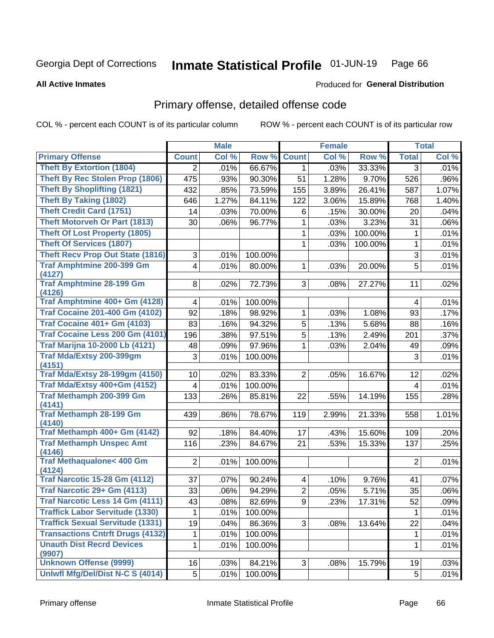#### Inmate Statistical Profile 01-JUN-19 Page 66

**All Active Inmates** 

## **Produced for General Distribution**

# Primary offense, detailed offense code

COL % - percent each COUNT is of its particular column

|                                                |                 | <b>Male</b> |         |                | <b>Female</b> |         |                 | <b>Total</b> |
|------------------------------------------------|-----------------|-------------|---------|----------------|---------------|---------|-----------------|--------------|
| <b>Primary Offense</b>                         | <b>Count</b>    | Col %       | Row %   | <b>Count</b>   | Col %         | Row %   | <b>Total</b>    | Col %        |
| <b>Theft By Extortion (1804)</b>               | $\overline{2}$  | .01%        | 66.67%  | 1              | .03%          | 33.33%  | 3               | .01%         |
| <b>Theft By Rec Stolen Prop (1806)</b>         | 475             | .93%        | 90.30%  | 51             | 1.28%         | 9.70%   | 526             | .96%         |
| <b>Theft By Shoplifting (1821)</b>             | 432             | .85%        | 73.59%  | 155            | 3.89%         | 26.41%  | 587             | 1.07%        |
| <b>Theft By Taking (1802)</b>                  | 646             | 1.27%       | 84.11%  | 122            | 3.06%         | 15.89%  | 768             | 1.40%        |
| <b>Theft Credit Card (1751)</b>                | 14              | .03%        | 70.00%  | 6              | .15%          | 30.00%  | 20              | .04%         |
| Theft Motorveh Or Part (1813)                  | 30              | .06%        | 96.77%  | 1              | .03%          | 3.23%   | 31              | .06%         |
| <b>Theft Of Lost Property (1805)</b>           |                 |             |         | 1              | .03%          | 100.00% | 1               | .01%         |
| <b>Theft Of Services (1807)</b>                |                 |             |         | 1              | .03%          | 100.00% | 1               | .01%         |
| <b>Theft Recv Prop Out State (1816)</b>        | 3               | .01%        | 100.00% |                |               |         | 3               | .01%         |
| <b>Traf Amphtmine 200-399 Gm</b>               | 4               | .01%        | 80.00%  | 1              | .03%          | 20.00%  | 5               | .01%         |
| (4127)                                         |                 |             |         |                |               |         |                 |              |
| <b>Traf Amphtmine 28-199 Gm</b><br>(4126)      | 8               | .02%        | 72.73%  | 3              | .08%          | 27.27%  | 11              | .02%         |
| Traf Amphtmine 400+ Gm (4128)                  | 4               | .01%        | 100.00% |                |               |         | 4               | .01%         |
| <b>Traf Cocaine 201-400 Gm (4102)</b>          | 92              | .18%        | 98.92%  | 1              | .03%          | 1.08%   | 93              | .17%         |
| <b>Traf Cocaine 401+ Gm (4103)</b>             | 83              | .16%        | 94.32%  | 5              | .13%          | 5.68%   | 88              | .16%         |
| Traf Cocaine Less 200 Gm (4101)                | 196             | .38%        | 97.51%  | 5              | .13%          | 2.49%   | 201             | .37%         |
| <b>Traf Marijna 10-2000 Lb (4121)</b>          | 48              | .09%        | 97.96%  | 1              | .03%          | 2.04%   | 49              | .09%         |
| Traf Mda/Extsy 200-399gm                       | 3               | .01%        | 100.00% |                |               |         | 3               | .01%         |
| (4151)                                         |                 |             |         |                |               |         |                 |              |
| <b>Traf Mda/Extsy 28-199gm (4150)</b>          | 10              | .02%        | 83.33%  | $\overline{2}$ | .05%          | 16.67%  | 12              | .02%         |
| Traf Mda/Extsy 400+Gm (4152)                   | 4               | .01%        | 100.00% |                |               |         | $\overline{4}$  | .01%         |
| Traf Methamph 200-399 Gm                       | 133             | .26%        | 85.81%  | 22             | .55%          | 14.19%  | 155             | .28%         |
| (4141)                                         |                 |             |         |                |               |         |                 |              |
| <b>Traf Methamph 28-199 Gm</b><br>(4140)       | 439             | .86%        | 78.67%  | 119            | 2.99%         | 21.33%  | 558             | 1.01%        |
| Traf Methamph 400+ Gm (4142)                   | 92              | .18%        | 84.40%  | 17             | .43%          | 15.60%  | 109             | .20%         |
| <b>Traf Methamph Unspec Amt</b>                | 116             | .23%        | 84.67%  | 21             | .53%          | 15.33%  | 137             | .25%         |
| (4146)                                         |                 |             |         |                |               |         |                 |              |
| <b>Traf Methaqualone&lt; 400 Gm</b>            | $\overline{2}$  | .01%        | 100.00% |                |               |         | $\overline{2}$  | .01%         |
| (4124)<br><b>Traf Narcotic 15-28 Gm (4112)</b> |                 |             |         |                |               |         |                 |              |
| Traf Narcotic 29+ Gm (4113)                    | 37              | .07%        | 90.24%  | 4              | .10%          | 9.76%   | 41              | .07%         |
|                                                | 33              | .06%        | 94.29%  | 2              | .05%          | 5.71%   | 35              | .06%         |
| Traf Narcotic Less 14 Gm (4111)                | $\overline{43}$ | .08%        | 82.69%  | $\overline{9}$ | .23%          | 17.31%  | $\overline{52}$ | .09%         |
| <b>Traffick Labor Servitude (1330)</b>         | 1               | .01%        | 100.00% |                |               |         | 1               | .01%         |
| <b>Traffick Sexual Servitude (1331)</b>        | 19              | .04%        | 86.36%  | 3              | .08%          | 13.64%  | 22              | .04%         |
| <b>Transactions Cntrft Drugs (4132)</b>        | 1               | .01%        | 100.00% |                |               |         | $\mathbf{1}$    | .01%         |
| <b>Unauth Dist Recrd Devices</b><br>(9907)     | 1               | .01%        | 100.00% |                |               |         | $\mathbf{1}$    | .01%         |
| <b>Unknown Offense (9999)</b>                  | 16              | .03%        | 84.21%  | 3              | .08%          | 15.79%  | 19              | .03%         |
| Uniwfl Mfg/Del/Dist N-C S (4014)               | 5               | .01%        | 100.00% |                |               |         | 5               | .01%         |
|                                                |                 |             |         |                |               |         |                 |              |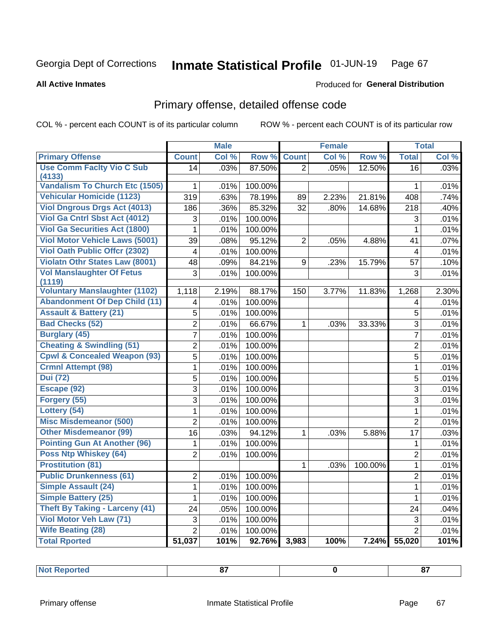#### Inmate Statistical Profile 01-JUN-19 Page 67

**All Active Inmates** 

### Produced for General Distribution

# Primary offense, detailed offense code

COL % - percent each COUNT is of its particular column

|                                            |                 | <b>Male</b> |         |                | <b>Female</b> |         |                         | <b>Total</b> |
|--------------------------------------------|-----------------|-------------|---------|----------------|---------------|---------|-------------------------|--------------|
| <b>Primary Offense</b>                     | <b>Count</b>    | Col %       | Row %   | <b>Count</b>   | Col %         | Row %   | <b>Total</b>            | Col %        |
| <b>Use Comm Facity Vio C Sub</b><br>(4133) | $\overline{14}$ | .03%        | 87.50%  | $\overline{2}$ | .05%          | 12.50%  | $\overline{16}$         | .03%         |
| <b>Vandalism To Church Etc (1505)</b>      | $\mathbf{1}$    | .01%        | 100.00% |                |               |         | $\mathbf{1}$            | .01%         |
| <b>Vehicular Homicide (1123)</b>           | 319             | .63%        | 78.19%  | 89             | 2.23%         | 21.81%  | 408                     | .74%         |
| <b>Viol Dngrous Drgs Act (4013)</b>        | 186             | .36%        | 85.32%  | 32             | .80%          | 14.68%  | 218                     | .40%         |
| Viol Ga Cntrl Sbst Act (4012)              | 3               | .01%        | 100.00% |                |               |         | 3                       | .01%         |
| <b>Viol Ga Securities Act (1800)</b>       | $\mathbf{1}$    | .01%        | 100.00% |                |               |         | $\mathbf{1}$            | .01%         |
| <b>Viol Motor Vehicle Laws (5001)</b>      | 39              | .08%        | 95.12%  | $\overline{2}$ | .05%          | 4.88%   | 41                      | .07%         |
| <b>Viol Oath Public Offer (2302)</b>       | 4               | .01%        | 100.00% |                |               |         | $\overline{\mathbf{4}}$ | .01%         |
| <b>Violatn Othr States Law (8001)</b>      | 48              | .09%        | 84.21%  | 9              | .23%          | 15.79%  | 57                      | .10%         |
| <b>Vol Manslaughter Of Fetus</b><br>(1119) | 3               | .01%        | 100.00% |                |               |         | 3                       | .01%         |
| <b>Voluntary Manslaughter (1102)</b>       | 1,118           | 2.19%       | 88.17%  | 150            | 3.77%         | 11.83%  | 1,268                   | 2.30%        |
| <b>Abandonment Of Dep Child (11)</b>       | 4               | .01%        | 100.00% |                |               |         | 4                       | .01%         |
| <b>Assault &amp; Battery (21)</b>          | 5               | .01%        | 100.00% |                |               |         | 5                       | .01%         |
| <b>Bad Checks (52)</b>                     | 2               | .01%        | 66.67%  | $\mathbf{1}$   | .03%          | 33.33%  | 3                       | .01%         |
| <b>Burglary (45)</b>                       | $\overline{7}$  | .01%        | 100.00% |                |               |         | $\overline{7}$          | .01%         |
| <b>Cheating &amp; Swindling (51)</b>       | 2               | .01%        | 100.00% |                |               |         | $\overline{c}$          | .01%         |
| <b>Cpwl &amp; Concealed Weapon (93)</b>    | 5               | .01%        | 100.00% |                |               |         | 5                       | .01%         |
| <b>Crmnl Attempt (98)</b>                  | $\mathbf{1}$    | .01%        | 100.00% |                |               |         | $\mathbf 1$             | .01%         |
| <b>Dui</b> (72)                            | 5               | .01%        | 100.00% |                |               |         | 5                       | .01%         |
| Escape (92)                                | 3               | .01%        | 100.00% |                |               |         | 3                       | .01%         |
| Forgery (55)                               | 3               | .01%        | 100.00% |                |               |         | 3                       | .01%         |
| Lottery (54)                               | $\mathbf{1}$    | .01%        | 100.00% |                |               |         | $\mathbf{1}$            | .01%         |
| <b>Misc Misdemeanor (500)</b>              | $\overline{2}$  | .01%        | 100.00% |                |               |         | $\overline{2}$          | .01%         |
| <b>Other Misdemeanor (99)</b>              | 16              | .03%        | 94.12%  | $\mathbf{1}$   | .03%          | 5.88%   | 17                      | .03%         |
| <b>Pointing Gun At Another (96)</b>        | 1               | .01%        | 100.00% |                |               |         | $\mathbf 1$             | .01%         |
| Poss Ntp Whiskey (64)                      | $\overline{2}$  | .01%        | 100.00% |                |               |         | $\overline{2}$          | .01%         |
| <b>Prostitution (81)</b>                   |                 |             |         | $\mathbf{1}$   | .03%          | 100.00% | $\mathbf 1$             | .01%         |
| <b>Public Drunkenness (61)</b>             | $\overline{2}$  | .01%        | 100.00% |                |               |         | $\overline{2}$          | .01%         |
| <b>Simple Assault (24)</b>                 | $\mathbf{1}$    | .01%        | 100.00% |                |               |         | $\mathbf{1}$            | .01%         |
| <b>Simple Battery (25)</b>                 | 1               | .01%        | 100.00% |                |               |         | $\mathbf{1}$            | .01%         |
| Theft By Taking - Larceny (41)             | 24              | .05%        | 100.00% |                |               |         | 24                      | .04%         |
| Viol Motor Veh Law (71)                    | 3               | .01%        | 100.00% |                |               |         | $\sqrt{3}$              | .01%         |
| <b>Wife Beating (28)</b>                   | $\overline{2}$  | .01%        | 100.00% |                |               |         | $\overline{2}$          | .01%         |
| <b>Total Rported</b>                       | 51,037          | 101%        | 92.76%  | 3,983          | 100%          | 7.24%   | 55,020                  | 101%         |

| <b>Not Reported</b><br>. |  |  | $\sim$ |
|--------------------------|--|--|--------|
|--------------------------|--|--|--------|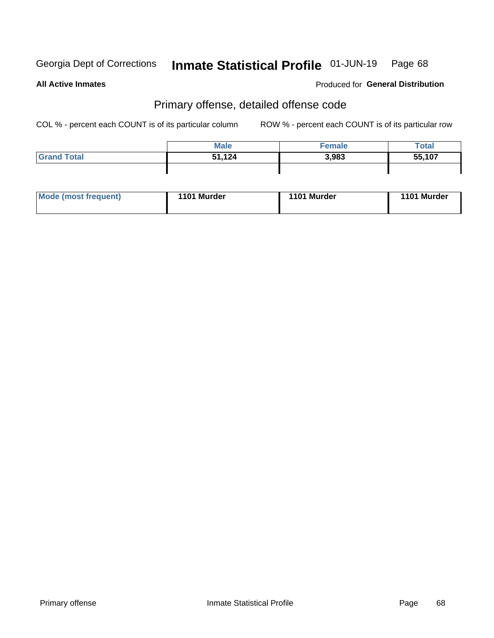# Inmate Statistical Profile 01-JUN-19 Page 68

**All Active Inmates** 

## **Produced for General Distribution**

## Primary offense, detailed offense code

COL % - percent each COUNT is of its particular column

|                    | <b>Male</b> | <b>Female</b> | Total  |
|--------------------|-------------|---------------|--------|
| <b>Grand Total</b> | 51,124      | 3,983         | 55,107 |
|                    |             |               |        |

| Mode (most frequent) | 1101 Murder | 1101 Murder | <b>Murder</b><br>1101 |
|----------------------|-------------|-------------|-----------------------|
|                      |             |             |                       |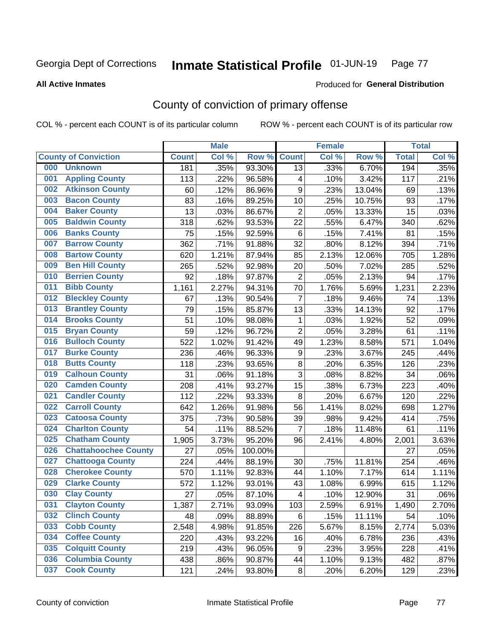#### Inmate Statistical Profile 01-JUN-19 Page 77

### **All Active Inmates**

# Produced for General Distribution

# County of conviction of primary offense

COL % - percent each COUNT is of its particular column

|     |                             |              | <b>Male</b> |         |                  | <b>Female</b> |        |              | <b>Total</b> |
|-----|-----------------------------|--------------|-------------|---------|------------------|---------------|--------|--------------|--------------|
|     | <b>County of Conviction</b> | <b>Count</b> | Col %       | Row %   | <b>Count</b>     | Col %         | Row %  | <b>Total</b> | Col %        |
| 000 | <b>Unknown</b>              | 181          | .35%        | 93.30%  | 13               | .33%          | 6.70%  | 194          | .35%         |
| 001 | <b>Appling County</b>       | 113          | .22%        | 96.58%  | 4                | .10%          | 3.42%  | 117          | .21%         |
| 002 | <b>Atkinson County</b>      | 60           | .12%        | 86.96%  | $\mathsf g$      | .23%          | 13.04% | 69           | .13%         |
| 003 | <b>Bacon County</b>         | 83           | .16%        | 89.25%  | 10               | .25%          | 10.75% | 93           | .17%         |
| 004 | <b>Baker County</b>         | 13           | .03%        | 86.67%  | $\overline{2}$   | .05%          | 13.33% | 15           | .03%         |
| 005 | <b>Baldwin County</b>       | 318          | .62%        | 93.53%  | 22               | .55%          | 6.47%  | 340          | .62%         |
| 006 | <b>Banks County</b>         | 75           | .15%        | 92.59%  | $\,6\,$          | .15%          | 7.41%  | 81           | .15%         |
| 007 | <b>Barrow County</b>        | 362          | .71%        | 91.88%  | 32               | .80%          | 8.12%  | 394          | .71%         |
| 008 | <b>Bartow County</b>        | 620          | 1.21%       | 87.94%  | 85               | 2.13%         | 12.06% | 705          | 1.28%        |
| 009 | <b>Ben Hill County</b>      | 265          | .52%        | 92.98%  | 20               | .50%          | 7.02%  | 285          | .52%         |
| 010 | <b>Berrien County</b>       | 92           | .18%        | 97.87%  | $\overline{2}$   | .05%          | 2.13%  | 94           | .17%         |
| 011 | <b>Bibb County</b>          | 1,161        | 2.27%       | 94.31%  | 70               | 1.76%         | 5.69%  | 1,231        | 2.23%        |
| 012 | <b>Bleckley County</b>      | 67           | .13%        | 90.54%  | $\overline{7}$   | .18%          | 9.46%  | 74           | .13%         |
| 013 | <b>Brantley County</b>      | 79           | .15%        | 85.87%  | 13               | .33%          | 14.13% | 92           | .17%         |
| 014 | <b>Brooks County</b>        | 51           | .10%        | 98.08%  | 1                | .03%          | 1.92%  | 52           | .09%         |
| 015 | <b>Bryan County</b>         | 59           | .12%        | 96.72%  | $\overline{2}$   | .05%          | 3.28%  | 61           | .11%         |
| 016 | <b>Bulloch County</b>       | 522          | 1.02%       | 91.42%  | 49               | 1.23%         | 8.58%  | 571          | 1.04%        |
| 017 | <b>Burke County</b>         | 236          | .46%        | 96.33%  | $\boldsymbol{9}$ | .23%          | 3.67%  | 245          | .44%         |
| 018 | <b>Butts County</b>         | 118          | .23%        | 93.65%  | $\bf 8$          | .20%          | 6.35%  | 126          | .23%         |
| 019 | <b>Calhoun County</b>       | 31           | .06%        | 91.18%  | $\overline{3}$   | .08%          | 8.82%  | 34           | .06%         |
| 020 | <b>Camden County</b>        | 208          | .41%        | 93.27%  | 15               | .38%          | 6.73%  | 223          | .40%         |
| 021 | <b>Candler County</b>       | 112          | .22%        | 93.33%  | $\, 8$           | .20%          | 6.67%  | 120          | .22%         |
| 022 | <b>Carroll County</b>       | 642          | 1.26%       | 91.98%  | 56               | 1.41%         | 8.02%  | 698          | 1.27%        |
| 023 | <b>Catoosa County</b>       | 375          | .73%        | 90.58%  | 39               | .98%          | 9.42%  | 414          | .75%         |
| 024 | <b>Charlton County</b>      | 54           | .11%        | 88.52%  | $\overline{7}$   | .18%          | 11.48% | 61           | .11%         |
| 025 | <b>Chatham County</b>       | 1,905        | 3.73%       | 95.20%  | 96               | 2.41%         | 4.80%  | 2,001        | 3.63%        |
| 026 | <b>Chattahoochee County</b> | 27           | .05%        | 100.00% |                  |               |        | 27           | .05%         |
| 027 | <b>Chattooga County</b>     | 224          | .44%        | 88.19%  | 30               | .75%          | 11.81% | 254          | .46%         |
| 028 | <b>Cherokee County</b>      | 570          | 1.11%       | 92.83%  | 44               | 1.10%         | 7.17%  | 614          | 1.11%        |
| 029 | <b>Clarke County</b>        | 572          | 1.12%       | 93.01%  | 43               | 1.08%         | 6.99%  | 615          | 1.12%        |
| 030 | <b>Clay County</b>          | 27           | .05%        | 87.10%  | 4                | .10%          | 12.90% | 31           | .06%         |
| 031 | <b>Clayton County</b>       | 1,387        | 2.71%       | 93.09%  | 103              | 2.59%         | 6.91%  | 1,490        | 2.70%        |
| 032 | <b>Clinch County</b>        | 48           | .09%        | 88.89%  | 6                | .15%          | 11.11% | 54           | .10%         |
| 033 | <b>Cobb County</b>          | 2,548        | 4.98%       | 91.85%  | 226              | 5.67%         | 8.15%  | 2,774        | 5.03%        |
| 034 | <b>Coffee County</b>        | 220          | .43%        | 93.22%  | 16               | .40%          | 6.78%  | 236          | .43%         |
| 035 | <b>Colquitt County</b>      | 219          | .43%        | 96.05%  | 9                | .23%          | 3.95%  | 228          | .41%         |
| 036 | <b>Columbia County</b>      | 438          | .86%        | 90.87%  | 44               | 1.10%         | 9.13%  | 482          | .87%         |
| 037 | <b>Cook County</b>          | 121          | .24%        | 93.80%  | 8                | .20%          | 6.20%  | 129          | .23%         |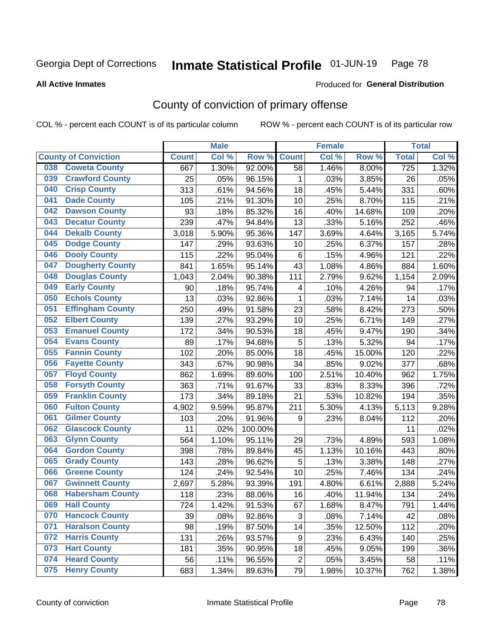# Inmate Statistical Profile 01-JUN-19 Page 78

**Produced for General Distribution** 

### **All Active Inmates**

# County of conviction of primary offense

COL % - percent each COUNT is of its particular column

|     |                             |              | <b>Male</b> |         |                | <b>Female</b> |        |              | <b>Total</b> |
|-----|-----------------------------|--------------|-------------|---------|----------------|---------------|--------|--------------|--------------|
|     | <b>County of Conviction</b> | <b>Count</b> | Col %       | Row %   | <b>Count</b>   | Col %         | Row %  | <b>Total</b> | Col %        |
| 038 | <b>Coweta County</b>        | 667          | 1.30%       | 92.00%  | 58             | 1.46%         | 8.00%  | 725          | 1.32%        |
| 039 | <b>Crawford County</b>      | 25           | .05%        | 96.15%  | 1              | .03%          | 3.85%  | 26           | .05%         |
| 040 | <b>Crisp County</b>         | 313          | .61%        | 94.56%  | 18             | .45%          | 5.44%  | 331          | .60%         |
| 041 | <b>Dade County</b>          | 105          | .21%        | 91.30%  | 10             | .25%          | 8.70%  | 115          | .21%         |
| 042 | <b>Dawson County</b>        | 93           | .18%        | 85.32%  | 16             | .40%          | 14.68% | 109          | .20%         |
| 043 | <b>Decatur County</b>       | 239          | .47%        | 94.84%  | 13             | .33%          | 5.16%  | 252          | .46%         |
| 044 | <b>Dekalb County</b>        | 3,018        | 5.90%       | 95.36%  | 147            | 3.69%         | 4.64%  | 3,165        | 5.74%        |
| 045 | <b>Dodge County</b>         | 147          | .29%        | 93.63%  | 10             | .25%          | 6.37%  | 157          | .28%         |
| 046 | <b>Dooly County</b>         | 115          | .22%        | 95.04%  | $\,6\,$        | .15%          | 4.96%  | 121          | .22%         |
| 047 | <b>Dougherty County</b>     | 841          | 1.65%       | 95.14%  | 43             | 1.08%         | 4.86%  | 884          | 1.60%        |
| 048 | <b>Douglas County</b>       | 1,043        | 2.04%       | 90.38%  | 111            | 2.79%         | 9.62%  | 1,154        | 2.09%        |
| 049 | <b>Early County</b>         | 90           | .18%        | 95.74%  | 4              | .10%          | 4.26%  | 94           | .17%         |
| 050 | <b>Echols County</b>        | 13           | .03%        | 92.86%  | $\mathbf{1}$   | .03%          | 7.14%  | 14           | .03%         |
| 051 | <b>Effingham County</b>     | 250          | .49%        | 91.58%  | 23             | .58%          | 8.42%  | 273          | .50%         |
| 052 | <b>Elbert County</b>        | 139          | .27%        | 93.29%  | 10             | .25%          | 6.71%  | 149          | .27%         |
| 053 | <b>Emanuel County</b>       | 172          | .34%        | 90.53%  | 18             | .45%          | 9.47%  | 190          | .34%         |
| 054 | <b>Evans County</b>         | 89           | .17%        | 94.68%  | 5              | .13%          | 5.32%  | 94           | .17%         |
| 055 | <b>Fannin County</b>        | 102          | .20%        | 85.00%  | 18             | .45%          | 15.00% | 120          | .22%         |
| 056 | <b>Fayette County</b>       | 343          | .67%        | 90.98%  | 34             | .85%          | 9.02%  | 377          | .68%         |
| 057 | <b>Floyd County</b>         | 862          | 1.69%       | 89.60%  | 100            | 2.51%         | 10.40% | 962          | 1.75%        |
| 058 | <b>Forsyth County</b>       | 363          | .71%        | 91.67%  | 33             | .83%          | 8.33%  | 396          | .72%         |
| 059 | <b>Franklin County</b>      | 173          | .34%        | 89.18%  | 21             | .53%          | 10.82% | 194          | .35%         |
| 060 | <b>Fulton County</b>        | 4,902        | 9.59%       | 95.87%  | 211            | 5.30%         | 4.13%  | 5,113        | 9.28%        |
| 061 | <b>Gilmer County</b>        | 103          | .20%        | 91.96%  | 9              | .23%          | 8.04%  | 112          | .20%         |
| 062 | <b>Glascock County</b>      | 11           | .02%        | 100.00% |                |               |        | 11           | .02%         |
| 063 | <b>Glynn County</b>         | 564          | 1.10%       | 95.11%  | 29             | .73%          | 4.89%  | 593          | 1.08%        |
| 064 | <b>Gordon County</b>        | 398          | .78%        | 89.84%  | 45             | 1.13%         | 10.16% | 443          | .80%         |
| 065 | <b>Grady County</b>         | 143          | .28%        | 96.62%  | 5              | .13%          | 3.38%  | 148          | .27%         |
| 066 | <b>Greene County</b>        | 124          | .24%        | 92.54%  | 10             | .25%          | 7.46%  | 134          | .24%         |
| 067 | <b>Gwinnett County</b>      | 2,697        | 5.28%       | 93.39%  | 191            | 4.80%         | 6.61%  | 2,888        | 5.24%        |
| 068 | <b>Habersham County</b>     | 118          | .23%        | 88.06%  | 16             | .40%          | 11.94% | 134          | .24%         |
| 069 | <b>Hall County</b>          | 724          | 1.42%       | 91.53%  | 67             | 1.68%         | 8.47%  | 791          | 1.44%        |
| 070 | <b>Hancock County</b>       | 39           | .08%        | 92.86%  | 3              | .08%          | 7.14%  | 42           | .08%         |
| 071 | <b>Haralson County</b>      | 98           | .19%        | 87.50%  | 14             | .35%          | 12.50% | 112          | .20%         |
| 072 | <b>Harris County</b>        | 131          | .26%        | 93.57%  | 9              | .23%          | 6.43%  | 140          | .25%         |
| 073 | <b>Hart County</b>          | 181          | .35%        | 90.95%  | 18             | .45%          | 9.05%  | 199          | .36%         |
| 074 | <b>Heard County</b>         | 56           | .11%        | 96.55%  | $\overline{2}$ | .05%          | 3.45%  | 58           | .11%         |
| 075 | <b>Henry County</b>         | 683          | 1.34%       | 89.63%  | 79             | 1.98%         | 10.37% | 762          | 1.38%        |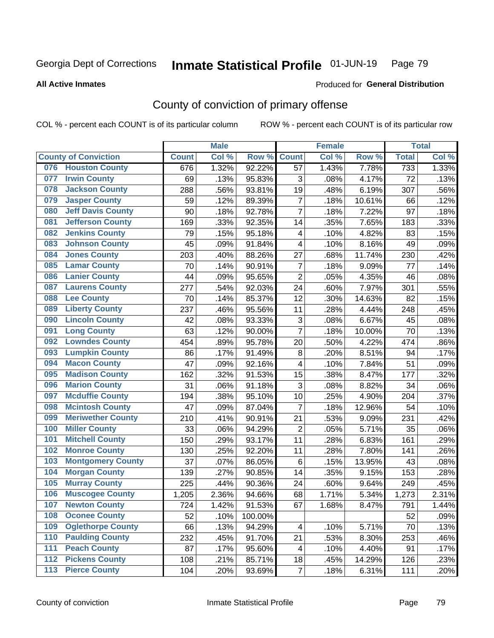#### Inmate Statistical Profile 01-JUN-19 Page 79

### **All Active Inmates**

## Produced for General Distribution

# County of conviction of primary offense

COL % - percent each COUNT is of its particular column

|     |                             |              | <b>Male</b> |         |                         | <b>Female</b> |        |              | <b>Total</b> |
|-----|-----------------------------|--------------|-------------|---------|-------------------------|---------------|--------|--------------|--------------|
|     | <b>County of Conviction</b> | <b>Count</b> | Col %       | Row %   | <b>Count</b>            | Col %         | Row %  | <b>Total</b> | Col %        |
| 076 | <b>Houston County</b>       | 676          | 1.32%       | 92.22%  | 57                      | 1.43%         | 7.78%  | 733          | 1.33%        |
| 077 | <b>Irwin County</b>         | 69           | .13%        | 95.83%  | 3                       | .08%          | 4.17%  | 72           | .13%         |
| 078 | <b>Jackson County</b>       | 288          | .56%        | 93.81%  | 19                      | .48%          | 6.19%  | 307          | .56%         |
| 079 | <b>Jasper County</b>        | 59           | .12%        | 89.39%  | $\overline{7}$          | .18%          | 10.61% | 66           | .12%         |
| 080 | <b>Jeff Davis County</b>    | 90           | .18%        | 92.78%  | $\overline{7}$          | .18%          | 7.22%  | 97           | .18%         |
| 081 | <b>Jefferson County</b>     | 169          | .33%        | 92.35%  | 14                      | .35%          | 7.65%  | 183          | .33%         |
| 082 | <b>Jenkins County</b>       | 79           | .15%        | 95.18%  | $\overline{\mathbf{4}}$ | .10%          | 4.82%  | 83           | .15%         |
| 083 | <b>Johnson County</b>       | 45           | .09%        | 91.84%  | 4                       | .10%          | 8.16%  | 49           | .09%         |
| 084 | <b>Jones County</b>         | 203          | .40%        | 88.26%  | 27                      | .68%          | 11.74% | 230          | .42%         |
| 085 | <b>Lamar County</b>         | 70           | .14%        | 90.91%  | $\overline{7}$          | .18%          | 9.09%  | 77           | .14%         |
| 086 | <b>Lanier County</b>        | 44           | .09%        | 95.65%  | $\overline{2}$          | .05%          | 4.35%  | 46           | .08%         |
| 087 | <b>Laurens County</b>       | 277          | .54%        | 92.03%  | 24                      | .60%          | 7.97%  | 301          | .55%         |
| 088 | <b>Lee County</b>           | 70           | .14%        | 85.37%  | 12                      | .30%          | 14.63% | 82           | .15%         |
| 089 | <b>Liberty County</b>       | 237          | .46%        | 95.56%  | 11                      | .28%          | 4.44%  | 248          | .45%         |
| 090 | <b>Lincoln County</b>       | 42           | .08%        | 93.33%  | 3                       | .08%          | 6.67%  | 45           | .08%         |
| 091 | <b>Long County</b>          | 63           | .12%        | 90.00%  | $\overline{7}$          | .18%          | 10.00% | 70           | .13%         |
| 092 | <b>Lowndes County</b>       | 454          | .89%        | 95.78%  | 20                      | .50%          | 4.22%  | 474          | .86%         |
| 093 | <b>Lumpkin County</b>       | 86           | .17%        | 91.49%  | 8                       | .20%          | 8.51%  | 94           | .17%         |
| 094 | <b>Macon County</b>         | 47           | .09%        | 92.16%  | 4                       | .10%          | 7.84%  | 51           | .09%         |
| 095 | <b>Madison County</b>       | 162          | .32%        | 91.53%  | 15                      | .38%          | 8.47%  | 177          | .32%         |
| 096 | <b>Marion County</b>        | 31           | .06%        | 91.18%  | 3                       | .08%          | 8.82%  | 34           | .06%         |
| 097 | <b>Mcduffie County</b>      | 194          | .38%        | 95.10%  | 10                      | .25%          | 4.90%  | 204          | .37%         |
| 098 | <b>Mcintosh County</b>      | 47           | .09%        | 87.04%  | $\overline{7}$          | .18%          | 12.96% | 54           | .10%         |
| 099 | <b>Meriwether County</b>    | 210          | .41%        | 90.91%  | 21                      | .53%          | 9.09%  | 231          | .42%         |
| 100 | <b>Miller County</b>        | 33           | .06%        | 94.29%  | $\overline{2}$          | .05%          | 5.71%  | 35           | .06%         |
| 101 | <b>Mitchell County</b>      | 150          | .29%        | 93.17%  | 11                      | .28%          | 6.83%  | 161          | .29%         |
| 102 | <b>Monroe County</b>        | 130          | .25%        | 92.20%  | 11                      | .28%          | 7.80%  | 141          | .26%         |
| 103 | <b>Montgomery County</b>    | 37           | .07%        | 86.05%  | 6                       | .15%          | 13.95% | 43           | .08%         |
| 104 | <b>Morgan County</b>        | 139          | .27%        | 90.85%  | 14                      | .35%          | 9.15%  | 153          | .28%         |
| 105 | <b>Murray County</b>        | 225          | .44%        | 90.36%  | 24                      | .60%          | 9.64%  | 249          | .45%         |
| 106 | <b>Muscogee County</b>      | 1,205        | 2.36%       | 94.66%  | 68                      | 1.71%         | 5.34%  | 1,273        | 2.31%        |
| 107 | <b>Newton County</b>        | 724          | 1.42%       | 91.53%  | 67                      | 1.68%         | 8.47%  | 791          | 1.44%        |
| 108 | <b>Oconee County</b>        | 52           | .10%        | 100.00% |                         |               |        | 52           | .09%         |
| 109 | <b>Oglethorpe County</b>    | 66           | .13%        | 94.29%  | 4                       | .10%          | 5.71%  | 70           | .13%         |
| 110 | <b>Paulding County</b>      | 232          | .45%        | 91.70%  | 21                      | .53%          | 8.30%  | 253          | .46%         |
| 111 | <b>Peach County</b>         | 87           | .17%        | 95.60%  | 4                       | .10%          | 4.40%  | 91           | .17%         |
| 112 | <b>Pickens County</b>       | 108          | .21%        | 85.71%  | 18                      | .45%          | 14.29% | 126          | .23%         |
| 113 | <b>Pierce County</b>        | 104          | .20%        | 93.69%  | $\overline{7}$          | .18%          | 6.31%  | 111          | .20%         |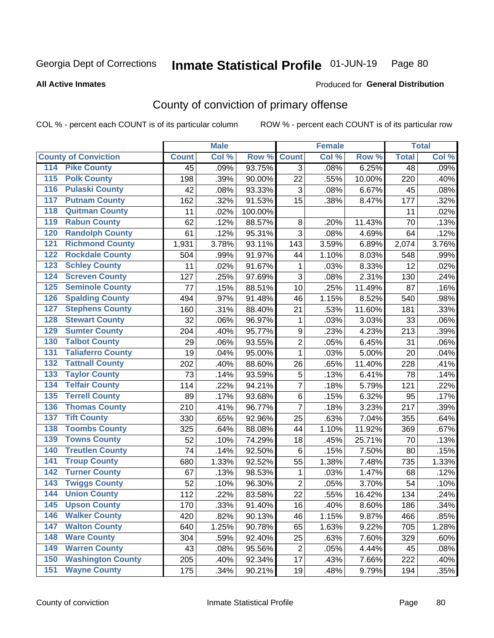#### Inmate Statistical Profile 01-JUN-19 Page 80

**All Active Inmates** 

### Produced for General Distribution

# County of conviction of primary offense

COL % - percent each COUNT is of its particular column

|                                          |              | <b>Male</b> |         |                | <b>Female</b> |        |              | <b>Total</b> |
|------------------------------------------|--------------|-------------|---------|----------------|---------------|--------|--------------|--------------|
| <b>County of Conviction</b>              | <b>Count</b> | Col %       | Row %   | <b>Count</b>   | Col %         | Row %  | <b>Total</b> | Col %        |
| 114 Pike County                          | 45           | .09%        | 93.75%  | $\overline{3}$ | .08%          | 6.25%  | 48           | .09%         |
| <b>Polk County</b><br>$\overline{115}$   | 198          | .39%        | 90.00%  | 22             | .55%          | 10.00% | 220          | .40%         |
| <b>Pulaski County</b><br>116             | 42           | .08%        | 93.33%  | 3              | .08%          | 6.67%  | 45           | .08%         |
| 117<br><b>Putnam County</b>              | 162          | .32%        | 91.53%  | 15             | .38%          | 8.47%  | 177          | .32%         |
| <b>Quitman County</b><br>118             | 11           | .02%        | 100.00% |                |               |        | 11           | .02%         |
| <b>Rabun County</b><br>119               | 62           | .12%        | 88.57%  | 8              | .20%          | 11.43% | 70           | .13%         |
| <b>Randolph County</b><br>120            | 61           | .12%        | 95.31%  | 3              | .08%          | 4.69%  | 64           | .12%         |
| <b>Richmond County</b><br>121            | 1,931        | 3.78%       | 93.11%  | 143            | 3.59%         | 6.89%  | 2,074        | 3.76%        |
| <b>Rockdale County</b><br>122            | 504          | .99%        | 91.97%  | 44             | 1.10%         | 8.03%  | 548          | .99%         |
| <b>Schley County</b><br>123              | 11           | .02%        | 91.67%  | 1              | .03%          | 8.33%  | 12           | .02%         |
| <b>Screven County</b><br>124             | 127          | .25%        | 97.69%  | 3              | .08%          | 2.31%  | 130          | .24%         |
| <b>Seminole County</b><br>125            | 77           | .15%        | 88.51%  | 10             | .25%          | 11.49% | 87           | .16%         |
| <b>Spalding County</b><br>126            | 494          | .97%        | 91.48%  | 46             | 1.15%         | 8.52%  | 540          | .98%         |
| <b>Stephens County</b><br>127            | 160          | .31%        | 88.40%  | 21             | .53%          | 11.60% | 181          | .33%         |
| <b>Stewart County</b><br>128             | 32           | .06%        | 96.97%  | $\mathbf{1}$   | .03%          | 3.03%  | 33           | .06%         |
| <b>Sumter County</b><br>129              | 204          | .40%        | 95.77%  | 9              | .23%          | 4.23%  | 213          | .39%         |
| <b>Talbot County</b><br>130              | 29           | .06%        | 93.55%  | $\overline{2}$ | .05%          | 6.45%  | 31           | .06%         |
| <b>Taliaferro County</b><br>131          | 19           | .04%        | 95.00%  | $\mathbf{1}$   | .03%          | 5.00%  | 20           | .04%         |
| <b>Tattnall County</b><br>132            | 202          | .40%        | 88.60%  | 26             | .65%          | 11.40% | 228          | .41%         |
| <b>Taylor County</b><br>133              | 73           | .14%        | 93.59%  | $\sqrt{5}$     | .13%          | 6.41%  | 78           | .14%         |
| <b>Telfair County</b><br>134             | 114          | .22%        | 94.21%  | $\overline{7}$ | .18%          | 5.79%  | 121          | .22%         |
| <b>Terrell County</b><br>135             | 89           | .17%        | 93.68%  | $\,6$          | .15%          | 6.32%  | 95           | .17%         |
| <b>Thomas County</b><br>136              | 210          | .41%        | 96.77%  | $\overline{7}$ | .18%          | 3.23%  | 217          | .39%         |
| <b>Tift County</b><br>137                | 330          | .65%        | 92.96%  | 25             | .63%          | 7.04%  | 355          | .64%         |
| <b>Toombs County</b><br>138              | 325          | .64%        | 88.08%  | 44             | 1.10%         | 11.92% | 369          | .67%         |
| <b>Towns County</b><br>139               | 52           | .10%        | 74.29%  | 18             | .45%          | 25.71% | 70           | .13%         |
| <b>Treutlen County</b><br>140            | 74           | .14%        | 92.50%  | $\,6\,$        | .15%          | 7.50%  | 80           | .15%         |
| <b>Troup County</b><br>141               | 680          | 1.33%       | 92.52%  | 55             | 1.38%         | 7.48%  | 735          | 1.33%        |
| <b>Turner County</b><br>142              | 67           | .13%        | 98.53%  | $\mathbf{1}$   | .03%          | 1.47%  | 68           | .12%         |
| <b>Twiggs County</b><br>$\overline{143}$ | 52           | .10%        | 96.30%  | $\overline{2}$ | .05%          | 3.70%  | 54           | .10%         |
| <b>Union County</b><br>144               | 112          | .22%        | 83.58%  | 22             | .55%          | 16.42% | 134          | .24%         |
| 145<br><b>Upson County</b>               | 170          | .33%        | 91.40%  | 16             | .40%          | 8.60%  | 186          | .34%         |
| <b>Walker County</b><br>146              | 420          | .82%        | 90.13%  | 46             | 1.15%         | 9.87%  | 466          | .85%         |
| <b>Walton County</b><br>147              | 640          | 1.25%       | 90.78%  | 65             | 1.63%         | 9.22%  | 705          | 1.28%        |
| <b>Ware County</b><br>148                | 304          | .59%        | 92.40%  | 25             | .63%          | 7.60%  | 329          | .60%         |
| <b>Warren County</b><br>149              | 43           | .08%        | 95.56%  | $\overline{2}$ | .05%          | 4.44%  | 45           | .08%         |
| <b>Washington County</b><br>150          | 205          | .40%        | 92.34%  | 17             | .43%          | 7.66%  | 222          | .40%         |
| <b>Wayne County</b><br>151               | 175          | .34%        | 90.21%  | 19             | .48%          | 9.79%  | 194          | .35%         |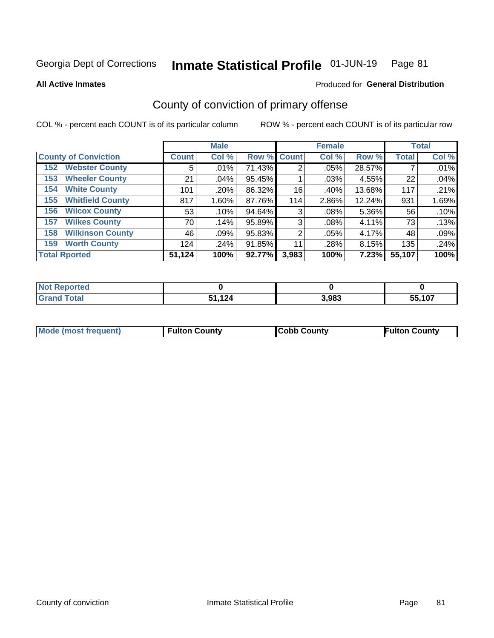#### Inmate Statistical Profile 01-JUN-19 Page 81

**All Active Inmates** 

### Produced for General Distribution

# County of conviction of primary offense

COL % - percent each COUNT is of its particular column

|                                |                    | <b>Male</b> |             |       | <b>Female</b> |        |              | <b>Total</b> |
|--------------------------------|--------------------|-------------|-------------|-------|---------------|--------|--------------|--------------|
| <b>County of Conviction</b>    | Count <sup>1</sup> | Col %       | Row % Count |       | Col %         | Row %  | <b>Total</b> | Col %        |
| <b>Webster County</b><br>152   | 5                  | .01%        | 71.43%      | 2     | .05%          | 28.57% |              | .01%         |
| <b>Wheeler County</b><br>153   | 21                 | .04%        | 95.45%      |       | .03%          | 4.55%  | 22           | .04%         |
| <b>White County</b><br>154     | 101                | .20%        | 86.32%      | 16    | .40%          | 13.68% | 117          | .21%         |
| <b>Whitfield County</b><br>155 | 817                | $1.60\%$    | 87.76%      | 114   | 2.86%         | 12.24% | 931          | 1.69%        |
| <b>Wilcox County</b><br>156    | 53                 | .10%        | 94.64%      | 3     | .08%          | 5.36%  | 56           | .10%         |
| <b>Wilkes County</b><br>157    | 70                 | .14%        | 95.89%      | 3     | .08%          | 4.11%  | 73           | .13%         |
| <b>Wilkinson County</b><br>158 | 46                 | .09%        | 95.83%      | 2     | .05%          | 4.17%  | 48           | .09%         |
| <b>Worth County</b><br>159     | 124                | .24%        | 91.85%      | 11    | .28%          | 8.15%  | 135          | .24%         |
| <b>Total Rported</b>           | 51,124             | 100%        | 92.77%      | 3,983 | 100%          | 7.23%  | 55,107       | 100%         |

| <b>Not</b><br>: Reported |                        |       |        |
|--------------------------|------------------------|-------|--------|
| Total                    | 12 <sub>A</sub><br>E4. | 3,983 | 55.107 |

| Mode (most frequent) | <b>Fulton County</b> | <b>Cobb County</b> | <b>Fulton County</b> |
|----------------------|----------------------|--------------------|----------------------|
|                      |                      |                    |                      |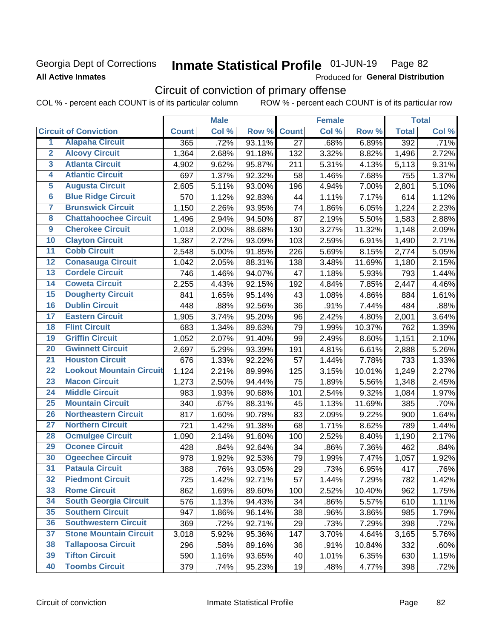### Georgia Dept of Corrections **All Active Inmates**

#### Inmate Statistical Profile 01-JUN-19 Page 82

Produced for General Distribution

## Circuit of conviction of primary offense

|                         |                                 |              | <b>Male</b> |        |                 | <b>Female</b> |        |              | <b>Total</b> |
|-------------------------|---------------------------------|--------------|-------------|--------|-----------------|---------------|--------|--------------|--------------|
|                         | <b>Circuit of Conviction</b>    | <b>Count</b> | Col %       | Row %  | <b>Count</b>    | Col %         | Row %  | <b>Total</b> | Col %        |
| 1                       | <b>Alapaha Circuit</b>          | 365          | .72%        | 93.11% | $\overline{27}$ | .68%          | 6.89%  | 392          | .71%         |
| $\overline{2}$          | <b>Alcovy Circuit</b>           | 1,364        | 2.68%       | 91.18% | 132             | 3.32%         | 8.82%  | 1,496        | 2.72%        |
| $\overline{\mathbf{3}}$ | <b>Atlanta Circuit</b>          | 4,902        | 9.62%       | 95.87% | 211             | 5.31%         | 4.13%  | 5,113        | 9.31%        |
| 4                       | <b>Atlantic Circuit</b>         | 697          | 1.37%       | 92.32% | 58              | 1.46%         | 7.68%  | 755          | 1.37%        |
| $\overline{5}$          | <b>Augusta Circuit</b>          | 2,605        | 5.11%       | 93.00% | 196             | 4.94%         | 7.00%  | 2,801        | 5.10%        |
| $\overline{\bf{6}}$     | <b>Blue Ridge Circuit</b>       | 570          | 1.12%       | 92.83% | 44              | 1.11%         | 7.17%  | 614          | 1.12%        |
| 7                       | <b>Brunswick Circuit</b>        | 1,150        | 2.26%       | 93.95% | 74              | 1.86%         | 6.05%  | 1,224        | 2.23%        |
| $\overline{\mathbf{8}}$ | <b>Chattahoochee Circuit</b>    | 1,496        | 2.94%       | 94.50% | 87              | 2.19%         | 5.50%  | 1,583        | 2.88%        |
| $\overline{9}$          | <b>Cherokee Circuit</b>         | 1,018        | 2.00%       | 88.68% | 130             | 3.27%         | 11.32% | 1,148        | 2.09%        |
| 10                      | <b>Clayton Circuit</b>          | 1,387        | 2.72%       | 93.09% | 103             | 2.59%         | 6.91%  | 1,490        | 2.71%        |
| $\overline{11}$         | <b>Cobb Circuit</b>             | 2,548        | 5.00%       | 91.85% | 226             | 5.69%         | 8.15%  | 2,774        | 5.05%        |
| $\overline{12}$         | <b>Conasauga Circuit</b>        | 1,042        | 2.05%       | 88.31% | 138             | 3.48%         | 11.69% | 1,180        | 2.15%        |
| 13                      | <b>Cordele Circuit</b>          | 746          | 1.46%       | 94.07% | 47              | 1.18%         | 5.93%  | 793          | 1.44%        |
| $\overline{14}$         | <b>Coweta Circuit</b>           | 2,255        | 4.43%       | 92.15% | 192             | 4.84%         | 7.85%  | 2,447        | 4.46%        |
| 15                      | <b>Dougherty Circuit</b>        | 841          | 1.65%       | 95.14% | 43              | 1.08%         | 4.86%  | 884          | 1.61%        |
| 16                      | <b>Dublin Circuit</b>           | 448          | .88%        | 92.56% | 36              | .91%          | 7.44%  | 484          | .88%         |
| 17                      | <b>Eastern Circuit</b>          | 1,905        | 3.74%       | 95.20% | 96              | 2.42%         | 4.80%  | 2,001        | 3.64%        |
| $\overline{18}$         | <b>Flint Circuit</b>            | 683          | 1.34%       | 89.63% | 79              | 1.99%         | 10.37% | 762          | 1.39%        |
| 19                      | <b>Griffin Circuit</b>          | 1,052        | 2.07%       | 91.40% | 99              | 2.49%         | 8.60%  | 1,151        | 2.10%        |
| $\overline{20}$         | <b>Gwinnett Circuit</b>         | 2,697        | 5.29%       | 93.39% | 191             | 4.81%         | 6.61%  | 2,888        | 5.26%        |
| $\overline{21}$         | <b>Houston Circuit</b>          | 676          | 1.33%       | 92.22% | 57              | 1.44%         | 7.78%  | 733          | 1.33%        |
| $\overline{22}$         | <b>Lookout Mountain Circuit</b> | 1,124        | 2.21%       | 89.99% | 125             | 3.15%         | 10.01% | 1,249        | 2.27%        |
| 23                      | <b>Macon Circuit</b>            | 1,273        | 2.50%       | 94.44% | 75              | 1.89%         | 5.56%  | 1,348        | 2.45%        |
| $\overline{24}$         | <b>Middle Circuit</b>           | 983          | 1.93%       | 90.68% | 101             | 2.54%         | 9.32%  | 1,084        | 1.97%        |
| $\overline{25}$         | <b>Mountain Circuit</b>         | 340          | .67%        | 88.31% | 45              | 1.13%         | 11.69% | 385          | .70%         |
| 26                      | <b>Northeastern Circuit</b>     | 817          | 1.60%       | 90.78% | 83              | 2.09%         | 9.22%  | 900          | 1.64%        |
| $\overline{27}$         | <b>Northern Circuit</b>         | 721          | 1.42%       | 91.38% | 68              | 1.71%         | 8.62%  | 789          | 1.44%        |
| 28                      | <b>Ocmulgee Circuit</b>         | 1,090        | 2.14%       | 91.60% | 100             | 2.52%         | 8.40%  | 1,190        | 2.17%        |
| 29                      | <b>Oconee Circuit</b>           | 428          | .84%        | 92.64% | 34              | .86%          | 7.36%  | 462          | .84%         |
| 30                      | <b>Ogeechee Circuit</b>         | 978          | 1.92%       | 92.53% | 79              | 1.99%         | 7.47%  | 1,057        | 1.92%        |
| $\overline{31}$         | <b>Pataula Circuit</b>          | 388          | .76%        | 93.05% | 29              | .73%          | 6.95%  | 417          | .76%         |
| 32                      | <b>Piedmont Circuit</b>         | 725          | 1.42%       | 92.71% | 57              | 1.44%         | 7.29%  | 782          | 1.42%        |
| 33                      | <b>Rome Circuit</b>             | 862          | 1.69%       | 89.60% | 100             | 2.52%         | 10.40% | 962          | 1.75%        |
| 34                      | <b>South Georgia Circuit</b>    | 576          | 1.13%       | 94.43% | 34              | .86%          | 5.57%  | 610          | 1.11%        |
| 35                      | <b>Southern Circuit</b>         | 947          | 1.86%       | 96.14% | 38              | .96%          | 3.86%  | 985          | 1.79%        |
| 36                      | <b>Southwestern Circuit</b>     | 369          | .72%        | 92.71% | 29              | .73%          | 7.29%  | 398          | .72%         |
| 37                      | <b>Stone Mountain Circuit</b>   | 3,018        | 5.92%       | 95.36% | 147             | 3.70%         | 4.64%  | 3,165        | 5.76%        |
| 38                      | <b>Tallapoosa Circuit</b>       | 296          | .58%        | 89.16% | 36              | .91%          | 10.84% | 332          | .60%         |
| 39                      | <b>Tifton Circuit</b>           | 590          | 1.16%       | 93.65% | 40              | 1.01%         | 6.35%  | 630          | 1.15%        |
| 40                      | <b>Toombs Circuit</b>           | 379          | .74%        | 95.23% | 19              | .48%          | 4.77%  | 398          | .72%         |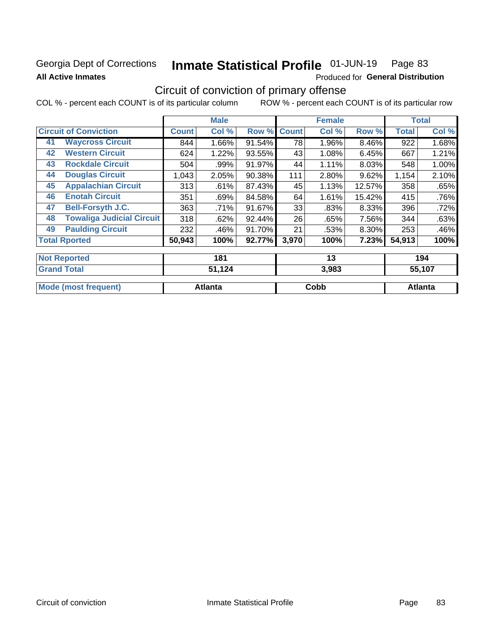### Georgia Dept of Corrections **All Active Inmates**

# Inmate Statistical Profile 01-JUN-19 Page 83

**Produced for General Distribution** 

## Circuit of conviction of primary offense

|    |                                  |        | <b>Male</b> |        |              | <b>Female</b> |          |              | <b>Total</b> |
|----|----------------------------------|--------|-------------|--------|--------------|---------------|----------|--------------|--------------|
|    | <b>Circuit of Conviction</b>     |        | Col %       | Row %  | <b>Count</b> | Col %         | Row %    | <b>Total</b> | Col %        |
| 41 | <b>Waycross Circuit</b>          | 844    | 1.66%       | 91.54% | 78           | 1.96%         | 8.46%    | 922          | 1.68%        |
| 42 | <b>Western Circuit</b>           | 624    | 1.22%       | 93.55% | 43           | 1.08%         | 6.45%    | 667          | 1.21%        |
| 43 | <b>Rockdale Circuit</b>          | 504    | .99%        | 91.97% | 44           | 1.11%         | 8.03%    | 548          | 1.00%        |
| 44 | <b>Douglas Circuit</b>           | 1,043  | 2.05%       | 90.38% | 111          | 2.80%         | 9.62%    | 1,154        | 2.10%        |
| 45 | <b>Appalachian Circuit</b>       | 313    | .61%        | 87.43% | 45           | 1.13%         | 12.57%   | 358          | .65%         |
| 46 | <b>Enotah Circuit</b>            | 351    | .69%        | 84.58% | 64           | 1.61%         | 15.42%   | 415          | .76%         |
| 47 | <b>Bell-Forsyth J.C.</b>         | 363    | .71%        | 91.67% | 33           | .83%          | 8.33%    | 396          | .72%         |
| 48 | <b>Towaliga Judicial Circuit</b> | 318    | .62%        | 92.44% | 26           | .65%          | 7.56%    | 344          | .63%         |
| 49 | <b>Paulding Circuit</b>          | 232    | .46%        | 91.70% | 21           | .53%          | $8.30\%$ | 253          | .46%         |
|    | <b>Total Rported</b>             | 50,943 | 100%        | 92.77% | 3,970        | 100%          | 7.23%    | 54,913       | 100%         |
|    | <b>Not Reported</b>              |        | 181         |        |              | 13            |          |              | 194          |
|    | <b>Grand Total</b>               |        | 51,124      |        |              | 3,983         |          |              | 55,107       |

| <b>Grand Total</b>               | 24،     | ა.ყგა | 33.TU7  |
|----------------------------------|---------|-------|---------|
| <b>Mo</b><br>frequent)<br>lmost) | Atlanta | Cobb  | Atlanta |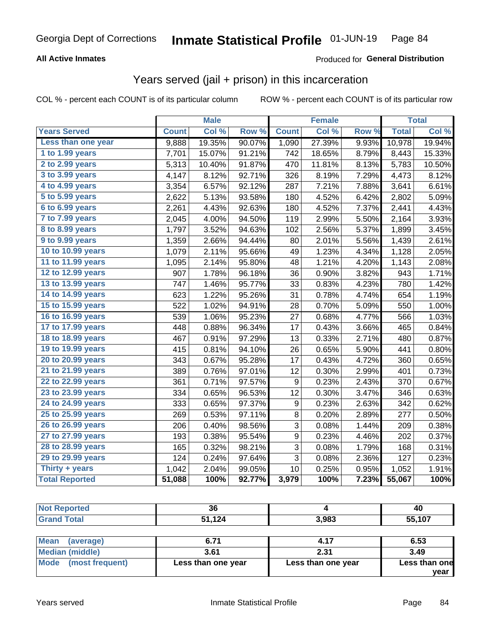#### **All Active Inmates**

### Produced for **General Distribution**

### Years served (jail + prison) in this incarceration

|                              |              | <b>Male</b> |        |                  | <b>Female</b> |       |              | <b>Total</b> |
|------------------------------|--------------|-------------|--------|------------------|---------------|-------|--------------|--------------|
| <b>Years Served</b>          | <b>Count</b> | Col %       | Row %  | <b>Count</b>     | Col %         | Row % | <b>Total</b> | Col %        |
| Less than one year           | 9,888        | 19.35%      | 90.07% | 1,090            | 27.39%        | 9.93% | 10,978       | 19.94%       |
| 1 to 1.99 years              | 7,701        | 15.07%      | 91.21% | 742              | 18.65%        | 8.79% | 8,443        | 15.33%       |
| 2 to 2.99 years              | 5,313        | 10.40%      | 91.87% | 470              | 11.81%        | 8.13% | 5,783        | 10.50%       |
| 3 to 3.99 years              | 4,147        | 8.12%       | 92.71% | 326              | 8.19%         | 7.29% | 4,473        | 8.12%        |
| 4 to 4.99 years              | 3,354        | 6.57%       | 92.12% | 287              | 7.21%         | 7.88% | 3,641        | 6.61%        |
| $\overline{5}$ to 5.99 years | 2,622        | 5.13%       | 93.58% | 180              | 4.52%         | 6.42% | 2,802        | 5.09%        |
| 6 to 6.99 years              | 2,261        | 4.43%       | 92.63% | 180              | 4.52%         | 7.37% | 2,441        | 4.43%        |
| 7 to 7.99 years              | 2,045        | 4.00%       | 94.50% | 119              | 2.99%         | 5.50% | 2,164        | 3.93%        |
| <b>8 to 8.99 years</b>       | 1,797        | 3.52%       | 94.63% | 102              | 2.56%         | 5.37% | 1,899        | 3.45%        |
| 9 to 9.99 years              | 1,359        | 2.66%       | 94.44% | 80               | 2.01%         | 5.56% | 1,439        | 2.61%        |
| 10 to 10.99 years            | 1,079        | 2.11%       | 95.66% | 49               | 1.23%         | 4.34% | 1,128        | 2.05%        |
| 11 to 11.99 years            | 1,095        | 2.14%       | 95.80% | 48               | 1.21%         | 4.20% | 1,143        | 2.08%        |
| 12 to 12.99 years            | 907          | 1.78%       | 96.18% | 36               | 0.90%         | 3.82% | 943          | 1.71%        |
| 13 to 13.99 years            | 747          | 1.46%       | 95.77% | 33               | 0.83%         | 4.23% | 780          | 1.42%        |
| 14 to 14.99 years            | 623          | 1.22%       | 95.26% | 31               | 0.78%         | 4.74% | 654          | 1.19%        |
| 15 to 15.99 years            | 522          | 1.02%       | 94.91% | 28               | 0.70%         | 5.09% | 550          | 1.00%        |
| 16 to 16.99 years            | 539          | 1.06%       | 95.23% | 27               | 0.68%         | 4.77% | 566          | 1.03%        |
| 17 to 17.99 years            | 448          | 0.88%       | 96.34% | 17               | 0.43%         | 3.66% | 465          | 0.84%        |
| 18 to 18.99 years            | 467          | 0.91%       | 97.29% | 13               | 0.33%         | 2.71% | 480          | 0.87%        |
| 19 to 19.99 years            | 415          | 0.81%       | 94.10% | 26               | 0.65%         | 5.90% | 441          | 0.80%        |
| 20 to 20.99 years            | 343          | 0.67%       | 95.28% | 17               | 0.43%         | 4.72% | 360          | 0.65%        |
| 21 to 21.99 years            | 389          | 0.76%       | 97.01% | 12               | 0.30%         | 2.99% | 401          | 0.73%        |
| 22 to 22.99 years            | 361          | 0.71%       | 97.57% | 9                | 0.23%         | 2.43% | 370          | 0.67%        |
| 23 to 23.99 years            | 334          | 0.65%       | 96.53% | 12               | 0.30%         | 3.47% | 346          | 0.63%        |
| 24 to 24.99 years            | 333          | 0.65%       | 97.37% | $\boldsymbol{9}$ | 0.23%         | 2.63% | 342          | 0.62%        |
| 25 to 25.99 years            | 269          | 0.53%       | 97.11% | 8                | 0.20%         | 2.89% | 277          | 0.50%        |
| 26 to 26.99 years            | 206          | 0.40%       | 98.56% | 3                | 0.08%         | 1.44% | 209          | 0.38%        |
| 27 to 27.99 years            | 193          | 0.38%       | 95.54% | 9                | 0.23%         | 4.46% | 202          | 0.37%        |
| 28 to 28.99 years            | 165          | 0.32%       | 98.21% | 3                | 0.08%         | 1.79% | 168          | 0.31%        |
| 29 to 29.99 years            | 124          | 0.24%       | 97.64% | 3                | 0.08%         | 2.36% | 127          | 0.23%        |
| Thirty + years               | 1,042        | 2.04%       | 99.05% | 10               | 0.25%         | 0.95% | 1,052        | 1.91%        |
| <b>Total Reported</b>        | 51,088       | 100%        | 92.77% | 3,979            | 100%          | 7.23% | 55,067       | 100%         |

|                     | $\sim -1$ | $\overline{\phantom{a}}$ | $\sim$ $\sim$ |
|---------------------|-----------|--------------------------|---------------|
| <b>Grand Total</b>  | 51,124    | 3,983                    | 55,107        |
| <b>Not Reported</b> | 36        |                          | 40            |

| Mean (average)       | 6.71               | 4.17               | 6.53          |
|----------------------|--------------------|--------------------|---------------|
| Median (middle)      | 3.61               | 2.31               | 3.49          |
| Mode (most frequent) | Less than one year | Less than one year | Less than one |
|                      |                    |                    | vear          |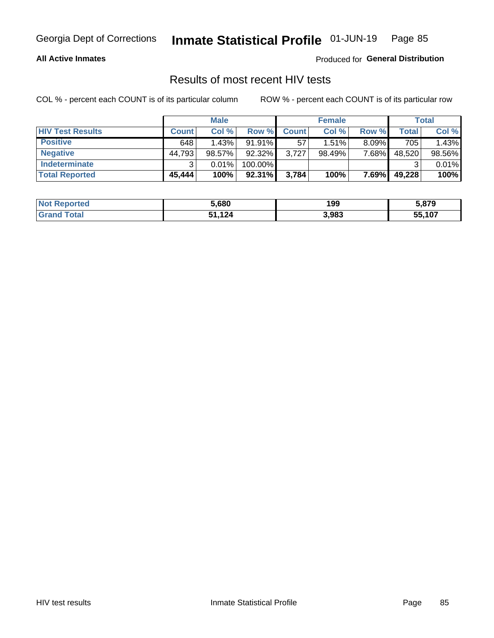#### **All Active Inmates**

Produced for **General Distribution**

### Results of most recent HIV tests

|                         |              | <b>Male</b> |           |              | <b>Female</b> |          |        | Total  |
|-------------------------|--------------|-------------|-----------|--------------|---------------|----------|--------|--------|
| <b>HIV Test Results</b> | <b>Count</b> | Col %       | Row %I    | <b>Count</b> | Col %         | Row %    | Total  | Col %  |
| <b>Positive</b>         | 648          | 1.43%       | $91.91\%$ | 57           | $1.51\%$      | $8.09\%$ | 705    | 1.43%  |
| <b>Negative</b>         | 44,793       | 98.57%      | 92.32%    | 3,727        | 98.49%        | 7.68%    | 48,520 | 98.56% |
| Indeterminate           | າ            | 0.01%       | 100.00%   |              |               |          |        | 0.01%  |
| <b>Total Reported</b>   | 45,444       | 100%        | $92.31\%$ | 3,784        | 100%          | 7.69%    | 49,228 | 100%   |

| <b>Not Reported</b> | 5,680  | 199   | 5,879  |
|---------------------|--------|-------|--------|
| Total<br>Grand      | 51,124 | 3,983 | 55,107 |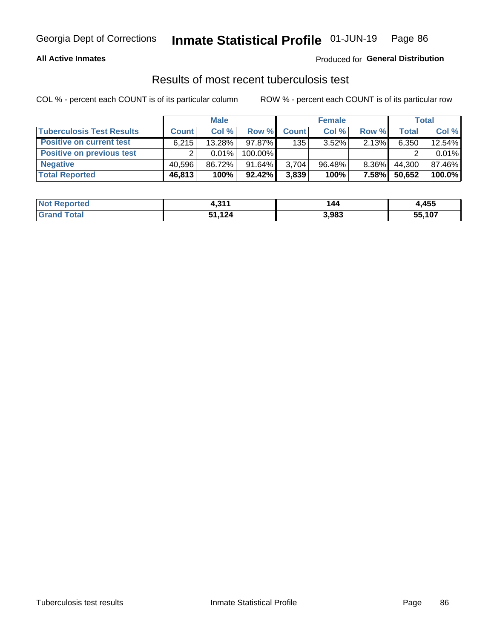#### **All Active Inmates**

### Produced for **General Distribution**

### Results of most recent tuberculosis test

|                                  |              | <b>Male</b> |           |              | <b>Female</b> |          |              | Total  |
|----------------------------------|--------------|-------------|-----------|--------------|---------------|----------|--------------|--------|
| <b>Tuberculosis Test Results</b> | <b>Count</b> | Col %       | Row %     | <b>Count</b> | Col %         | Row %    | <b>Total</b> | Col %  |
| <b>Positive on current test</b>  | 6.215        | 13.28%      | 97.87%    | 135          | $3.52\%$      | $2.13\%$ | 6,350        | 12.54% |
| <b>Positive on previous test</b> |              | 0.01%       | 100.00%   |              |               |          |              | 0.01%  |
| <b>Negative</b>                  | 40.596       | 86.72%      | $91.64\%$ | 3,704        | $96.48\%$     | $8.36\%$ | 44.300       | 87.46% |
| <b>Total Reported</b>            | 46,813       | 100%        | $92.42\%$ | 3,839        | 100%          | $7.58\%$ | 50,652       | 100.0% |

| <b>Not Reported</b> | 244<br>. ن. | 144   | ,455   |
|---------------------|-------------|-------|--------|
| Total<br>Gran       | 51,124      | 3,983 | 55,107 |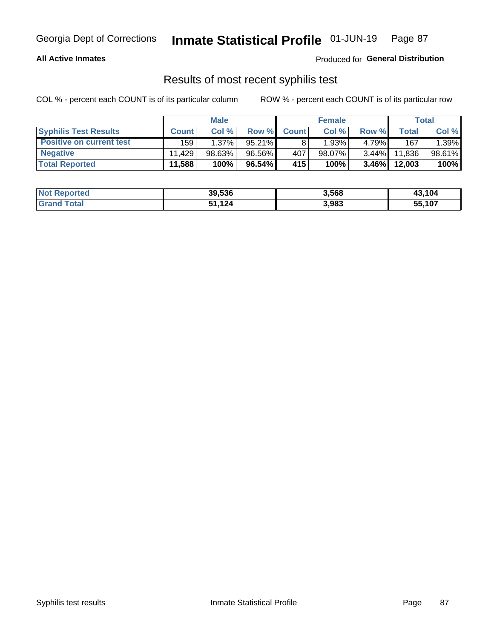#### **All Active Inmates**

Produced for **General Distribution**

### Results of most recent syphilis test

|                                 |              | <b>Male</b> |           |                  | <b>Female</b> |          |         | Total  |
|---------------------------------|--------------|-------------|-----------|------------------|---------------|----------|---------|--------|
| <b>Syphilis Test Results</b>    | <b>Count</b> | Col%        | Row %I    | <b>Count</b>     | Col %         | Row %    | Total I | Col %  |
| <b>Positive on current test</b> | 159          | 1.37%       | $95.21\%$ |                  | 1.93%         | 4.79%    | 167     | 1.39%  |
| <b>Negative</b>                 | 11.429       | $98.63\%$   | 96.56%    | 407              | $98.07\%$     | $3.44\%$ | 11,836  | 98.61% |
| <b>Total Reported</b>           | 11,588       | 100%        | 96.54%    | 415 <sup>1</sup> | 100%          | $3.46\%$ | 12,003  | 100%   |

| <b>Not Reported</b> | 39,536 | 3,568 | 43,104 |
|---------------------|--------|-------|--------|
| <b>Grand Total</b>  | 1.124  | 3,983 | 55,107 |